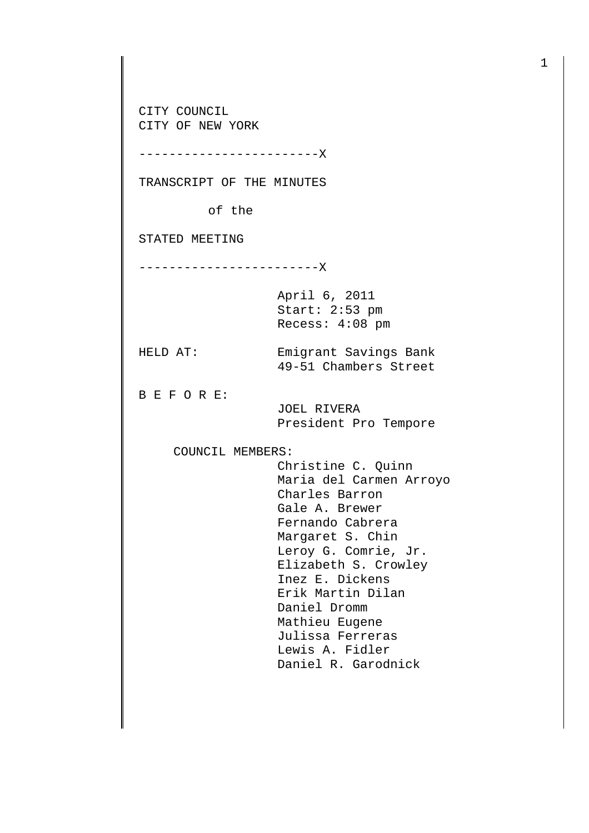CITY COUNCIL CITY OF NEW YORK

------------------------X

TRANSCRIPT OF THE MINUTES

of the

STATED MEETING

------------------------X

April 6, 2011 Start: 2:53 pm Recess: 4:08 pm

HELD AT: Emigrant Savings Bank

B E F O R E:

 JOEL RIVERA President Pro Tempore

49-51 Chambers Street

COUNCIL MEMBERS:

 Christine C. Quinn Maria del Carmen Arroyo Charles Barron Gale A. Brewer Fernando Cabrera Margaret S. Chin Leroy G. Comrie, Jr. Elizabeth S. Crowley Inez E. Dickens Erik Martin Dilan Daniel Dromm Mathieu Eugene Julissa Ferreras Lewis A. Fidler Daniel R. Garodnick

1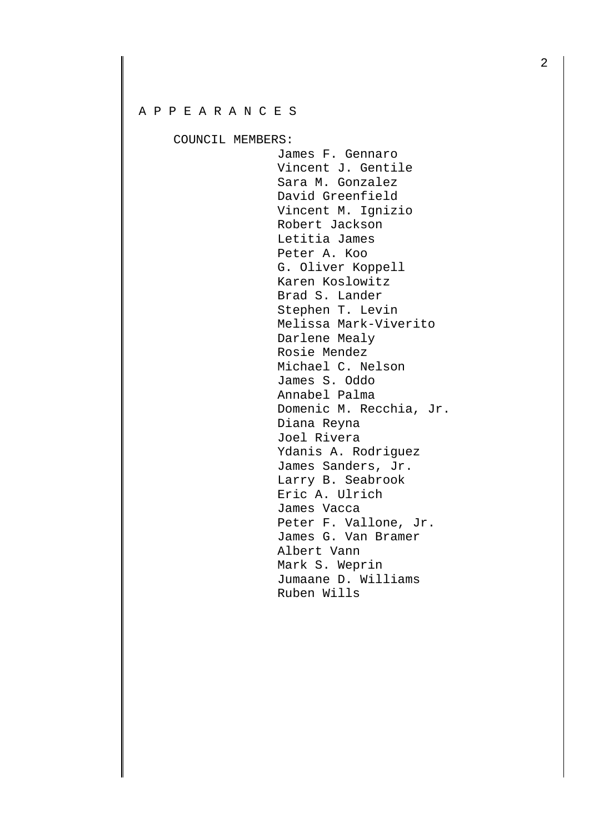## A P P E A R A N C E S

COUNCIL MEMBERS:

 James F. Gennaro Vincent J. Gentile Sara M. Gonzalez David Greenfield Vincent M. Ignizio Robert Jackson Letitia James Peter A. Koo G. Oliver Koppell Karen Koslowitz Brad S. Lander Stephen T. Levin Melissa Mark-Viverito Darlene Mealy Rosie Mendez Michael C. Nelson James S. Oddo Annabel Palma Domenic M. Recchia, Jr. Diana Reyna Joel Rivera Ydanis A. Rodriguez James Sanders, Jr. Larry B. Seabrook Eric A. Ulrich James Vacca Peter F. Vallone, Jr. James G. Van Bramer Albert Vann Mark S. Weprin Jumaane D. Williams Ruben Wills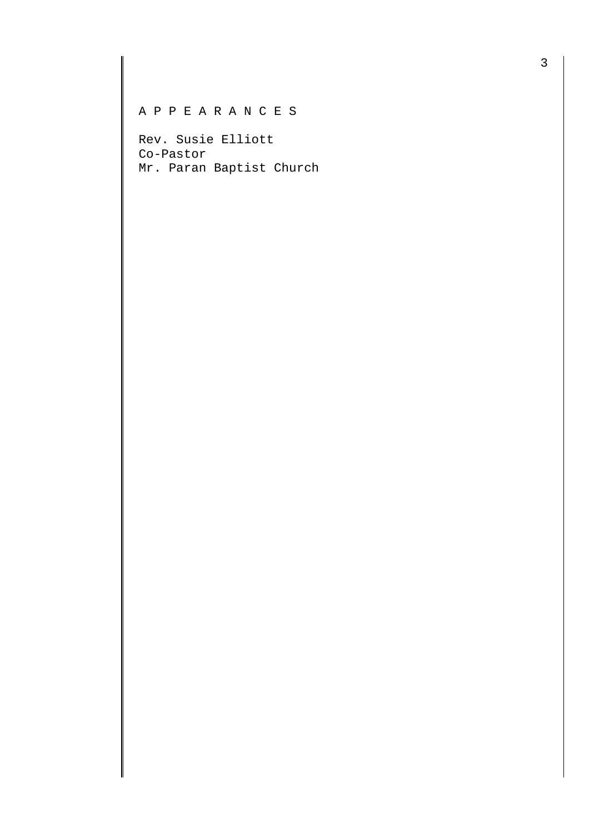## A P P E A R A N C E S

Rev. Susie Elliott Co-Pastor Mr. Paran Baptist Church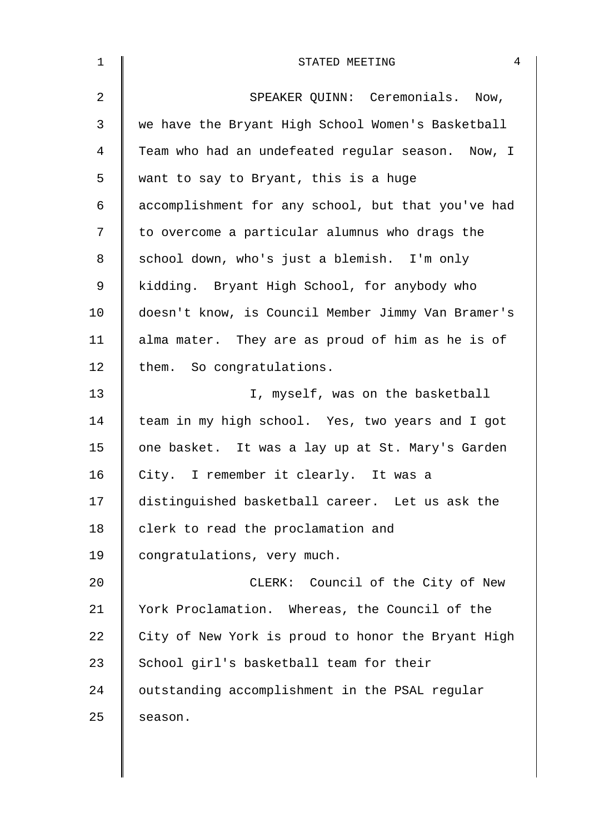| $\mathbf 1$ | STATED MEETING                                     |  |  |  |  |  |
|-------------|----------------------------------------------------|--|--|--|--|--|
| 2           | SPEAKER QUINN: Ceremonials. Now,                   |  |  |  |  |  |
| 3           | we have the Bryant High School Women's Basketball  |  |  |  |  |  |
| 4           | Team who had an undefeated regular season. Now, I  |  |  |  |  |  |
| 5           | want to say to Bryant, this is a huge              |  |  |  |  |  |
| 6           | accomplishment for any school, but that you've had |  |  |  |  |  |
| 7           | to overcome a particular alumnus who drags the     |  |  |  |  |  |
| 8           | school down, who's just a blemish. I'm only        |  |  |  |  |  |
| 9           | kidding. Bryant High School, for anybody who       |  |  |  |  |  |
| 10          | doesn't know, is Council Member Jimmy Van Bramer's |  |  |  |  |  |
| 11          | alma mater. They are as proud of him as he is of   |  |  |  |  |  |
| 12          | them. So congratulations.                          |  |  |  |  |  |
| 13          | I, myself, was on the basketball                   |  |  |  |  |  |
| 14          | team in my high school. Yes, two years and I got   |  |  |  |  |  |
| 15          | one basket. It was a lay up at St. Mary's Garden   |  |  |  |  |  |
| 16          | City. I remember it clearly. It was a              |  |  |  |  |  |
| 17          | distinguished basketball career. Let us ask the    |  |  |  |  |  |
| 18          | clerk to read the proclamation and                 |  |  |  |  |  |
| 19          | congratulations, very much.                        |  |  |  |  |  |
| 20          | CLERK: Council of the City of New                  |  |  |  |  |  |
| 21          | York Proclamation. Whereas, the Council of the     |  |  |  |  |  |
| 22          | City of New York is proud to honor the Bryant High |  |  |  |  |  |
| 23          | School girl's basketball team for their            |  |  |  |  |  |
| 24          | outstanding accomplishment in the PSAL regular     |  |  |  |  |  |
| 25          | season.                                            |  |  |  |  |  |
|             |                                                    |  |  |  |  |  |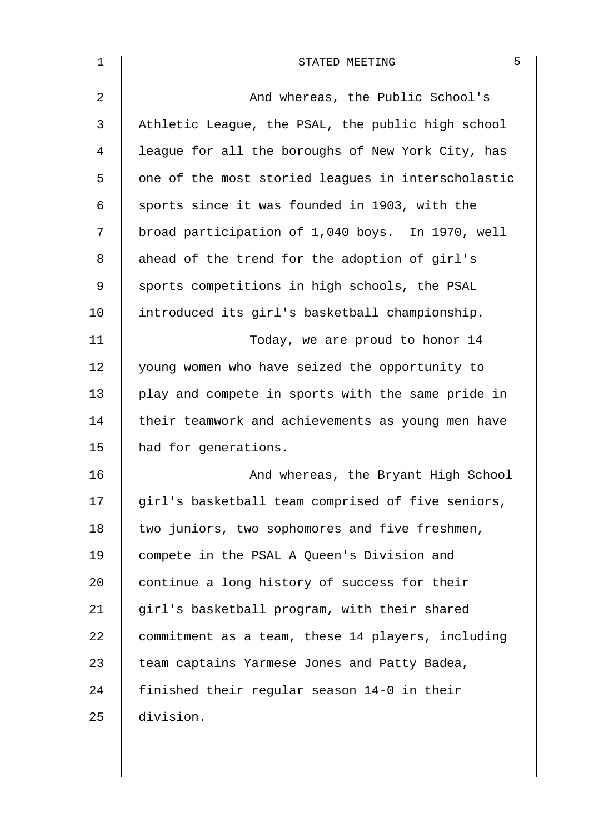| $\mathbf 1$    | 5<br>STATED MEETING                                |
|----------------|----------------------------------------------------|
| $\overline{2}$ | And whereas, the Public School's                   |
| 3              | Athletic League, the PSAL, the public high school  |
| 4              | league for all the boroughs of New York City, has  |
| 5              | one of the most storied leagues in interscholastic |
| 6              | sports since it was founded in 1903, with the      |
| 7              | broad participation of 1,040 boys. In 1970, well   |
| 8              | ahead of the trend for the adoption of girl's      |
| 9              | sports competitions in high schools, the PSAL      |
| 10             | introduced its girl's basketball championship.     |
| 11             | Today, we are proud to honor 14                    |
| 12             | young women who have seized the opportunity to     |
| 13             | play and compete in sports with the same pride in  |
| 14             | their teamwork and achievements as young men have  |
| 15             | had for generations.                               |
| 16             | And whereas, the Bryant High School                |
| 17             | girl's basketball team comprised of five seniors,  |
| 18             | two juniors, two sophomores and five freshmen,     |
| 19             | compete in the PSAL A Queen's Division and         |
| 20             | continue a long history of success for their       |
| 21             | girl's basketball program, with their shared       |
| 22             | commitment as a team, these 14 players, including  |
| 23             | team captains Yarmese Jones and Patty Badea,       |
| 24             | finished their regular season 14-0 in their        |
| 25             | division.                                          |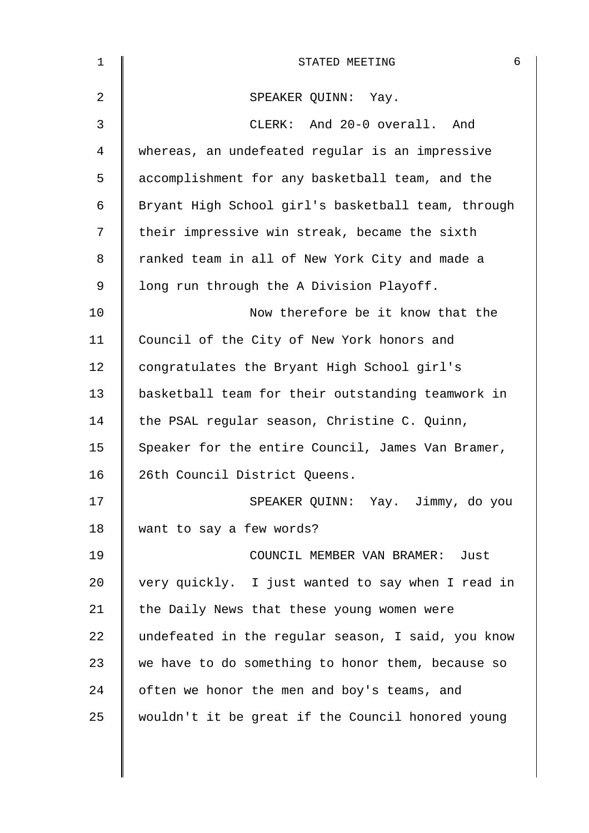| 1              | 6<br>STATED MEETING                                |
|----------------|----------------------------------------------------|
| $\overline{2}$ | SPEAKER QUINN: Yay.                                |
| 3              | CLERK: And 20-0 overall. And                       |
| 4              | whereas, an undefeated regular is an impressive    |
| 5              | accomplishment for any basketball team, and the    |
| 6              | Bryant High School girl's basketball team, through |
| 7              | their impressive win streak, became the sixth      |
| 8              | ranked team in all of New York City and made a     |
| 9              | long run through the A Division Playoff.           |
| 10             | Now therefore be it know that the                  |
| 11             | Council of the City of New York honors and         |
| 12             | congratulates the Bryant High School girl's        |
| 13             | basketball team for their outstanding teamwork in  |
| 14             | the PSAL regular season, Christine C. Quinn,       |
| 15             | Speaker for the entire Council, James Van Bramer,  |
| 16             | 26th Council District Queens.                      |
| 17             | SPEAKER QUINN: Yay. Jimmy, do you                  |
| 18             | want to say a few words?                           |
| 19             | COUNCIL MEMBER VAN BRAMER: Just                    |
| 20             | very quickly. I just wanted to say when I read in  |
| 21             | the Daily News that these young women were         |
| 22             | undefeated in the regular season, I said, you know |
| 23             | we have to do something to honor them, because so  |
| 24             | often we honor the men and boy's teams, and        |
| 25             | wouldn't it be great if the Council honored young  |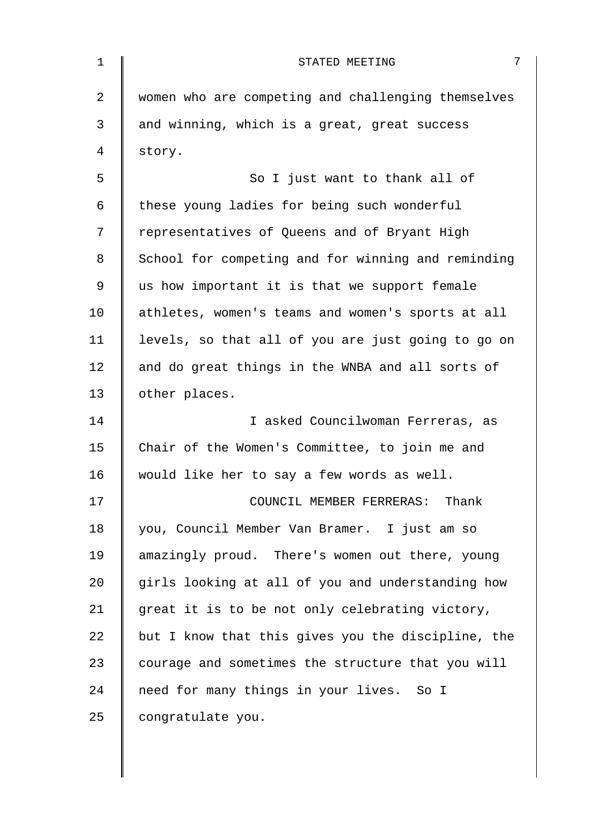| 1  | 7<br>STATED MEETING                                |
|----|----------------------------------------------------|
| 2  | women who are competing and challenging themselves |
| 3  | and winning, which is a great, great success       |
| 4  | story.                                             |
| 5  | So I just want to thank all of                     |
| 6  | these young ladies for being such wonderful        |
| 7  | representatives of Queens and of Bryant High       |
| 8  | School for competing and for winning and reminding |
| 9  | us how important it is that we support female      |
| 10 | athletes, women's teams and women's sports at all  |
| 11 | levels, so that all of you are just going to go on |
| 12 | and do great things in the WNBA and all sorts of   |
| 13 | other places.                                      |
| 14 | I asked Councilwoman Ferreras, as                  |
| 15 | Chair of the Women's Committee, to join me and     |
| 16 | would like her to say a few words as well.         |
| 17 | COUNCIL MEMBER FERRERAS: Thank                     |
| 18 | you, Council Member Van Bramer. I just am so       |
| 19 | amazingly proud. There's women out there, young    |
| 20 | girls looking at all of you and understanding how  |
| 21 | great it is to be not only celebrating victory,    |
| 22 | but I know that this gives you the discipline, the |
| 23 | courage and sometimes the structure that you will  |
| 24 | need for many things in your lives. So I           |
| 25 | congratulate you.                                  |
|    |                                                    |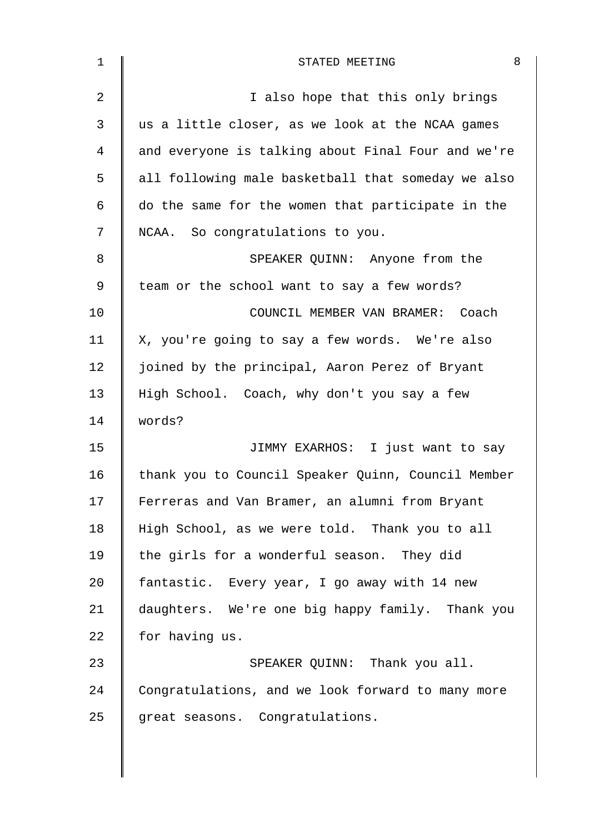| 1              | 8<br>STATED MEETING                                |
|----------------|----------------------------------------------------|
| $\overline{2}$ | I also hope that this only brings                  |
| 3              | us a little closer, as we look at the NCAA games   |
| 4              | and everyone is talking about Final Four and we're |
| 5              | all following male basketball that someday we also |
| 6              | do the same for the women that participate in the  |
| 7              | NCAA. So congratulations to you.                   |
| 8              | SPEAKER QUINN: Anyone from the                     |
| 9              | team or the school want to say a few words?        |
| 10             | COUNCIL MEMBER VAN BRAMER: Coach                   |
| 11             | X, you're going to say a few words. We're also     |
| 12             | joined by the principal, Aaron Perez of Bryant     |
| 13             | High School. Coach, why don't you say a few        |
| 14             | words?                                             |
| 15             | JIMMY EXARHOS: I just want to say                  |
| 16             | thank you to Council Speaker Quinn, Council Member |
| 17             | Ferreras and Van Bramer, an alumni from Bryant     |
| 18             | High School, as we were told. Thank you to all     |
| 19             | the girls for a wonderful season. They did         |
| 20             | fantastic. Every year, I go away with 14 new       |
| 21             | daughters. We're one big happy family. Thank you   |
| 22             | for having us.                                     |
| 23             | SPEAKER QUINN: Thank you all.                      |
| 24             | Congratulations, and we look forward to many more  |
| 25             | great seasons. Congratulations.                    |
|                |                                                    |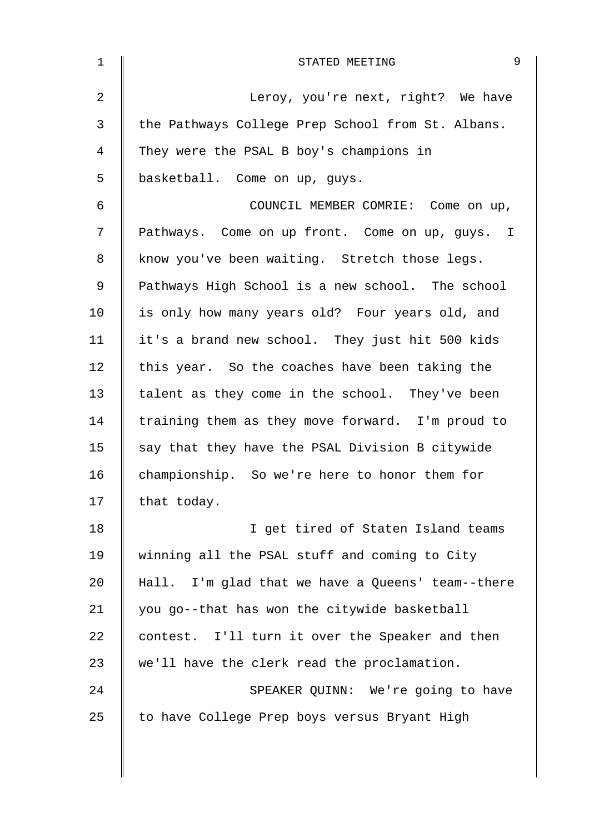| 9<br>STATED MEETING                               |
|---------------------------------------------------|
| Leroy, you're next, right? We have                |
| the Pathways College Prep School from St. Albans. |
| They were the PSAL B boy's champions in           |
| basketball. Come on up, guys.                     |
| COUNCIL MEMBER COMRIE: Come on up,                |
| Pathways. Come on up front. Come on up, guys. I   |
| know you've been waiting. Stretch those legs.     |
| Pathways High School is a new school. The school  |
| is only how many years old? Four years old, and   |
| it's a brand new school. They just hit 500 kids   |
| this year. So the coaches have been taking the    |
| talent as they come in the school. They've been   |
| training them as they move forward. I'm proud to  |
| say that they have the PSAL Division B citywide   |
| championship. So we're here to honor them for     |
| that today.                                       |
| I get tired of Staten Island teams                |
| winning all the PSAL stuff and coming to City     |
| Hall. I'm glad that we have a Queens' team--there |
| you go--that has won the citywide basketball      |
| contest. I'll turn it over the Speaker and then   |
| we'll have the clerk read the proclamation.       |
| SPEAKER QUINN: We're going to have                |
| to have College Prep boys versus Bryant High      |
|                                                   |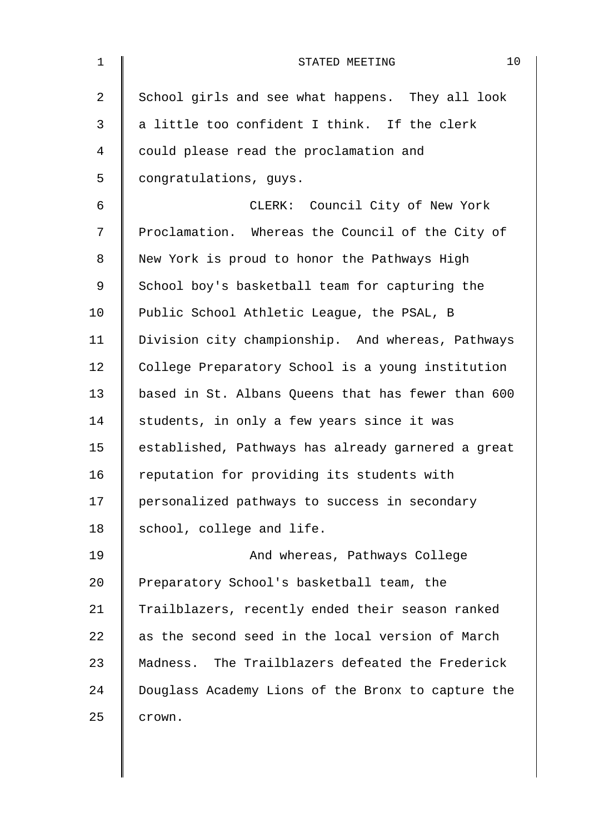| $\mathbf 1$    | 10<br>STATED MEETING                               |
|----------------|----------------------------------------------------|
| $\overline{2}$ | School girls and see what happens. They all look   |
| 3              | a little too confident I think. If the clerk       |
| 4              | could please read the proclamation and             |
| 5              | congratulations, guys.                             |
| 6              | CLERK: Council City of New York                    |
| 7              | Proclamation. Whereas the Council of the City of   |
| 8              | New York is proud to honor the Pathways High       |
| 9              | School boy's basketball team for capturing the     |
| 10             | Public School Athletic League, the PSAL, B         |
| 11             | Division city championship. And whereas, Pathways  |
| 12             | College Preparatory School is a young institution  |
| 13             | based in St. Albans Queens that has fewer than 600 |
| 14             | students, in only a few years since it was         |
| 15             | established, Pathways has already garnered a great |
| 16             | reputation for providing its students with         |
| 17             | personalized pathways to success in secondary      |
| 18             | school, college and life.                          |
| 19             | And whereas, Pathways College                      |
| 20             | Preparatory School's basketball team, the          |
| 21             | Trailblazers, recently ended their season ranked   |
| 22             | as the second seed in the local version of March   |
| 23             | Madness. The Trailblazers defeated the Frederick   |
| 24             | Douglass Academy Lions of the Bronx to capture the |
| 25             | crown.                                             |
|                |                                                    |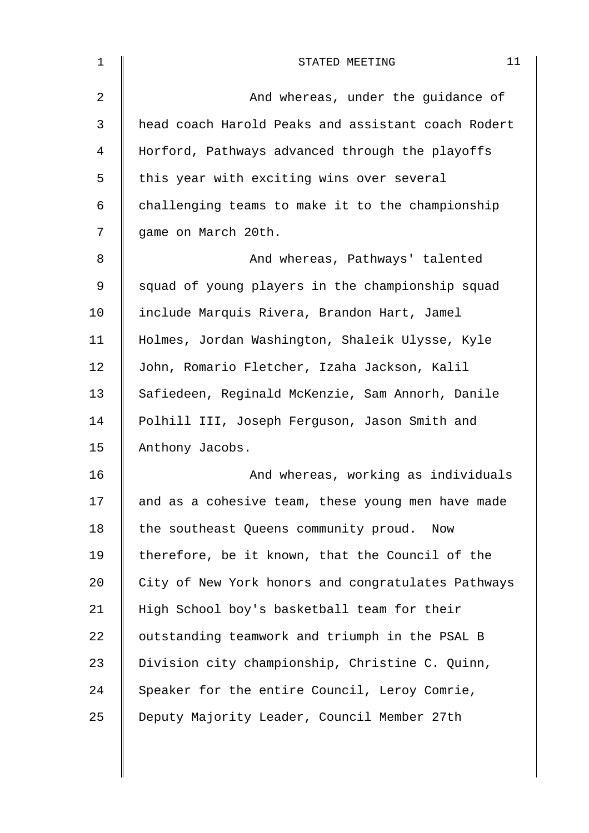| 1              | 11<br>STATED MEETING                               |
|----------------|----------------------------------------------------|
| $\overline{a}$ | And whereas, under the guidance of                 |
| 3              | head coach Harold Peaks and assistant coach Rodert |
| 4              | Horford, Pathways advanced through the playoffs    |
| 5              | this year with exciting wins over several          |
| 6              | challenging teams to make it to the championship   |
| 7              | game on March 20th.                                |
| 8              | And whereas, Pathways' talented                    |
| 9              | squad of young players in the championship squad   |
| 10             | include Marquis Rivera, Brandon Hart, Jamel        |
| 11             | Holmes, Jordan Washington, Shaleik Ulysse, Kyle    |
| 12             | John, Romario Fletcher, Izaha Jackson, Kalil       |
| 13             | Safiedeen, Reginald McKenzie, Sam Annorh, Danile   |
| 14             | Polhill III, Joseph Ferguson, Jason Smith and      |
| 15             | Anthony Jacobs.                                    |
| 16             | And whereas, working as individuals                |
| 17             | and as a cohesive team, these young men have made  |
| 18             | the southeast Queens community proud.<br>Now       |
| 19             | therefore, be it known, that the Council of the    |
| 20             | City of New York honors and congratulates Pathways |
| 21             | High School boy's basketball team for their        |
| 22             | outstanding teamwork and triumph in the PSAL B     |
| 23             | Division city championship, Christine C. Quinn,    |
| 24             | Speaker for the entire Council, Leroy Comrie,      |
| 25             | Deputy Majority Leader, Council Member 27th        |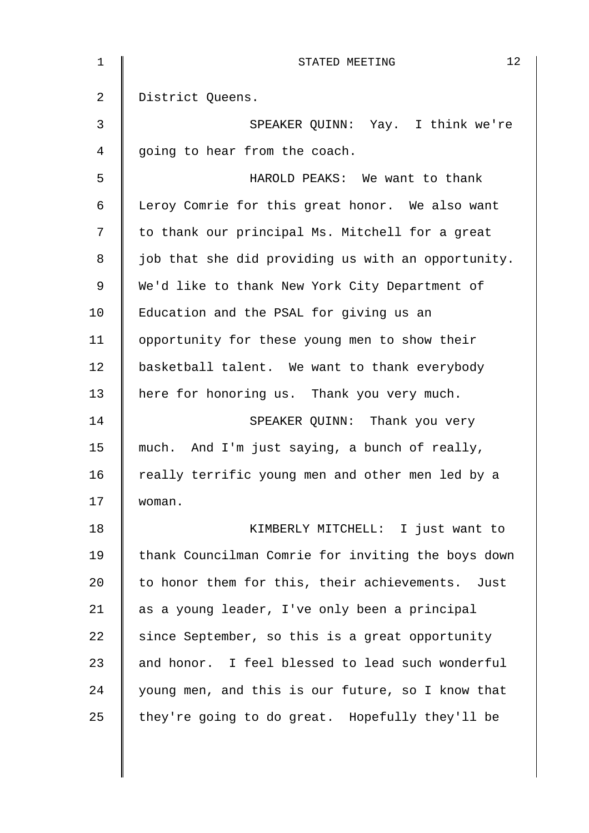| $\mathbf{1}$   | 12<br>STATED MEETING                               |
|----------------|----------------------------------------------------|
| 2              | District Queens.                                   |
| $\mathfrak{Z}$ | SPEAKER QUINN: Yay. I think we're                  |
| 4              | going to hear from the coach.                      |
| 5              | HAROLD PEAKS: We want to thank                     |
| 6              | Leroy Comrie for this great honor. We also want    |
| 7              | to thank our principal Ms. Mitchell for a great    |
| 8              | job that she did providing us with an opportunity. |
| 9              | We'd like to thank New York City Department of     |
| 10             | Education and the PSAL for giving us an            |
| 11             | opportunity for these young men to show their      |
| 12             | basketball talent. We want to thank everybody      |
| 13             | here for honoring us. Thank you very much.         |
| 14             | SPEAKER QUINN: Thank you very                      |
| 15             | much. And I'm just saying, a bunch of really,      |
| 16             | really terrific young men and other men led by a   |
| 17             | woman.                                             |
| 18             | KIMBERLY MITCHELL: I just want to                  |
| 19             | thank Councilman Comrie for inviting the boys down |
| 20             | to honor them for this, their achievements. Just   |
| 21             | as a young leader, I've only been a principal      |
| 22             | since September, so this is a great opportunity    |
| 23             | and honor. I feel blessed to lead such wonderful   |
| 24             | young men, and this is our future, so I know that  |
| 25             | they're going to do great. Hopefully they'll be    |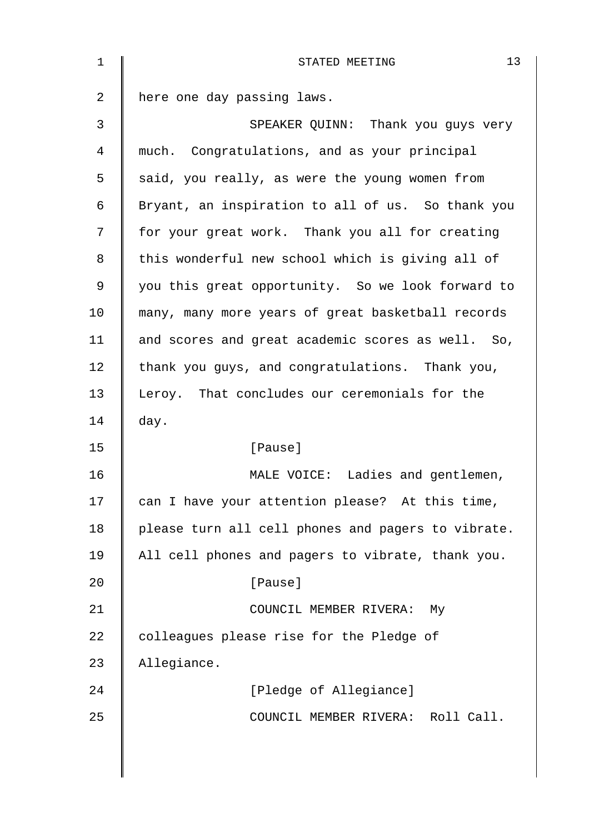| $\mathbf{1}$ | 13<br>STATED MEETING                               |
|--------------|----------------------------------------------------|
| 2            | here one day passing laws.                         |
| 3            | SPEAKER QUINN: Thank you guys very                 |
| 4            | much. Congratulations, and as your principal       |
| 5            | said, you really, as were the young women from     |
| 6            | Bryant, an inspiration to all of us. So thank you  |
| 7            | for your great work. Thank you all for creating    |
| 8            | this wonderful new school which is giving all of   |
| 9            | you this great opportunity. So we look forward to  |
| 10           | many, many more years of great basketball records  |
| 11           | and scores and great academic scores as well. So,  |
| 12           | thank you guys, and congratulations. Thank you,    |
| 13           | Leroy. That concludes our ceremonials for the      |
| 14           | day.                                               |
| 15           | [Pause]                                            |
| 16           | MALE VOICE: Ladies and gentlemen,                  |
| 17           | can I have your attention please? At this time,    |
| 18           | please turn all cell phones and pagers to vibrate. |
| 19           | All cell phones and pagers to vibrate, thank you.  |
| 20           | [Pause]                                            |
| 21           | COUNCIL MEMBER RIVERA: My                          |
| 22           | colleagues please rise for the Pledge of           |
| 23           | Allegiance.                                        |
| 24           | [Pledge of Allegiance]                             |
| 25           | COUNCIL MEMBER RIVERA: Roll Call.                  |
|              |                                                    |
|              |                                                    |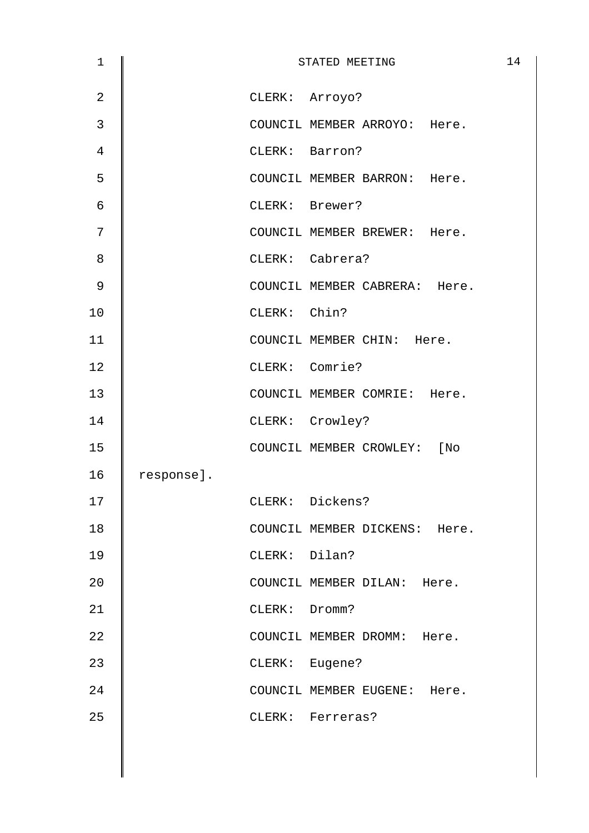| $\mathbf 1$    |            |               | STATED MEETING                | 14 |
|----------------|------------|---------------|-------------------------------|----|
| $\overline{2}$ |            |               | CLERK: Arroyo?                |    |
| 3              |            |               | COUNCIL MEMBER ARROYO: Here.  |    |
| 4              |            |               | CLERK: Barron?                |    |
| 5              |            |               | COUNCIL MEMBER BARRON: Here.  |    |
| 6              |            |               | CLERK: Brewer?                |    |
| 7              |            |               | COUNCIL MEMBER BREWER: Here.  |    |
| 8              |            |               | CLERK: Cabrera?               |    |
| 9              |            |               | COUNCIL MEMBER CABRERA: Here. |    |
| 10             |            | CLERK: Chin?  |                               |    |
| 11             |            |               | COUNCIL MEMBER CHIN: Here.    |    |
| 12             |            |               | CLERK: Comrie?                |    |
| 13             |            |               | COUNCIL MEMBER COMRIE: Here.  |    |
| 14             |            |               | CLERK: Crowley?               |    |
| 15             |            |               | COUNCIL MEMBER CROWLEY: [No   |    |
| 16             | response]. |               |                               |    |
| 17             |            |               | CLERK: Dickens?               |    |
| 18             |            |               | COUNCIL MEMBER DICKENS: Here. |    |
| 19             |            | CLERK: Dilan? |                               |    |
| 20             |            |               | COUNCIL MEMBER DILAN: Here.   |    |
| 21             |            | CLERK: Dromm? |                               |    |
| 22             |            |               | COUNCIL MEMBER DROMM: Here.   |    |
| 23             |            |               | CLERK: Eugene?                |    |
| 24             |            |               | COUNCIL MEMBER EUGENE: Here.  |    |
| 25             |            |               | CLERK: Ferreras?              |    |
|                |            |               |                               |    |
|                |            |               |                               |    |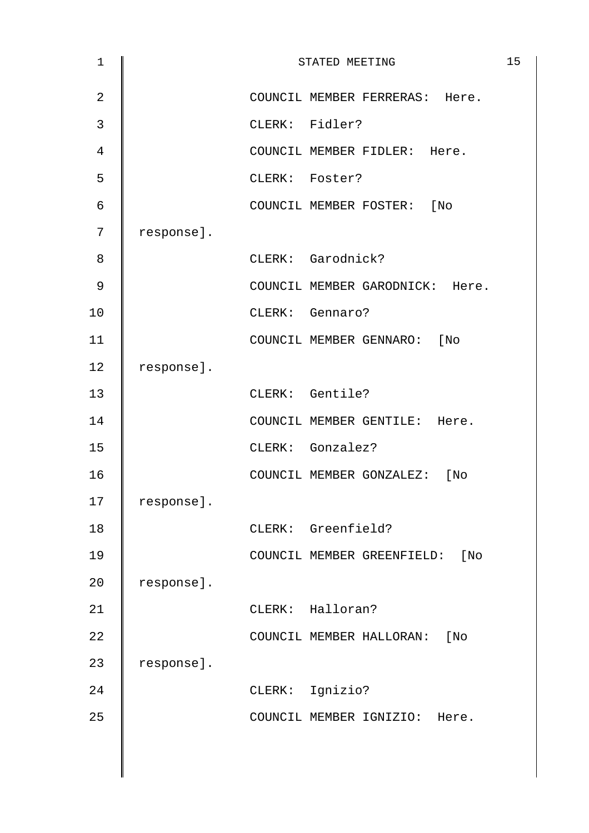| $\mathbf 1$    |            | STATED MEETING                  | 15 |
|----------------|------------|---------------------------------|----|
| $\overline{2}$ |            | COUNCIL MEMBER FERRERAS: Here.  |    |
| $\mathfrak{Z}$ |            | CLERK: Fidler?                  |    |
| 4              |            | COUNCIL MEMBER FIDLER: Here.    |    |
| 5              |            | CLERK: Foster?                  |    |
| $\epsilon$     |            | COUNCIL MEMBER FOSTER: [No      |    |
| 7              | response]. |                                 |    |
| 8              |            | CLERK: Garodnick?               |    |
| 9              |            | COUNCIL MEMBER GARODNICK: Here. |    |
| 10             |            | CLERK: Gennaro?                 |    |
| 11             |            | COUNCIL MEMBER GENNARO: [No     |    |
| 12             | response]. |                                 |    |
| 13             |            | CLERK: Gentile?                 |    |
| 14             |            | COUNCIL MEMBER GENTILE: Here.   |    |
| 15             |            | CLERK: Gonzalez?                |    |
| 16             |            | COUNCIL MEMBER GONZALEZ: [No    |    |
| 17             | response]. |                                 |    |
| 18             |            | CLERK: Greenfield?              |    |
| 19             |            | COUNCIL MEMBER GREENFIELD: [No  |    |
| 20             | response]. |                                 |    |
| 21             |            | CLERK: Halloran?                |    |
| 22             |            | COUNCIL MEMBER HALLORAN: [No    |    |
| 23             | response]. |                                 |    |
| 24             |            | CLERK: Ignizio?                 |    |
| 25             |            | COUNCIL MEMBER IGNIZIO: Here.   |    |
|                |            |                                 |    |
|                |            |                                 |    |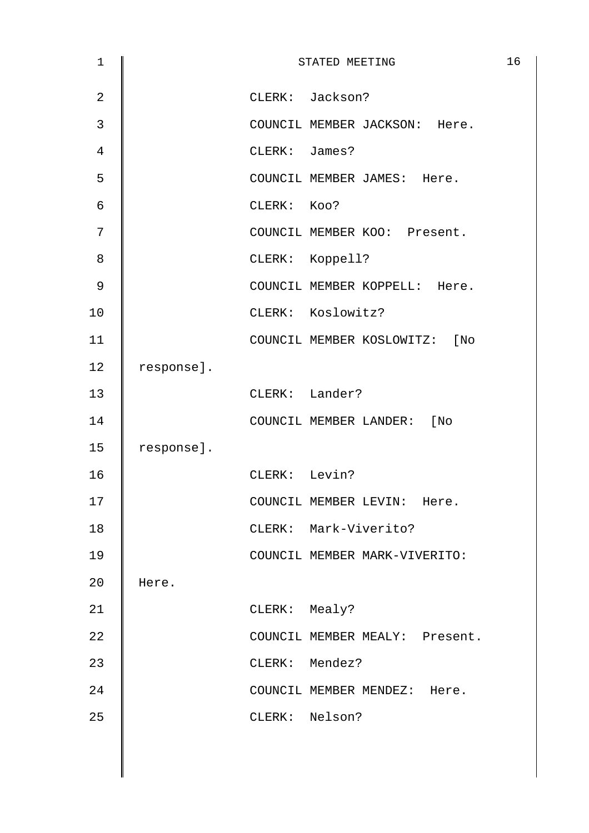| $\mathbf 1$    |            |               | STATED MEETING                 | 16 |
|----------------|------------|---------------|--------------------------------|----|
| $\overline{2}$ |            |               | CLERK: Jackson?                |    |
| $\mathfrak{Z}$ |            |               | COUNCIL MEMBER JACKSON: Here.  |    |
| 4              |            | CLERK: James? |                                |    |
| 5              |            |               | COUNCIL MEMBER JAMES: Here.    |    |
| $\epsilon$     |            | CLERK: KOO?   |                                |    |
| 7              |            |               | COUNCIL MEMBER KOO: Present.   |    |
| 8              |            |               | CLERK: Koppell?                |    |
| 9              |            |               | COUNCIL MEMBER KOPPELL: Here.  |    |
| 10             |            |               | CLERK: Koslowitz?              |    |
| 11             |            |               | COUNCIL MEMBER KOSLOWITZ: [No  |    |
| 12             | response]. |               |                                |    |
| 13             |            |               | CLERK: Lander?                 |    |
| 14             |            |               | COUNCIL MEMBER LANDER: [No     |    |
| 15             | response]. |               |                                |    |
| 16             |            | CLERK: Levin? |                                |    |
| 17             |            |               | COUNCIL MEMBER LEVIN: Here.    |    |
| 18             |            |               | CLERK: Mark-Viverito?          |    |
| 19             |            |               | COUNCIL MEMBER MARK-VIVERITO:  |    |
| 20             | Here.      |               |                                |    |
| 21             |            | CLERK: Mealy? |                                |    |
| 22             |            |               | COUNCIL MEMBER MEALY: Present. |    |
| 23             |            |               | CLERK: Mendez?                 |    |
| 24             |            |               | COUNCIL MEMBER MENDEZ: Here.   |    |
| 25             |            |               | CLERK: Nelson?                 |    |
|                |            |               |                                |    |
|                |            |               |                                |    |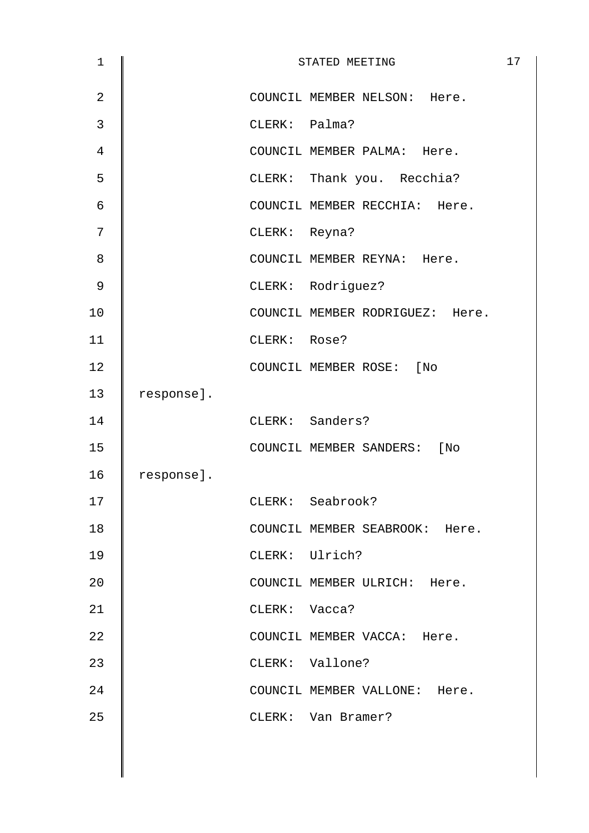| $\mathbf 1$    |            |               | STATED MEETING                  | 17 |
|----------------|------------|---------------|---------------------------------|----|
| $\overline{2}$ |            |               | COUNCIL MEMBER NELSON: Here.    |    |
| 3              |            | CLERK: Palma? |                                 |    |
| 4              |            |               | COUNCIL MEMBER PALMA: Here.     |    |
| 5              |            |               | CLERK: Thank you. Recchia?      |    |
| 6              |            |               | COUNCIL MEMBER RECCHIA: Here.   |    |
| 7              |            | CLERK: Reyna? |                                 |    |
| 8              |            |               | COUNCIL MEMBER REYNA: Here.     |    |
| $\mathsf 9$    |            |               | CLERK: Rodriguez?               |    |
| 10             |            |               | COUNCIL MEMBER RODRIGUEZ: Here. |    |
| 11             |            | CLERK: Rose?  |                                 |    |
| 12             |            |               | COUNCIL MEMBER ROSE: [No        |    |
| 13             | response]. |               |                                 |    |
| 14             |            |               | CLERK: Sanders?                 |    |
| 15             |            |               | COUNCIL MEMBER SANDERS: [No     |    |
| 16             | response]. |               |                                 |    |
| 17             |            |               | CLERK: Seabrook?                |    |
| 18             |            |               | COUNCIL MEMBER SEABROOK: Here.  |    |
| 19             |            |               | CLERK: Ulrich?                  |    |
| 20             |            |               | COUNCIL MEMBER ULRICH: Here.    |    |
| 21             |            | CLERK: Vacca? |                                 |    |
| 22             |            |               | COUNCIL MEMBER VACCA: Here.     |    |
| 23             |            |               | CLERK: Vallone?                 |    |
| 24             |            |               | COUNCIL MEMBER VALLONE: Here.   |    |
| 25             |            |               | CLERK: Van Bramer?              |    |
|                |            |               |                                 |    |
|                |            |               |                                 |    |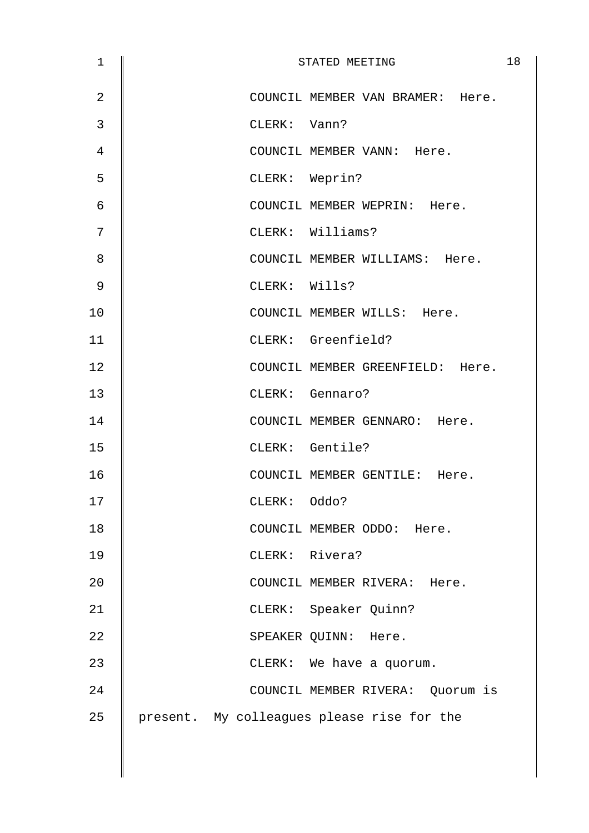| $\mathbf 1$    |               | STATED MEETING                             | 18 |
|----------------|---------------|--------------------------------------------|----|
| $\overline{2}$ |               | COUNCIL MEMBER VAN BRAMER: Here.           |    |
| 3              | CLERK: Vann?  |                                            |    |
| 4              |               | COUNCIL MEMBER VANN: Here.                 |    |
| 5              |               | CLERK: Weprin?                             |    |
| 6              |               | COUNCIL MEMBER WEPRIN: Here.               |    |
| 7              |               | CLERK: Williams?                           |    |
| 8              |               | COUNCIL MEMBER WILLIAMS: Here.             |    |
| 9              | CLERK: Wills? |                                            |    |
| 10             |               | COUNCIL MEMBER WILLS: Here.                |    |
| 11             |               | CLERK: Greenfield?                         |    |
| 12             |               | COUNCIL MEMBER GREENFIELD: Here.           |    |
| 13             |               | CLERK: Gennaro?                            |    |
| 14             |               | COUNCIL MEMBER GENNARO: Here.              |    |
| 15             |               | CLERK: Gentile?                            |    |
| 16             |               | COUNCIL MEMBER GENTILE: Here.              |    |
| 17             | CLERK: Oddo?  |                                            |    |
| 18             |               | COUNCIL MEMBER ODDO: Here.                 |    |
| 19             |               | CLERK: Rivera?                             |    |
| 20             |               | COUNCIL MEMBER RIVERA: Here.               |    |
| 21             |               | CLERK: Speaker Quinn?                      |    |
| 22             |               | SPEAKER QUINN: Here.                       |    |
| 23             |               | CLERK: We have a quorum.                   |    |
| 24             |               | COUNCIL MEMBER RIVERA: Quorum is           |    |
| 25             |               | present. My colleagues please rise for the |    |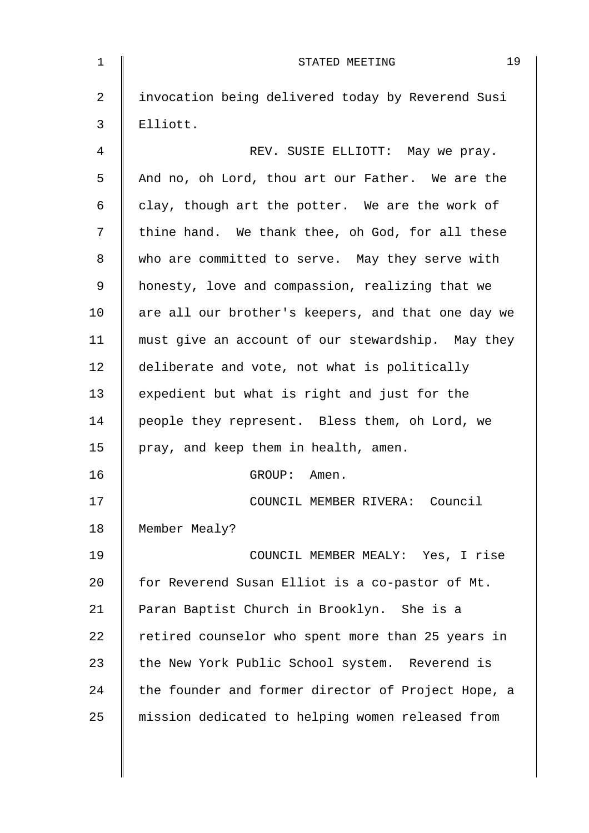| $\mathbf{1}$   | 19<br>STATED MEETING                               |
|----------------|----------------------------------------------------|
| $\overline{2}$ | invocation being delivered today by Reverend Susi  |
| 3              | Elliott.                                           |
| 4              | REV. SUSIE ELLIOTT: May we pray.                   |
| 5              | And no, oh Lord, thou art our Father. We are the   |
| 6              | clay, though art the potter. We are the work of    |
| 7              | thine hand. We thank thee, oh God, for all these   |
| 8              | who are committed to serve. May they serve with    |
| 9              | honesty, love and compassion, realizing that we    |
| 10             | are all our brother's keepers, and that one day we |
| 11             | must give an account of our stewardship. May they  |
| 12             | deliberate and vote, not what is politically       |
| 13             | expedient but what is right and just for the       |
| 14             | people they represent. Bless them, oh Lord, we     |
| 15             | pray, and keep them in health, amen.               |
| 16             | GROUP: Amen.                                       |
| 17             | COUNCIL MEMBER RIVERA: Council                     |
| 18             | Member Mealy?                                      |
| 19             | COUNCIL MEMBER MEALY: Yes, I rise                  |
| 20             | for Reverend Susan Elliot is a co-pastor of Mt.    |
| 21             | Paran Baptist Church in Brooklyn. She is a         |
| 22             | retired counselor who spent more than 25 years in  |
| 23             | the New York Public School system. Reverend is     |
| 24             | the founder and former director of Project Hope, a |
| 25             | mission dedicated to helping women released from   |
|                |                                                    |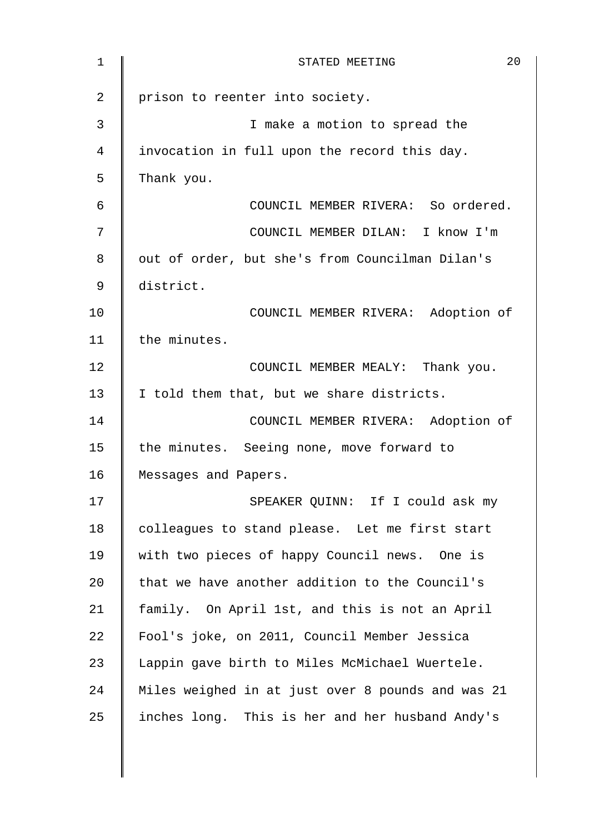| 1              | 20<br>STATED MEETING                              |
|----------------|---------------------------------------------------|
| $\overline{2}$ | prison to reenter into society.                   |
| 3              | I make a motion to spread the                     |
| 4              | invocation in full upon the record this day.      |
| 5              | Thank you.                                        |
| 6              | COUNCIL MEMBER RIVERA: So ordered.                |
| 7              | COUNCIL MEMBER DILAN: I know I'm                  |
| 8              | out of order, but she's from Councilman Dilan's   |
| 9              | district.                                         |
| 10             | COUNCIL MEMBER RIVERA: Adoption of                |
| 11             | the minutes.                                      |
| 12             | COUNCIL MEMBER MEALY: Thank you.                  |
| 13             | I told them that, but we share districts.         |
| 14             | COUNCIL MEMBER RIVERA: Adoption of                |
| 15             | the minutes. Seeing none, move forward to         |
| 16             | Messages and Papers.                              |
| 17             | SPEAKER QUINN: If I could ask my                  |
| 18             | colleagues to stand please. Let me first start    |
| 19             | with two pieces of happy Council news. One is     |
| 20             | that we have another addition to the Council's    |
| 21             | family. On April 1st, and this is not an April    |
| 22             | Fool's joke, on 2011, Council Member Jessica      |
| 23             | Lappin gave birth to Miles McMichael Wuertele.    |
| 24             | Miles weighed in at just over 8 pounds and was 21 |
| 25             | inches long. This is her and her husband Andy's   |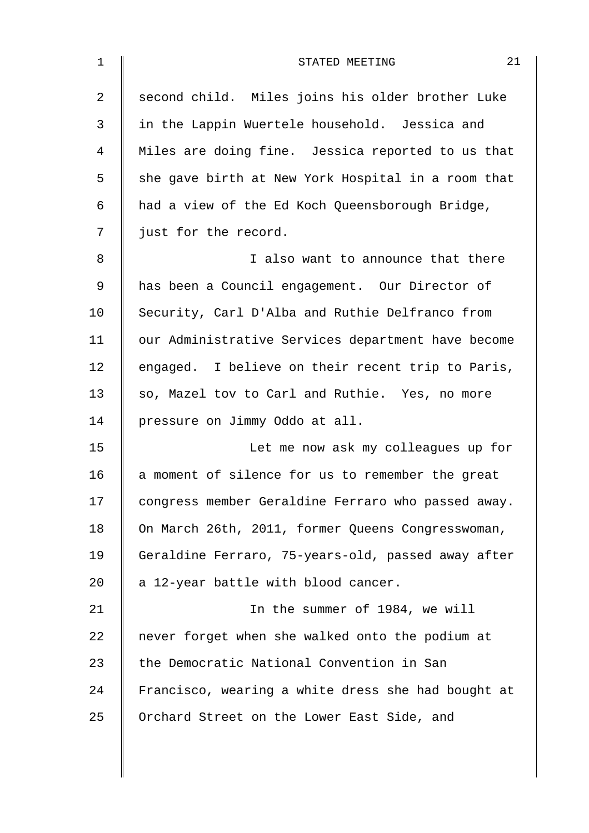| $\mathbf{1}$ | 21<br>STATED MEETING                               |
|--------------|----------------------------------------------------|
| 2            | second child. Miles joins his older brother Luke   |
| 3            | in the Lappin Wuertele household. Jessica and      |
| 4            | Miles are doing fine. Jessica reported to us that  |
| 5            | she gave birth at New York Hospital in a room that |
| 6            | had a view of the Ed Koch Queensborough Bridge,    |
| 7            | just for the record.                               |
| 8            | I also want to announce that there                 |
| 9            | has been a Council engagement. Our Director of     |
| 10           | Security, Carl D'Alba and Ruthie Delfranco from    |
| 11           | our Administrative Services department have become |
| 12           | engaged. I believe on their recent trip to Paris,  |
| 13           | so, Mazel tov to Carl and Ruthie. Yes, no more     |
| 14           | pressure on Jimmy Oddo at all.                     |
| 15           | Let me now ask my colleagues up for                |
| 16           | a moment of silence for us to remember the great   |
| 17           | congress member Geraldine Ferraro who passed away. |
| 18           | On March 26th, 2011, former Queens Congresswoman,  |
| 19           | Geraldine Ferraro, 75-years-old, passed away after |
| 20           | a 12-year battle with blood cancer.                |
| 21           | In the summer of 1984, we will                     |
| 22           | never forget when she walked onto the podium at    |
| 23           | the Democratic National Convention in San          |
| 24           | Francisco, wearing a white dress she had bought at |
| 25           | Orchard Street on the Lower East Side, and         |
|              |                                                    |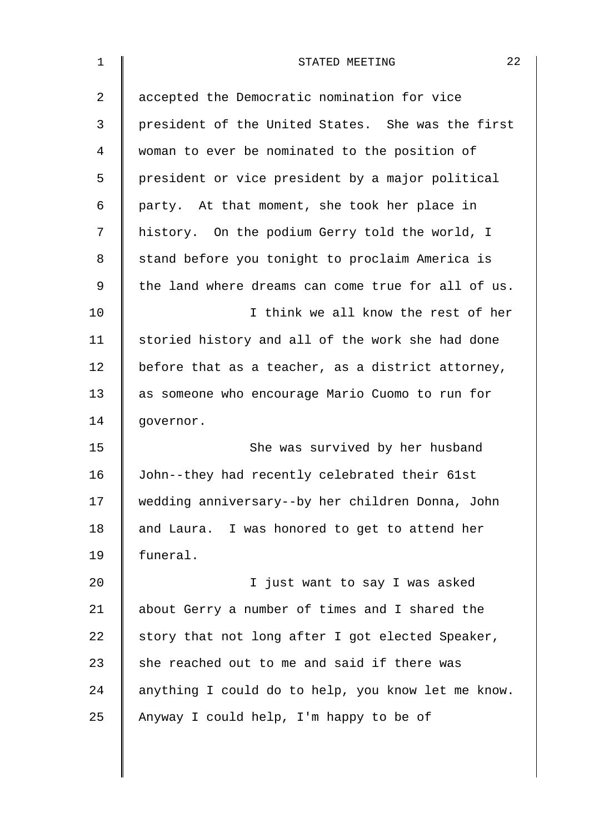| $\mathbf 1$    | 22<br>STATED MEETING                               |
|----------------|----------------------------------------------------|
| $\overline{2}$ | accepted the Democratic nomination for vice        |
| 3              | president of the United States. She was the first  |
| 4              | woman to ever be nominated to the position of      |
| 5              | president or vice president by a major political   |
| 6              | party. At that moment, she took her place in       |
| 7              | history. On the podium Gerry told the world, I     |
| 8              | stand before you tonight to proclaim America is    |
| 9              | the land where dreams can come true for all of us. |
| 10             | I think we all know the rest of her                |
| 11             | storied history and all of the work she had done   |
| 12             | before that as a teacher, as a district attorney,  |
| 13             | as someone who encourage Mario Cuomo to run for    |
| 14             | governor.                                          |
| 15             | She was survived by her husband                    |
| 16             | John--they had recently celebrated their 61st      |
| 17             | wedding anniversary--by her children Donna, John   |
| 18             | and Laura. I was honored to get to attend her      |
| 19             | funeral.                                           |
| 20             | I just want to say I was asked                     |
| 21             | about Gerry a number of times and I shared the     |
| 22             | story that not long after I got elected Speaker,   |
| 23             | she reached out to me and said if there was        |
| 24             | anything I could do to help, you know let me know. |
| 25             | Anyway I could help, I'm happy to be of            |
|                |                                                    |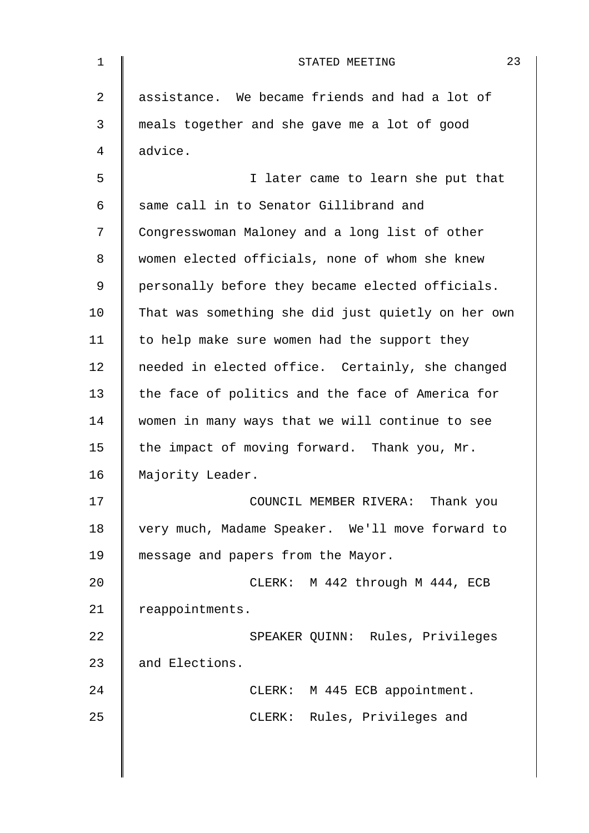| 1  | 23<br>STATED MEETING                               |
|----|----------------------------------------------------|
| 2  | assistance. We became friends and had a lot of     |
| 3  | meals together and she gave me a lot of good       |
| 4  | advice.                                            |
| 5  | I later came to learn she put that                 |
| 6  | same call in to Senator Gillibrand and             |
| 7  | Congresswoman Maloney and a long list of other     |
| 8  | women elected officials, none of whom she knew     |
| 9  | personally before they became elected officials.   |
| 10 | That was something she did just quietly on her own |
| 11 | to help make sure women had the support they       |
| 12 | needed in elected office. Certainly, she changed   |
| 13 | the face of politics and the face of America for   |
| 14 | women in many ways that we will continue to see    |
| 15 | the impact of moving forward. Thank you, Mr.       |
| 16 | Majority Leader.                                   |
| 17 | COUNCIL MEMBER RIVERA: Thank you                   |
| 18 | very much, Madame Speaker. We'll move forward to   |
| 19 | message and papers from the Mayor.                 |
| 20 | CLERK: M 442 through M 444, ECB                    |
| 21 | reappointments.                                    |
| 22 | SPEAKER QUINN: Rules, Privileges                   |
| 23 | and Elections.                                     |
| 24 | CLERK: M 445 ECB appointment.                      |
| 25 | CLERK: Rules, Privileges and                       |
|    |                                                    |
|    |                                                    |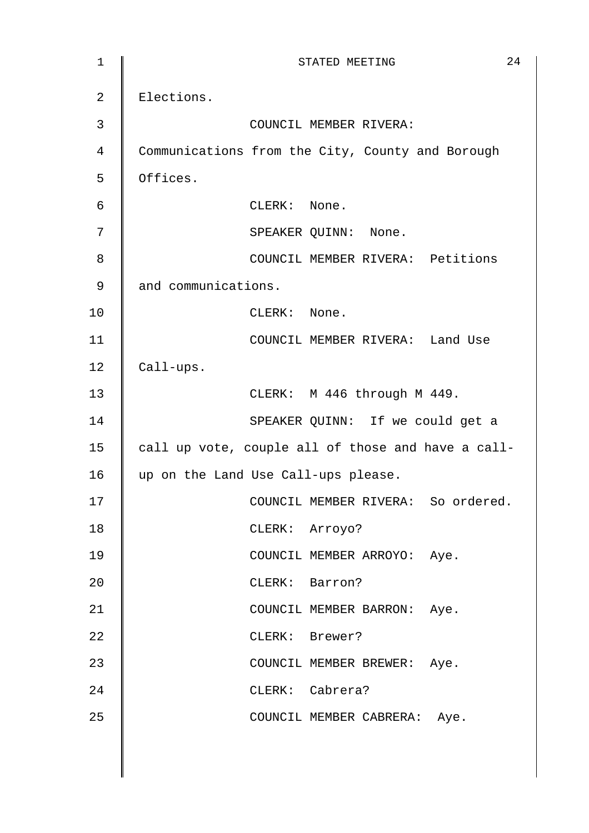| $\mathbf 1$ | 24<br>STATED MEETING                               |
|-------------|----------------------------------------------------|
| 2           | Elections.                                         |
| 3           | COUNCIL MEMBER RIVERA:                             |
| 4           | Communications from the City, County and Borough   |
| 5           | Offices.                                           |
| 6           | CLERK: None.                                       |
| 7           | SPEAKER QUINN: None.                               |
| 8           | COUNCIL MEMBER RIVERA: Petitions                   |
| $\mathsf 9$ | and communications.                                |
| 10          | CLERK: None.                                       |
| 11          | COUNCIL MEMBER RIVERA: Land Use                    |
| 12          | Call-ups.                                          |
| 13          | CLERK: M 446 through M 449.                        |
| 14          | SPEAKER QUINN: If we could get a                   |
| 15          | call up vote, couple all of those and have a call- |
| 16          | up on the Land Use Call-ups please.                |
| 17          | COUNCIL MEMBER RIVERA: So ordered.                 |
| 18          | CLERK: Arroyo?                                     |
| 19          | COUNCIL MEMBER ARROYO: Aye.                        |
| 20          | CLERK: Barron?                                     |
| 21          | COUNCIL MEMBER BARRON: Aye.                        |
| 22          | CLERK: Brewer?                                     |
| 23          | COUNCIL MEMBER BREWER: Aye.                        |
| 24          | CLERK: Cabrera?                                    |
| 25          | COUNCIL MEMBER CABRERA: Aye.                       |
|             |                                                    |
|             |                                                    |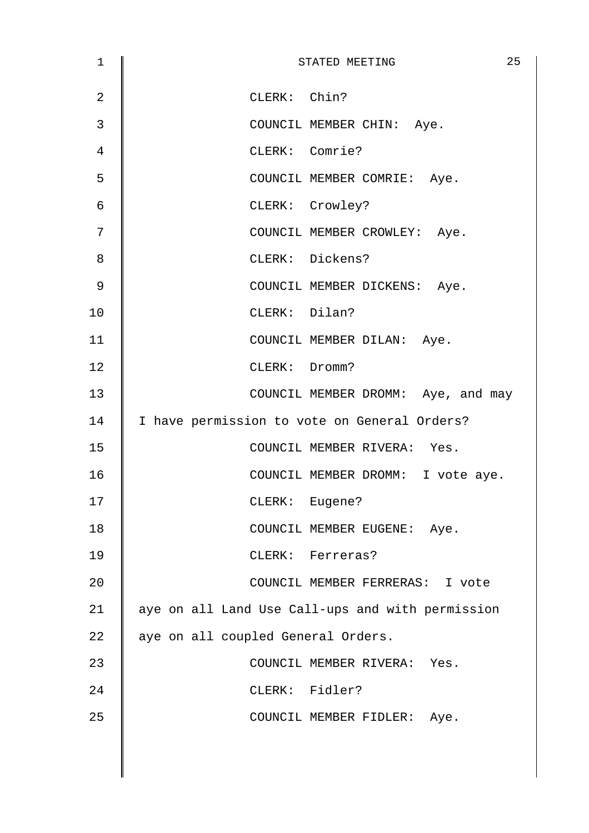| $\mathbf 1$    | 25<br>STATED MEETING                             |
|----------------|--------------------------------------------------|
| $\overline{2}$ | CLERK: Chin?                                     |
| 3              | COUNCIL MEMBER CHIN: Aye.                        |
| 4              | CLERK: Comrie?                                   |
| 5              | COUNCIL MEMBER COMRIE: Aye.                      |
| 6              | CLERK: Crowley?                                  |
| 7              | COUNCIL MEMBER CROWLEY: Aye.                     |
| 8              | CLERK: Dickens?                                  |
| 9              | COUNCIL MEMBER DICKENS: Aye.                     |
| 10             | CLERK: Dilan?                                    |
| 11             | COUNCIL MEMBER DILAN: Aye.                       |
| 12             | CLERK: Dromm?                                    |
| 13             | COUNCIL MEMBER DROMM: Aye, and may               |
| 14             | I have permission to vote on General Orders?     |
| 15             | COUNCIL MEMBER RIVERA: Yes.                      |
| 16             | COUNCIL MEMBER DROMM: I vote aye.                |
| 17             | CLERK: Eugene?                                   |
| 18             | COUNCIL MEMBER EUGENE: Aye.                      |
| 19             | CLERK: Ferreras?                                 |
| 20             | COUNCIL MEMBER FERRERAS: I vote                  |
| 21             | aye on all Land Use Call-ups and with permission |
| 22             | aye on all coupled General Orders.               |
| 23             | COUNCIL MEMBER RIVERA: Yes.                      |
| 24             | CLERK: Fidler?                                   |
| 25             | COUNCIL MEMBER FIDLER: Aye.                      |
|                |                                                  |
|                |                                                  |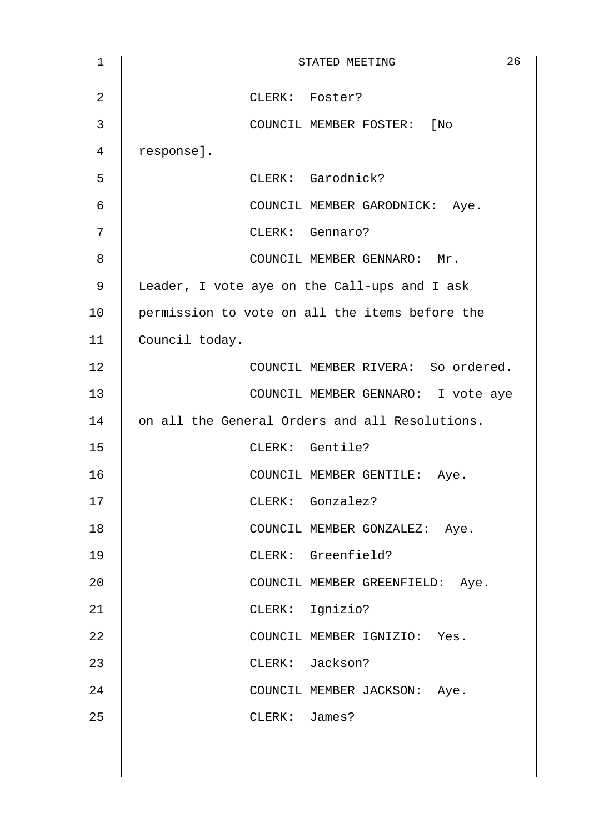| $\mathbf{1}$   | 26<br>STATED MEETING                           |
|----------------|------------------------------------------------|
| $\overline{a}$ | CLERK: Foster?                                 |
| 3              | COUNCIL MEMBER FOSTER: [No                     |
| 4              | response].                                     |
| 5              | CLERK: Garodnick?                              |
| 6              | COUNCIL MEMBER GARODNICK: Aye.                 |
| 7              | CLERK: Gennaro?                                |
| 8              | COUNCIL MEMBER GENNARO: Mr.                    |
| 9              | Leader, I vote aye on the Call-ups and I ask   |
| 10             | permission to vote on all the items before the |
| 11             | Council today.                                 |
| 12             | COUNCIL MEMBER RIVERA: So ordered.             |
| 13             | COUNCIL MEMBER GENNARO: I vote aye             |
| 14             | on all the General Orders and all Resolutions. |
| 15             | CLERK: Gentile?                                |
| 16             | COUNCIL MEMBER GENTILE: Aye.                   |
| 17             | CLERK: Gonzalez?                               |
| 18             | COUNCIL MEMBER GONZALEZ: Aye.                  |
| 19             | CLERK: Greenfield?                             |
| 20             | COUNCIL MEMBER GREENFIELD: Aye.                |
| 21             | CLERK: Ignizio?                                |
| 22             | COUNCIL MEMBER IGNIZIO: Yes.                   |
| 23             | CLERK: Jackson?                                |
| 24             | COUNCIL MEMBER JACKSON: Aye.                   |
| 25             | CLERK: James?                                  |
|                |                                                |
|                |                                                |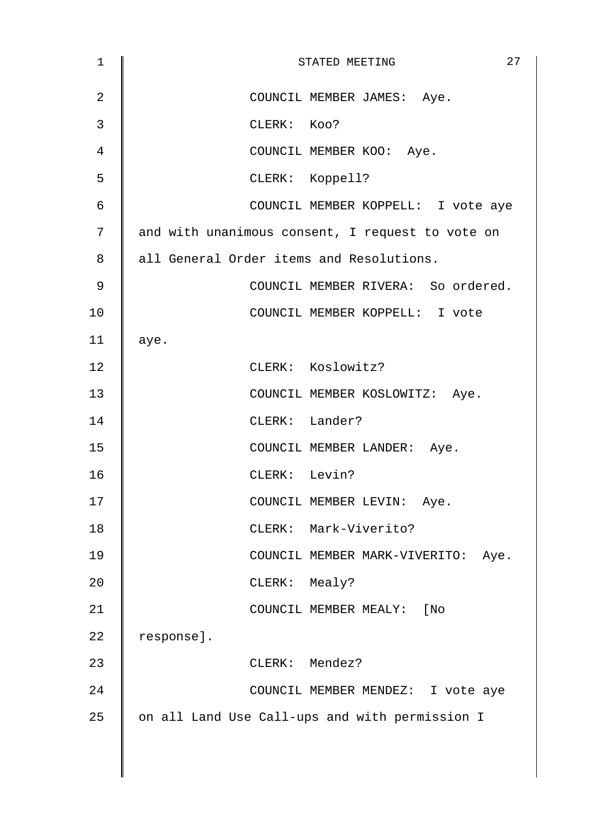| 1  | 27<br>STATED MEETING                             |
|----|--------------------------------------------------|
| 2  | COUNCIL MEMBER JAMES: Aye.                       |
| 3  | CLERK: Koo?                                      |
| 4  | COUNCIL MEMBER KOO: Aye.                         |
| 5  | CLERK: Koppell?                                  |
| 6  | COUNCIL MEMBER KOPPELL: I vote aye               |
| 7  | and with unanimous consent, I request to vote on |
| 8  | all General Order items and Resolutions.         |
| 9  | COUNCIL MEMBER RIVERA: So ordered.               |
| 10 | COUNCIL MEMBER KOPPELL: I vote                   |
| 11 | aye.                                             |
| 12 | CLERK: Koslowitz?                                |
| 13 | COUNCIL MEMBER KOSLOWITZ: Aye.                   |
| 14 | CLERK: Lander?                                   |
| 15 | COUNCIL MEMBER LANDER: Aye.                      |
| 16 | CLERK: Levin?                                    |
| 17 | COUNCIL MEMBER LEVIN:<br>Aye.                    |
| 18 | CLERK: Mark-Viverito?                            |
| 19 | COUNCIL MEMBER MARK-VIVERITO: Aye.               |
| 20 | CLERK: Mealy?                                    |
| 21 | COUNCIL MEMBER MEALY: [No                        |
| 22 | response].                                       |
| 23 | CLERK: Mendez?                                   |
| 24 | COUNCIL MEMBER MENDEZ: I vote aye                |
| 25 | on all Land Use Call-ups and with permission I   |
|    |                                                  |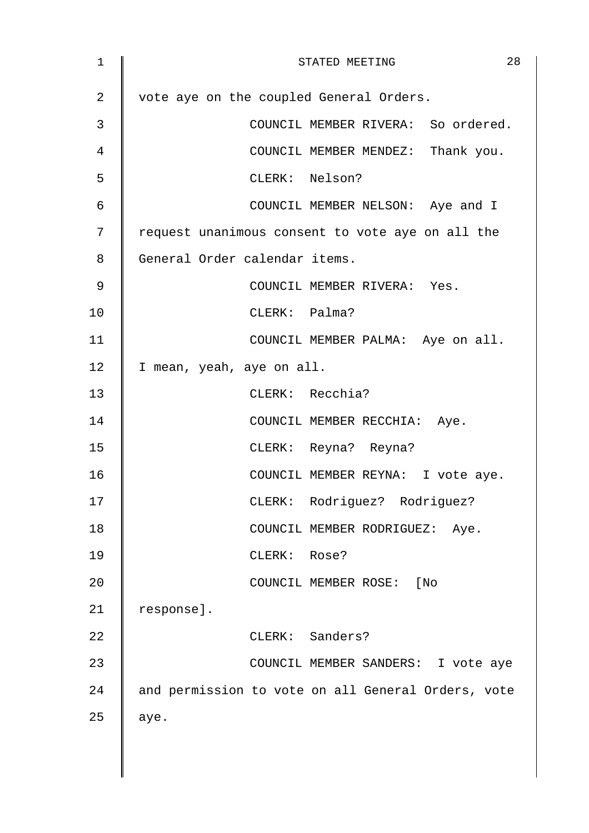| $\mathbf 1$    | 28<br>STATED MEETING                               |
|----------------|----------------------------------------------------|
| 2              | vote aye on the coupled General Orders.            |
| 3              | COUNCIL MEMBER RIVERA: So ordered.                 |
| $\overline{4}$ | COUNCIL MEMBER MENDEZ: Thank you.                  |
| 5              | CLERK: Nelson?                                     |
| $\epsilon$     | COUNCIL MEMBER NELSON: Aye and I                   |
| 7              | request unanimous consent to vote aye on all the   |
| 8              | General Order calendar items.                      |
| 9              | COUNCIL MEMBER RIVERA: Yes.                        |
| 10             | CLERK: Palma?                                      |
| 11             | COUNCIL MEMBER PALMA: Aye on all.                  |
| 12             | I mean, yeah, aye on all.                          |
| 13             | CLERK: Recchia?                                    |
| 14             | COUNCIL MEMBER RECCHIA: Aye.                       |
| 15             | CLERK: Reyna? Reyna?                               |
| 16             | COUNCIL MEMBER REYNA: I vote aye.                  |
| 17             | CLERK: Rodriguez? Rodriguez?                       |
| 18             | COUNCIL MEMBER RODRIGUEZ: Aye.                     |
| 19             | CLERK: Rose?                                       |
| 20             | COUNCIL MEMBER ROSE: [No                           |
| 21             | response].                                         |
| 22             | CLERK: Sanders?                                    |
| 23             | COUNCIL MEMBER SANDERS: I vote aye                 |
| 24             | and permission to vote on all General Orders, vote |
| 25             | aye.                                               |
|                |                                                    |
|                |                                                    |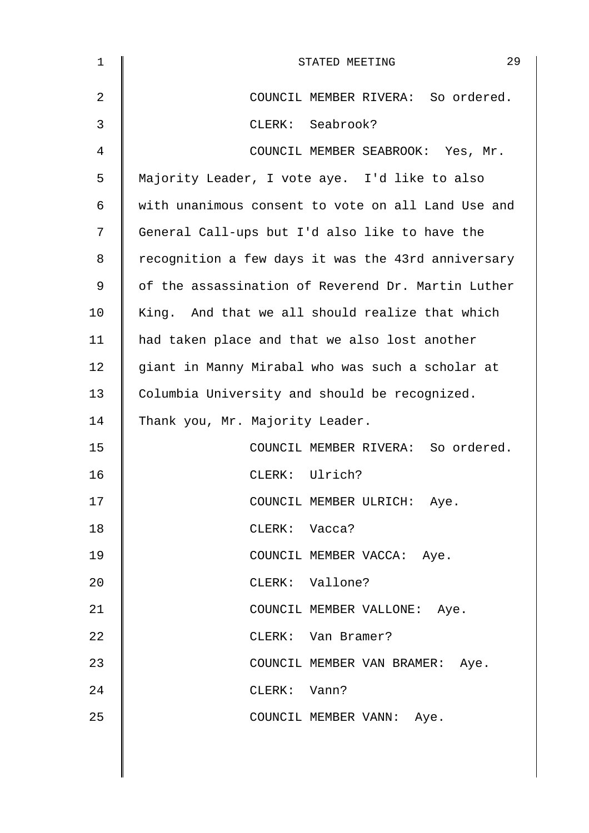| 1  | 29<br>STATED MEETING                               |
|----|----------------------------------------------------|
| 2  | COUNCIL MEMBER RIVERA: So ordered.                 |
| 3  | CLERK: Seabrook?                                   |
| 4  | COUNCIL MEMBER SEABROOK: Yes, Mr.                  |
| 5  | Majority Leader, I vote aye. I'd like to also      |
| 6  | with unanimous consent to vote on all Land Use and |
| 7  | General Call-ups but I'd also like to have the     |
| 8  | recognition a few days it was the 43rd anniversary |
| 9  | of the assassination of Reverend Dr. Martin Luther |
| 10 | King. And that we all should realize that which    |
| 11 | had taken place and that we also lost another      |
| 12 | giant in Manny Mirabal who was such a scholar at   |
| 13 | Columbia University and should be recognized.      |
| 14 | Thank you, Mr. Majority Leader.                    |
| 15 | COUNCIL MEMBER RIVERA: So ordered.                 |
| 16 | CLERK: Ulrich?                                     |
| 17 | COUNCIL MEMBER ULRICH: Aye.                        |
| 18 | CLERK: Vacca?                                      |
| 19 | COUNCIL MEMBER VACCA: Aye.                         |
| 20 | CLERK: Vallone?                                    |
| 21 | COUNCIL MEMBER VALLONE: Aye.                       |
| 22 | CLERK: Van Bramer?                                 |
| 23 | COUNCIL MEMBER VAN BRAMER: Aye.                    |
| 24 | CLERK: Vann?                                       |
| 25 | COUNCIL MEMBER VANN: Aye.                          |
|    |                                                    |
|    |                                                    |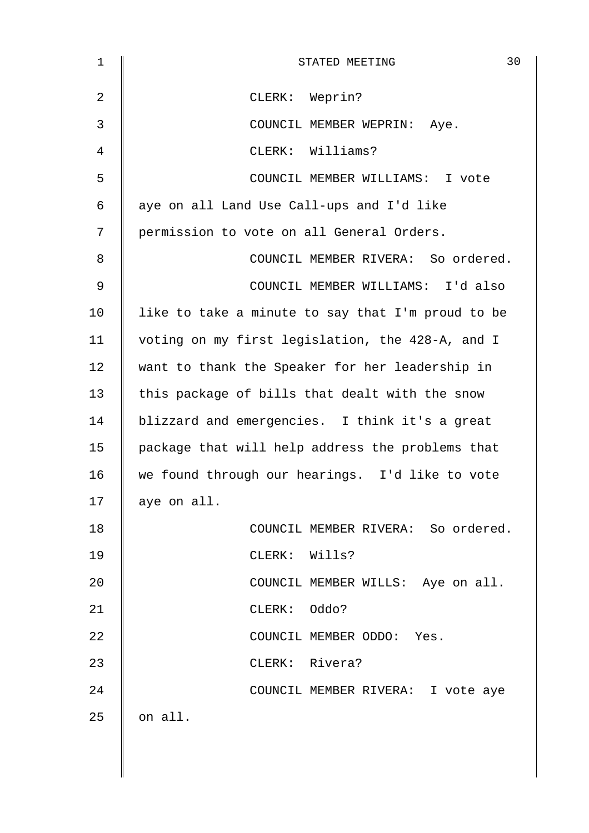| $\mathbf 1$ | 30<br>STATED MEETING                              |
|-------------|---------------------------------------------------|
| 2           | CLERK: Weprin?                                    |
| 3           | COUNCIL MEMBER WEPRIN: Aye.                       |
| 4           | CLERK: Williams?                                  |
| 5           | COUNCIL MEMBER WILLIAMS: I vote                   |
| 6           | aye on all Land Use Call-ups and I'd like         |
| 7           | permission to vote on all General Orders.         |
| 8           | COUNCIL MEMBER RIVERA: So ordered.                |
| $\mathsf 9$ | COUNCIL MEMBER WILLIAMS: I'd also                 |
| 10          | like to take a minute to say that I'm proud to be |
| 11          | voting on my first legislation, the 428-A, and I  |
| 12          | want to thank the Speaker for her leadership in   |
| 13          | this package of bills that dealt with the snow    |
| 14          | blizzard and emergencies. I think it's a great    |
| 15          | package that will help address the problems that  |
| 16          | we found through our hearings. I'd like to vote   |
| 17          | aye on all.                                       |
| 18          | COUNCIL MEMBER RIVERA: So ordered.                |
| 19          | CLERK: Wills?                                     |
| 20          | COUNCIL MEMBER WILLS: Aye on all.                 |
| 21          | CLERK: Oddo?                                      |
| 22          | COUNCIL MEMBER ODDO: Yes.                         |
| 23          | CLERK: Rivera?                                    |
| 24          | COUNCIL MEMBER RIVERA: I vote aye                 |
| 25          | on all.                                           |
|             |                                                   |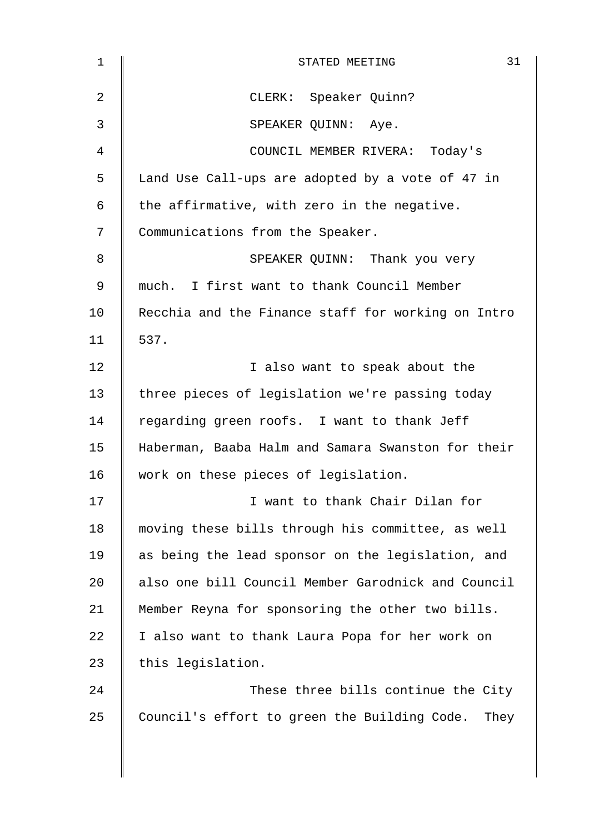| $\mathbf{1}$ | 31<br>STATED MEETING                               |
|--------------|----------------------------------------------------|
| 2            | CLERK: Speaker Quinn?                              |
| 3            | SPEAKER QUINN: Aye.                                |
| 4            | COUNCIL MEMBER RIVERA: Today's                     |
| 5            | Land Use Call-ups are adopted by a vote of 47 in   |
| 6            | the affirmative, with zero in the negative.        |
| 7            | Communications from the Speaker.                   |
| 8            | SPEAKER QUINN: Thank you very                      |
| 9            | much. I first want to thank Council Member         |
| 10           | Recchia and the Finance staff for working on Intro |
| 11           | 537.                                               |
| 12           | I also want to speak about the                     |
| 13           | three pieces of legislation we're passing today    |
| 14           | regarding green roofs. I want to thank Jeff        |
| 15           | Haberman, Baaba Halm and Samara Swanston for their |
| 16           | work on these pieces of legislation.               |
| 17           | I want to thank Chair Dilan for                    |
| 18           | moving these bills through his committee, as well  |
| 19           | as being the lead sponsor on the legislation, and  |
| 20           | also one bill Council Member Garodnick and Council |
| 21           | Member Reyna for sponsoring the other two bills.   |
| 22           | I also want to thank Laura Popa for her work on    |
| 23           | this legislation.                                  |
| 24           | These three bills continue the City                |
| 25           | Council's effort to green the Building Code. They  |
|              |                                                    |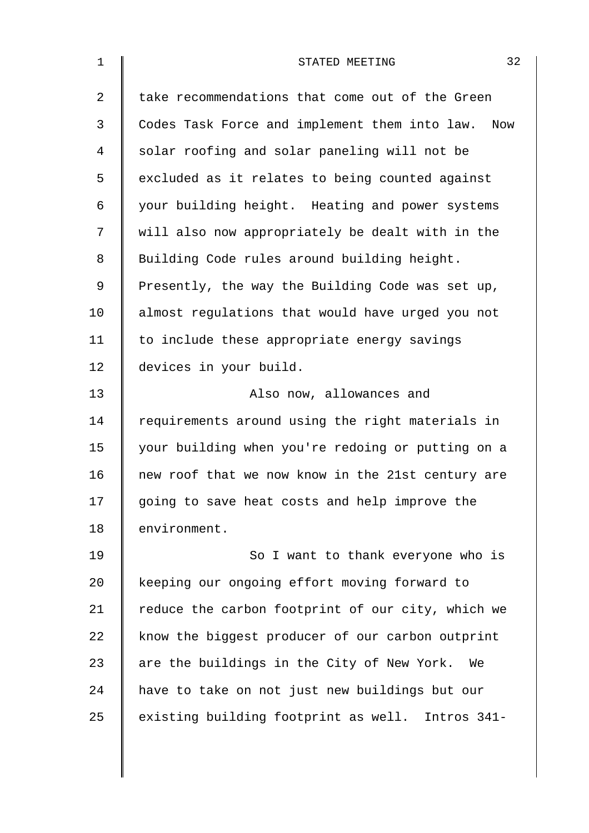| $\mathbf 1$    | 32<br>STATED MEETING                                 |
|----------------|------------------------------------------------------|
| $\overline{2}$ | take recommendations that come out of the Green      |
| 3              | Codes Task Force and implement them into law.<br>Now |
| 4              | solar roofing and solar paneling will not be         |
| 5              | excluded as it relates to being counted against      |
| 6              | your building height. Heating and power systems      |
| 7              | will also now appropriately be dealt with in the     |
| 8              | Building Code rules around building height.          |
| 9              | Presently, the way the Building Code was set up,     |
| 10             | almost regulations that would have urged you not     |
| 11             | to include these appropriate energy savings          |
| 12             | devices in your build.                               |
| 13             | Also now, allowances and                             |
| 14             | requirements around using the right materials in     |
| 15             | your building when you're redoing or putting on a    |
| 16             | new roof that we now know in the 21st century are    |
| 17             | going to save heat costs and help improve the        |
| 18             | environment.                                         |
| 19             | So I want to thank everyone who is                   |
| 20             | keeping our ongoing effort moving forward to         |
| 21             | reduce the carbon footprint of our city, which we    |
| 22             | know the biggest producer of our carbon outprint     |
| 23             | are the buildings in the City of New York. We        |
| 24             | have to take on not just new buildings but our       |
| 25             | existing building footprint as well. Intros 341-     |
|                |                                                      |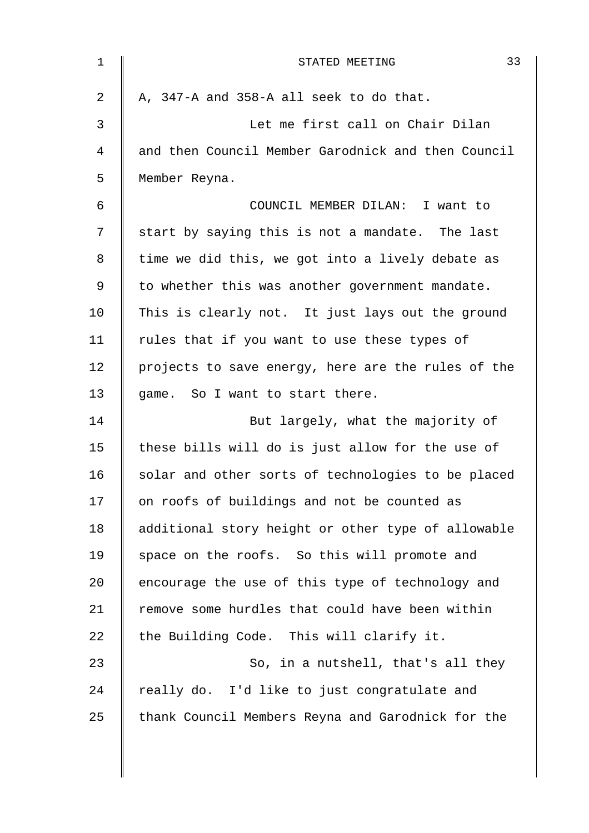| $\mathbf 1$ | 33<br>STATED MEETING                               |
|-------------|----------------------------------------------------|
| 2           | A, 347-A and 358-A all seek to do that.            |
| 3           | Let me first call on Chair Dilan                   |
| 4           | and then Council Member Garodnick and then Council |
| 5           | Member Reyna.                                      |
| 6           | COUNCIL MEMBER DILAN: I want to                    |
| 7           | start by saying this is not a mandate. The last    |
| 8           | time we did this, we got into a lively debate as   |
| 9           | to whether this was another government mandate.    |
| 10          | This is clearly not. It just lays out the ground   |
| 11          | rules that if you want to use these types of       |
| 12          | projects to save energy, here are the rules of the |
| 13          | game. So I want to start there.                    |
| 14          | But largely, what the majority of                  |
| 15          | these bills will do is just allow for the use of   |
| 16          | solar and other sorts of technologies to be placed |
| 17          | on roofs of buildings and not be counted as        |
| 18          | additional story height or other type of allowable |
| 19          | space on the roofs. So this will promote and       |
| 20          | encourage the use of this type of technology and   |
| 21          | remove some hurdles that could have been within    |
| 22          | the Building Code. This will clarify it.           |
| 23          | So, in a nutshell, that's all they                 |
| 24          | really do. I'd like to just congratulate and       |
| 25          | thank Council Members Reyna and Garodnick for the  |
|             |                                                    |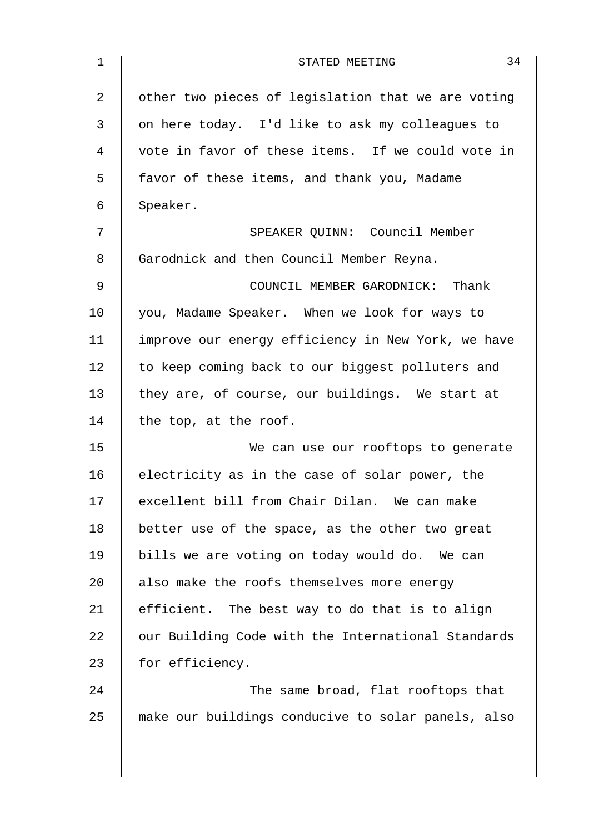| $\mathbf 1$ | 34<br>STATED MEETING                               |
|-------------|----------------------------------------------------|
| 2           | other two pieces of legislation that we are voting |
| 3           | on here today. I'd like to ask my colleagues to    |
| 4           | vote in favor of these items. If we could vote in  |
| 5           | favor of these items, and thank you, Madame        |
| 6           | Speaker.                                           |
| 7           | SPEAKER QUINN: Council Member                      |
| 8           | Garodnick and then Council Member Reyna.           |
| 9           | COUNCIL MEMBER GARODNICK: Thank                    |
| 10          | you, Madame Speaker. When we look for ways to      |
| 11          | improve our energy efficiency in New York, we have |
| 12          | to keep coming back to our biggest polluters and   |
| 13          | they are, of course, our buildings. We start at    |
| 14          | the top, at the roof.                              |
| 15          | We can use our rooftops to generate                |
| 16          | electricity as in the case of solar power, the     |
| 17          | excellent bill from Chair Dilan. We can make       |
| 18          | better use of the space, as the other two great    |
| 19          | bills we are voting on today would do. We can      |
| 20          | also make the roofs themselves more energy         |
| 21          | efficient. The best way to do that is to align     |
| 22          | our Building Code with the International Standards |
| 23          | for efficiency.                                    |
| 24          | The same broad, flat rooftops that                 |
| 25          | make our buildings conducive to solar panels, also |
|             |                                                    |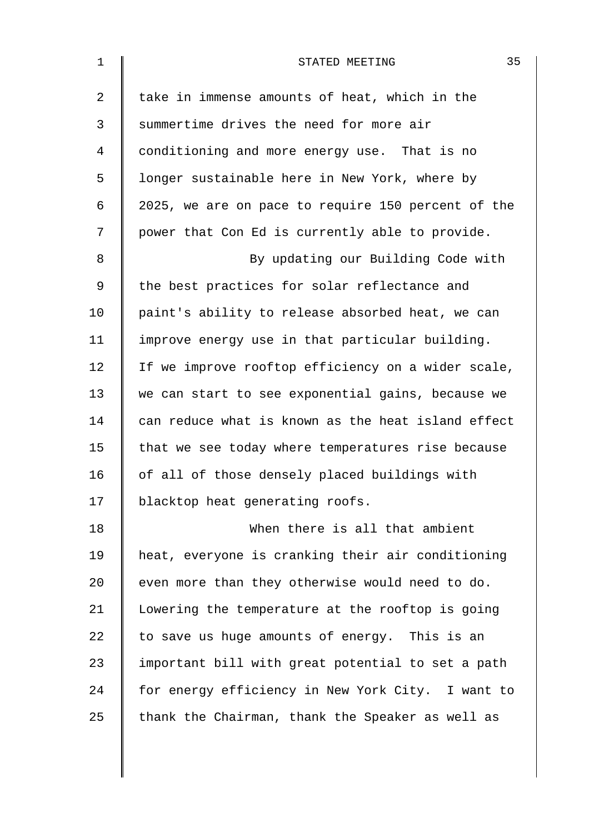| $\mathbf 1$    | 35<br>STATED MEETING                               |
|----------------|----------------------------------------------------|
| $\overline{2}$ | take in immense amounts of heat, which in the      |
| 3              | summertime drives the need for more air            |
| 4              | conditioning and more energy use. That is no       |
| 5              | longer sustainable here in New York, where by      |
| 6              | 2025, we are on pace to require 150 percent of the |
| 7              | power that Con Ed is currently able to provide.    |
| 8              | By updating our Building Code with                 |
| 9              | the best practices for solar reflectance and       |
| 10             | paint's ability to release absorbed heat, we can   |
| 11             | improve energy use in that particular building.    |
| 12             | If we improve rooftop efficiency on a wider scale, |
| 13             | we can start to see exponential gains, because we  |
| 14             | can reduce what is known as the heat island effect |
| 15             | that we see today where temperatures rise because  |
| 16             | of all of those densely placed buildings with      |
| 17             | blacktop heat generating roofs.                    |
| 18             | When there is all that ambient                     |
| 19             | heat, everyone is cranking their air conditioning  |
| 20             | even more than they otherwise would need to do.    |
| 21             | Lowering the temperature at the rooftop is going   |
| 22             | to save us huge amounts of energy. This is an      |
| 23             | important bill with great potential to set a path  |
| 24             | for energy efficiency in New York City. I want to  |
| 25             | thank the Chairman, thank the Speaker as well as   |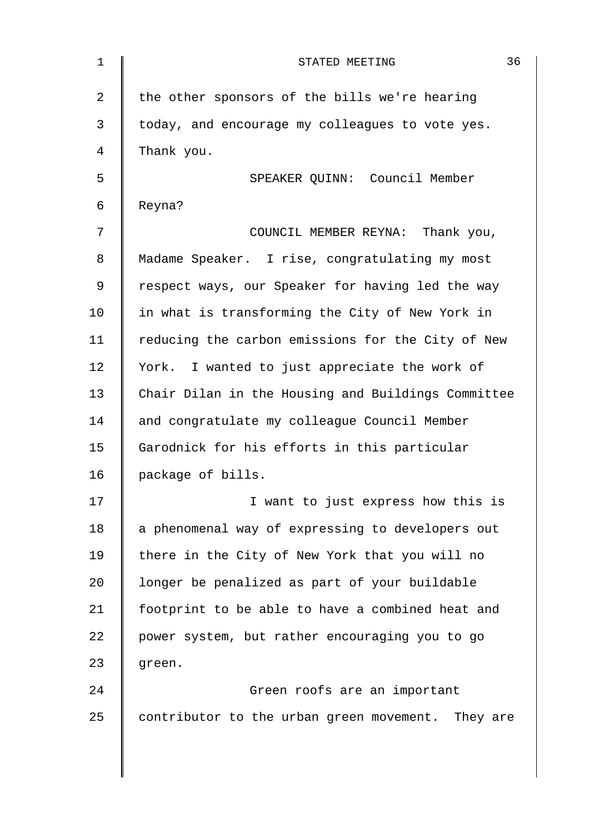| $\mathbf 1$    | 36<br>STATED MEETING                               |
|----------------|----------------------------------------------------|
| $\overline{2}$ | the other sponsors of the bills we're hearing      |
| 3              | today, and encourage my colleagues to vote yes.    |
| 4              | Thank you.                                         |
| 5              | SPEAKER QUINN: Council Member                      |
| 6              | Reyna?                                             |
| 7              | COUNCIL MEMBER REYNA: Thank you,                   |
| 8              | Madame Speaker. I rise, congratulating my most     |
| 9              | respect ways, our Speaker for having led the way   |
| 10             | in what is transforming the City of New York in    |
| 11             | reducing the carbon emissions for the City of New  |
| 12             | York. I wanted to just appreciate the work of      |
| 13             | Chair Dilan in the Housing and Buildings Committee |
| 14             | and congratulate my colleague Council Member       |
| 15             | Garodnick for his efforts in this particular       |
| 16             | package of bills.                                  |
| 17             | I want to just express how this is                 |
| 18             | a phenomenal way of expressing to developers out   |
| 19             | there in the City of New York that you will no     |
| 20             | longer be penalized as part of your buildable      |
| 21             | footprint to be able to have a combined heat and   |
| 22             | power system, but rather encouraging you to go     |
| 23             | green.                                             |
| 24             | Green roofs are an important                       |
| 25             | contributor to the urban green movement. They are  |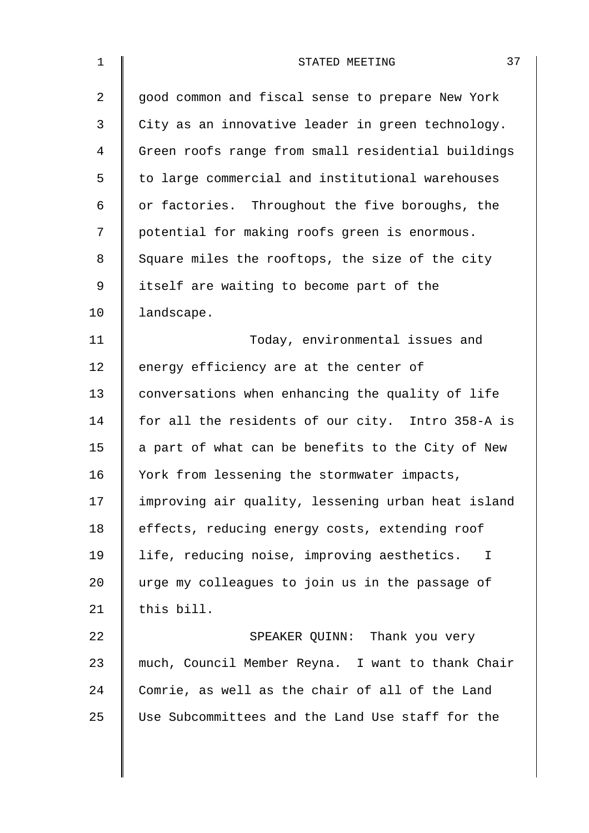| $\mathbf 1$    | 37<br>STATED MEETING                               |
|----------------|----------------------------------------------------|
| $\overline{a}$ | good common and fiscal sense to prepare New York   |
| 3              | City as an innovative leader in green technology.  |
| 4              | Green roofs range from small residential buildings |
| 5              | to large commercial and institutional warehouses   |
| 6              | or factories. Throughout the five boroughs, the    |
| 7              | potential for making roofs green is enormous.      |
| 8              | Square miles the rooftops, the size of the city    |
| $\mathsf 9$    | itself are waiting to become part of the           |
| 10             | landscape.                                         |
| 11             | Today, environmental issues and                    |
| 12             | energy efficiency are at the center of             |
| 13             | conversations when enhancing the quality of life   |
| 14             | for all the residents of our city. Intro 358-A is  |
| 15             | a part of what can be benefits to the City of New  |
| 16             | York from lessening the stormwater impacts,        |
| 17             | improving air quality, lessening urban heat island |
| 18             | effects, reducing energy costs, extending roof     |
| 19             | life, reducing noise, improving aesthetics. I      |
| 20             | urge my colleagues to join us in the passage of    |
| 21             | this bill.                                         |
| 22             | SPEAKER QUINN: Thank you very                      |
| 23             | much, Council Member Reyna. I want to thank Chair  |
| 24             | Comrie, as well as the chair of all of the Land    |
| 25             | Use Subcommittees and the Land Use staff for the   |
|                |                                                    |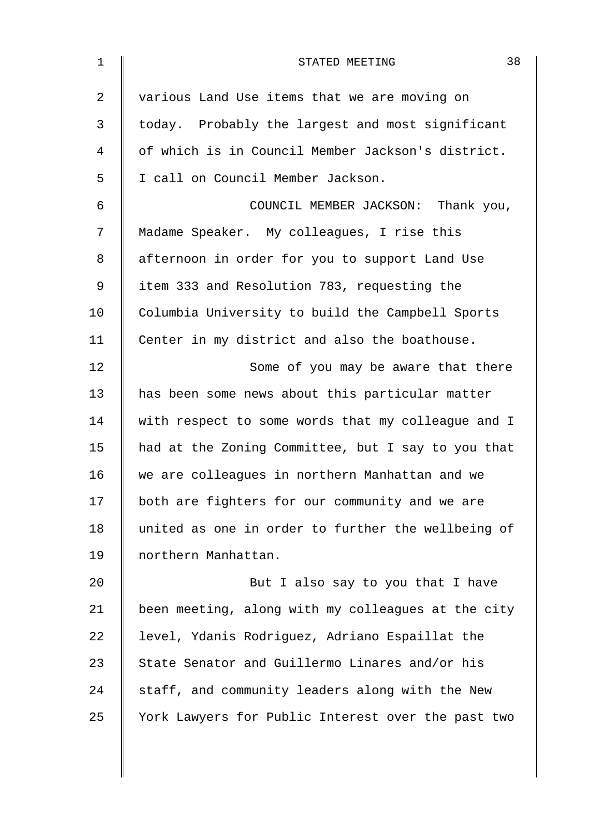| 1              | 38<br>STATED MEETING                               |
|----------------|----------------------------------------------------|
| $\overline{2}$ | various Land Use items that we are moving on       |
| 3              | today. Probably the largest and most significant   |
| 4              | of which is in Council Member Jackson's district.  |
| 5              | I call on Council Member Jackson.                  |
| 6              | COUNCIL MEMBER JACKSON: Thank you,                 |
| 7              | Madame Speaker. My colleagues, I rise this         |
| 8              | afternoon in order for you to support Land Use     |
| 9              | item 333 and Resolution 783, requesting the        |
| 10             | Columbia University to build the Campbell Sports   |
| 11             | Center in my district and also the boathouse.      |
| 12             | Some of you may be aware that there                |
| 13             | has been some news about this particular matter    |
| 14             | with respect to some words that my colleague and I |
| 15             | had at the Zoning Committee, but I say to you that |
| 16             | we are colleagues in northern Manhattan and we     |
| 17             | both are fighters for our community and we are     |
| 18             | united as one in order to further the wellbeing of |
| 19             | northern Manhattan.                                |
| 20             | But I also say to you that I have                  |
| 21             | been meeting, along with my colleagues at the city |
| 22             | level, Ydanis Rodriguez, Adriano Espaillat the     |
| 23             | State Senator and Guillermo Linares and/or his     |
| 24             | staff, and community leaders along with the New    |
| 25             | York Lawyers for Public Interest over the past two |
|                |                                                    |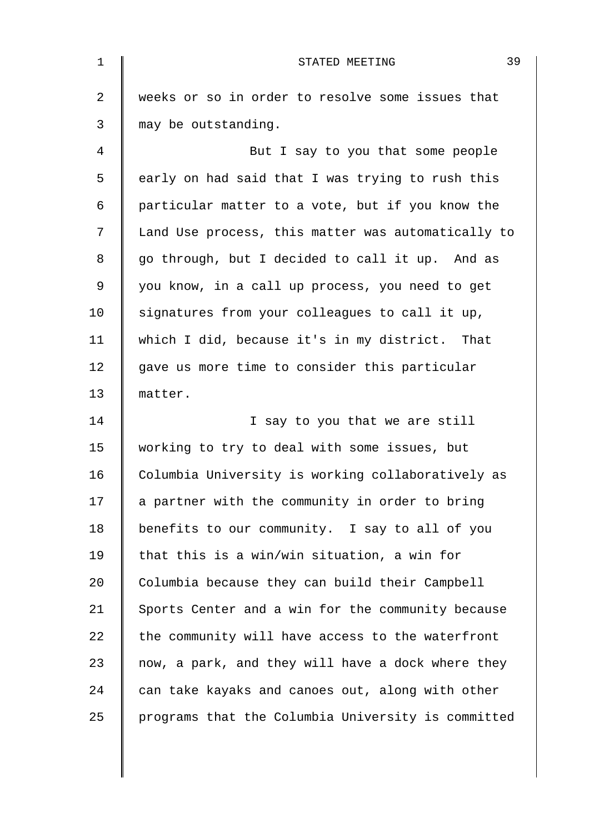| $\mathbf 1$ | 39<br>STATED MEETING                               |
|-------------|----------------------------------------------------|
| 2           | weeks or so in order to resolve some issues that   |
| 3           | may be outstanding.                                |
| 4           | But I say to you that some people                  |
| 5           | early on had said that I was trying to rush this   |
| 6           | particular matter to a vote, but if you know the   |
| 7           | Land Use process, this matter was automatically to |
| 8           | go through, but I decided to call it up. And as    |
| $\mathsf 9$ | you know, in a call up process, you need to get    |
| 10          | signatures from your colleagues to call it up,     |
| 11          | which I did, because it's in my district. That     |
| 12          | gave us more time to consider this particular      |
| 13          | matter.                                            |
| 14          | I say to you that we are still                     |
| 15          | working to try to deal with some issues, but       |
| 16          | Columbia University is working collaboratively as  |
| 17          | a partner with the community in order to bring     |
| 18          | benefits to our community. I say to all of you     |
| 19          | that this is a win/win situation, a win for        |
| 20          | Columbia because they can build their Campbell     |
| 21          | Sports Center and a win for the community because  |
| 22          | the community will have access to the waterfront   |
| 23          | now, a park, and they will have a dock where they  |
| 24          | can take kayaks and canoes out, along with other   |
| 25          | programs that the Columbia University is committed |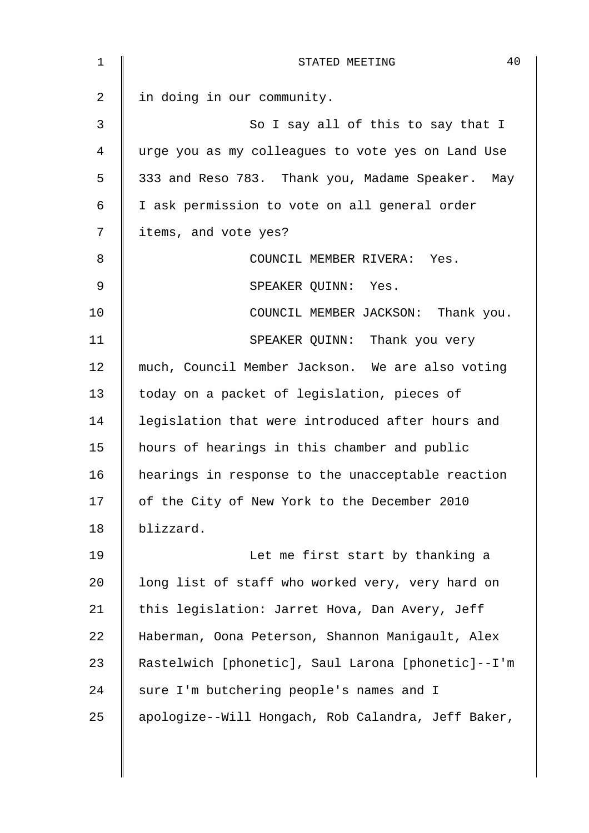| 40<br>STATED MEETING                               |
|----------------------------------------------------|
| in doing in our community.                         |
| So I say all of this to say that I                 |
| urge you as my colleagues to vote yes on Land Use  |
| 333 and Reso 783. Thank you, Madame Speaker. May   |
| I ask permission to vote on all general order      |
| items, and vote yes?                               |
| COUNCIL MEMBER RIVERA: Yes.                        |
| SPEAKER OUINN: Yes.                                |
| COUNCIL MEMBER JACKSON: Thank you.                 |
| SPEAKER QUINN: Thank you very                      |
| much, Council Member Jackson. We are also voting   |
| today on a packet of legislation, pieces of        |
| legislation that were introduced after hours and   |
| hours of hearings in this chamber and public       |
| hearings in response to the unacceptable reaction  |
| of the City of New York to the December 2010       |
| blizzard.                                          |
| Let me first start by thanking a                   |
| long list of staff who worked very, very hard on   |
| this legislation: Jarret Hova, Dan Avery, Jeff     |
| Haberman, Oona Peterson, Shannon Manigault, Alex   |
| Rastelwich [phonetic], Saul Larona [phonetic]--I'm |
| sure I'm butchering people's names and I           |
| apologize--Will Hongach, Rob Calandra, Jeff Baker, |
|                                                    |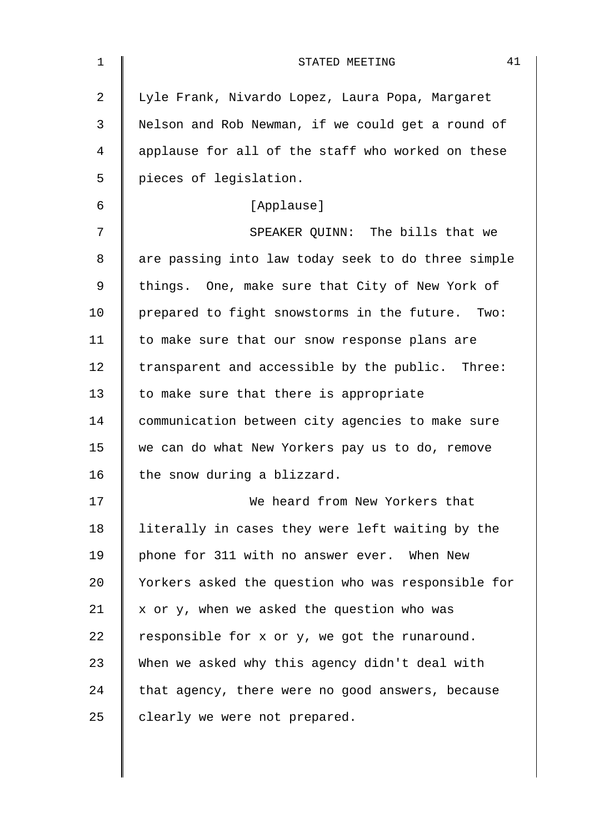| 1              | 41<br>STATED MEETING                               |
|----------------|----------------------------------------------------|
| $\overline{2}$ | Lyle Frank, Nivardo Lopez, Laura Popa, Margaret    |
| 3              | Nelson and Rob Newman, if we could get a round of  |
| 4              | applause for all of the staff who worked on these  |
| 5              | pieces of legislation.                             |
| 6              | [Applause]                                         |
| 7              | SPEAKER QUINN: The bills that we                   |
| 8              | are passing into law today seek to do three simple |
| 9              | things. One, make sure that City of New York of    |
| 10             | prepared to fight snowstorms in the future. Two:   |
| 11             | to make sure that our snow response plans are      |
| 12             | transparent and accessible by the public. Three:   |
| 13             | to make sure that there is appropriate             |
| 14             | communication between city agencies to make sure   |
| 15             | we can do what New Yorkers pay us to do, remove    |
| 16             | the snow during a blizzard.                        |
| 17             | We heard from New Yorkers that                     |
| 18             | literally in cases they were left waiting by the   |
| 19             | phone for 311 with no answer ever. When New        |
| 20             | Yorkers asked the question who was responsible for |
| 21             | x or y, when we asked the question who was         |
| 22             | responsible for x or y, we got the runaround.      |
| 23             | When we asked why this agency didn't deal with     |
| 24             | that agency, there were no good answers, because   |
| 25             | clearly we were not prepared.                      |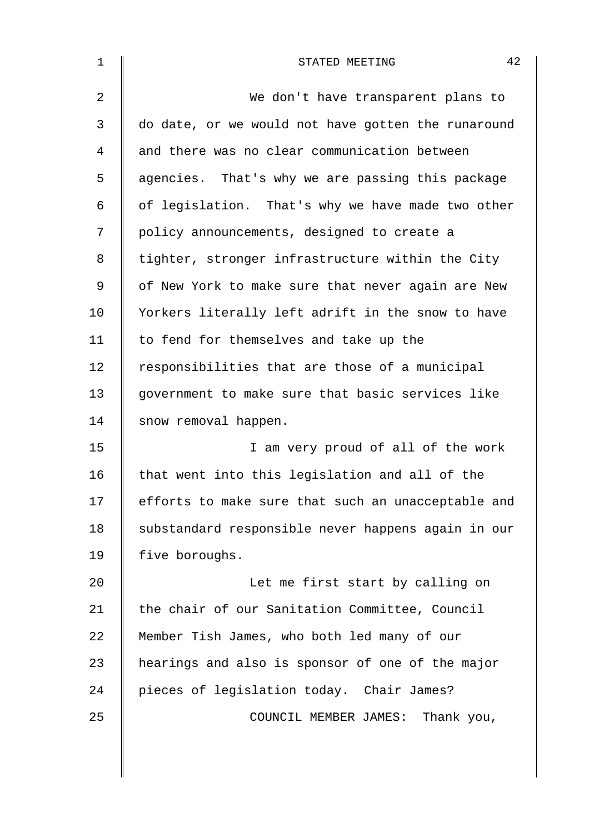| $\mathbf 1$ | 42<br>STATED MEETING                               |
|-------------|----------------------------------------------------|
| 2           | We don't have transparent plans to                 |
| 3           | do date, or we would not have gotten the runaround |
| 4           | and there was no clear communication between       |
| 5           | agencies. That's why we are passing this package   |
| 6           | of legislation. That's why we have made two other  |
| 7           | policy announcements, designed to create a         |
| 8           | tighter, stronger infrastructure within the City   |
| 9           | of New York to make sure that never again are New  |
| 10          | Yorkers literally left adrift in the snow to have  |
| 11          | to fend for themselves and take up the             |
| 12          | responsibilities that are those of a municipal     |
| 13          | government to make sure that basic services like   |
| 14          | snow removal happen.                               |
| 15          | I am very proud of all of the work                 |
| 16          | that went into this legislation and all of the     |
| 17          | efforts to make sure that such an unacceptable and |
| 18          | substandard responsible never happens again in our |
| 19          | five boroughs.                                     |
| 20          | Let me first start by calling on                   |
| 21          | the chair of our Sanitation Committee, Council     |
| 22          | Member Tish James, who both led many of our        |
| 23          | hearings and also is sponsor of one of the major   |
| 24          | pieces of legislation today. Chair James?          |
| 25          | COUNCIL MEMBER JAMES: Thank you,                   |
|             |                                                    |
|             |                                                    |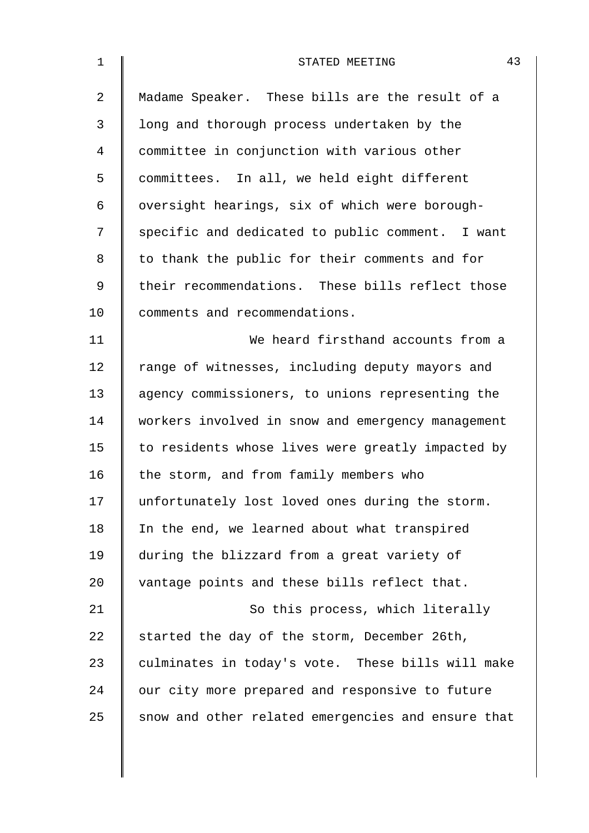| 1              | 43<br>STATED MEETING                               |
|----------------|----------------------------------------------------|
| $\overline{a}$ | Madame Speaker. These bills are the result of a    |
| 3              | long and thorough process undertaken by the        |
| 4              | committee in conjunction with various other        |
| 5              | committees. In all, we held eight different        |
| 6              | oversight hearings, six of which were borough-     |
| 7              | specific and dedicated to public comment. I want   |
| 8              | to thank the public for their comments and for     |
| 9              | their recommendations. These bills reflect those   |
| 10             | comments and recommendations.                      |
| 11             | We heard firsthand accounts from a                 |
| 12             | range of witnesses, including deputy mayors and    |
| 13             | agency commissioners, to unions representing the   |
| 14             | workers involved in snow and emergency management  |
| 15             | to residents whose lives were greatly impacted by  |
| 16             | the storm, and from family members who             |
| 17             | unfortunately lost loved ones during the storm.    |
| 18             | In the end, we learned about what transpired       |
| 19             | during the blizzard from a great variety of        |
| 20             | vantage points and these bills reflect that.       |
| 21             | So this process, which literally                   |
| 22             | started the day of the storm, December 26th,       |
| 23             | culminates in today's vote. These bills will make  |
| 24             | our city more prepared and responsive to future    |
| 25             | snow and other related emergencies and ensure that |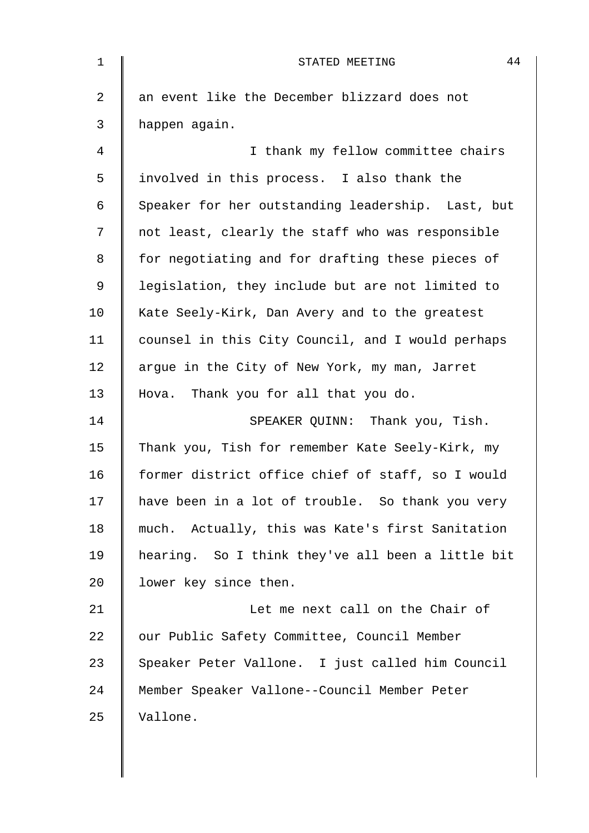| 1              | 44<br>STATED MEETING                              |
|----------------|---------------------------------------------------|
| $\overline{2}$ | an event like the December blizzard does not      |
| 3              | happen again.                                     |
| 4              | I thank my fellow committee chairs                |
| 5              | involved in this process. I also thank the        |
| 6              | Speaker for her outstanding leadership. Last, but |
| 7              | not least, clearly the staff who was responsible  |
| 8              | for negotiating and for drafting these pieces of  |
| 9              | legislation, they include but are not limited to  |
| 10             | Kate Seely-Kirk, Dan Avery and to the greatest    |
| 11             | counsel in this City Council, and I would perhaps |
| 12             | argue in the City of New York, my man, Jarret     |
| 13             | Hova. Thank you for all that you do.              |
| 14             | SPEAKER QUINN: Thank you, Tish.                   |
| 15             | Thank you, Tish for remember Kate Seely-Kirk, my  |
| 16             | former district office chief of staff, so I would |
| 17             | have been in a lot of trouble. So thank you very  |
| 18             | much. Actually, this was Kate's first Sanitation  |
| 19             | hearing. So I think they've all been a little bit |
| 20             | lower key since then.                             |
| 21             | Let me next call on the Chair of                  |
| 22             | our Public Safety Committee, Council Member       |
| 23             | Speaker Peter Vallone. I just called him Council  |
| 24             | Member Speaker Vallone--Council Member Peter      |
| 25             | Vallone.                                          |
|                |                                                   |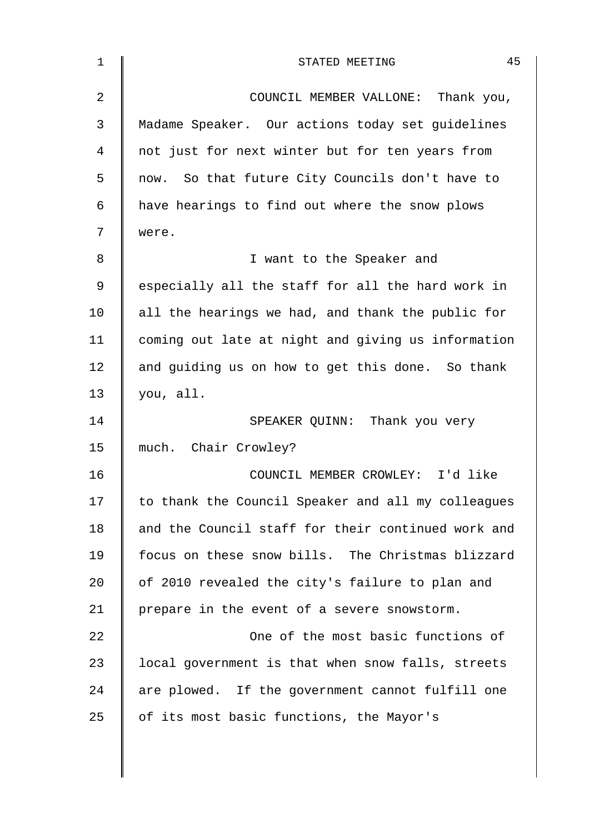| $\mathbf 1$ | 45<br>STATED MEETING                               |
|-------------|----------------------------------------------------|
| 2           | COUNCIL MEMBER VALLONE: Thank you,                 |
| 3           | Madame Speaker. Our actions today set guidelines   |
| 4           | not just for next winter but for ten years from    |
| 5           | now. So that future City Councils don't have to    |
| 6           | have hearings to find out where the snow plows     |
| 7           | were.                                              |
| 8           | I want to the Speaker and                          |
| 9           | especially all the staff for all the hard work in  |
| 10          | all the hearings we had, and thank the public for  |
| 11          | coming out late at night and giving us information |
| 12          | and guiding us on how to get this done. So thank   |
| 13          | you, all.                                          |
| 14          | SPEAKER QUINN: Thank you very                      |
| 15          | much. Chair Crowley?                               |
| 16          | COUNCIL MEMBER CROWLEY: I'd like                   |
| 17          | to thank the Council Speaker and all my colleagues |
| 18          | and the Council staff for their continued work and |
| 19          | focus on these snow bills. The Christmas blizzard  |
| 20          | of 2010 revealed the city's failure to plan and    |
| 21          | prepare in the event of a severe snowstorm.        |
| 22          | One of the most basic functions of                 |
| 23          | local government is that when snow falls, streets  |
| 24          | are plowed. If the government cannot fulfill one   |
| 25          | of its most basic functions, the Mayor's           |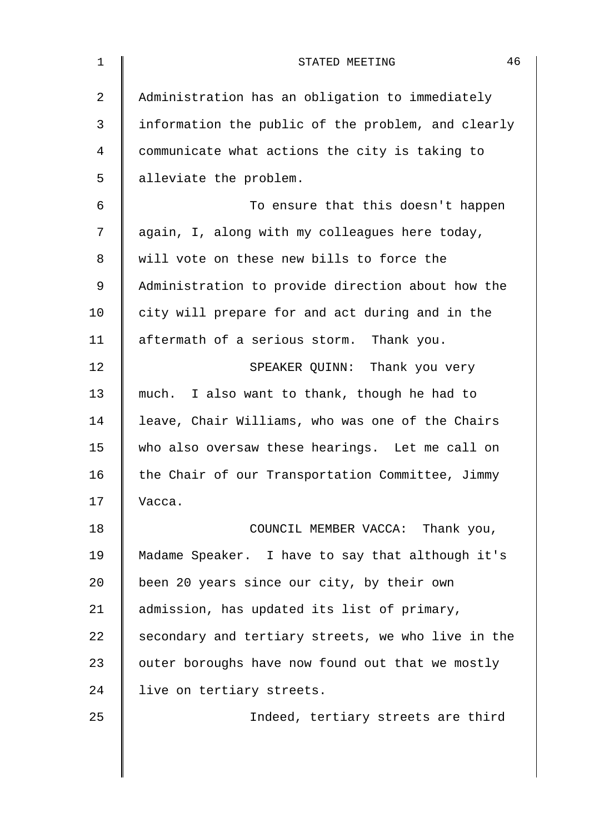| $\mathbf 1$ | 46<br>STATED MEETING                               |
|-------------|----------------------------------------------------|
| 2           | Administration has an obligation to immediately    |
| 3           | information the public of the problem, and clearly |
| 4           | communicate what actions the city is taking to     |
| 5           | alleviate the problem.                             |
| 6           | To ensure that this doesn't happen                 |
| 7           | again, I, along with my colleagues here today,     |
| 8           | will vote on these new bills to force the          |
| $\mathsf 9$ | Administration to provide direction about how the  |
| 10          | city will prepare for and act during and in the    |
| 11          | aftermath of a serious storm. Thank you.           |
| 12          | SPEAKER QUINN: Thank you very                      |
| 13          | much. I also want to thank, though he had to       |
| 14          | leave, Chair Williams, who was one of the Chairs   |
| 15          | who also oversaw these hearings. Let me call on    |
| 16          | the Chair of our Transportation Committee, Jimmy   |
| 17          | Vacca.                                             |
| 18          | COUNCIL MEMBER VACCA: Thank you,                   |
| 19          | Madame Speaker. I have to say that although it's   |
| 20          | been 20 years since our city, by their own         |
| 21          | admission, has updated its list of primary,        |
| 22          | secondary and tertiary streets, we who live in the |
| 23          | outer boroughs have now found out that we mostly   |
| 24          | live on tertiary streets.                          |
| 25          | Indeed, tertiary streets are third                 |
|             |                                                    |
|             |                                                    |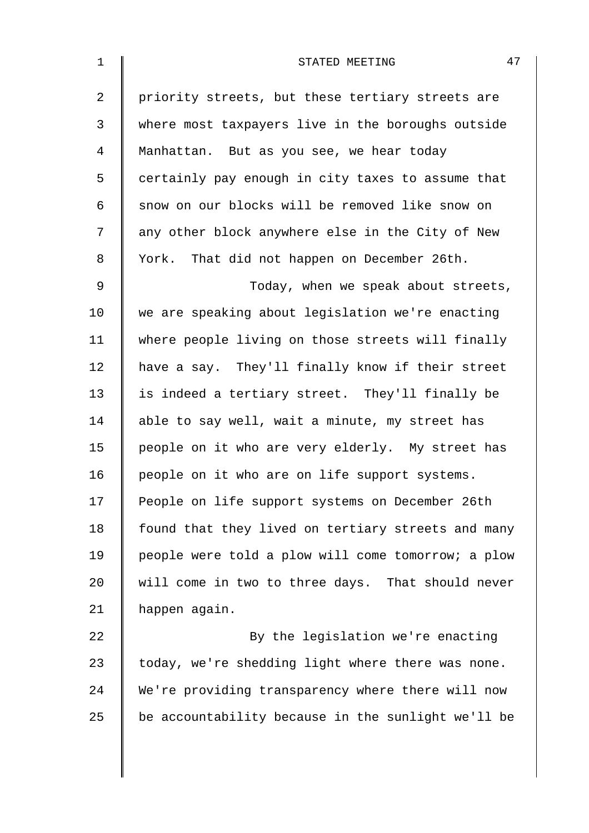| $\mathbf 1$    | 47<br>STATED MEETING                               |
|----------------|----------------------------------------------------|
| $\overline{a}$ | priority streets, but these tertiary streets are   |
| 3              | where most taxpayers live in the boroughs outside  |
| $\overline{4}$ | Manhattan. But as you see, we hear today           |
| 5              | certainly pay enough in city taxes to assume that  |
| 6              | snow on our blocks will be removed like snow on    |
| 7              | any other block anywhere else in the City of New   |
| 8              | York. That did not happen on December 26th.        |
| 9              | Today, when we speak about streets,                |
| 10             | we are speaking about legislation we're enacting   |
| 11             | where people living on those streets will finally  |
| 12             | have a say. They'll finally know if their street   |
| 13             | is indeed a tertiary street. They'll finally be    |
| 14             | able to say well, wait a minute, my street has     |
| 15             | people on it who are very elderly. My street has   |
| 16             | people on it who are on life support systems.      |
| 17             | People on life support systems on December 26th    |
| 18             | found that they lived on tertiary streets and many |
| 19             | people were told a plow will come tomorrow; a plow |
| 20             | will come in two to three days. That should never  |
| 21             | happen again.                                      |
| 22             | By the legislation we're enacting                  |
| 23             | today, we're shedding light where there was none.  |
| 24             | We're providing transparency where there will now  |
| 25             | be accountability because in the sunlight we'll be |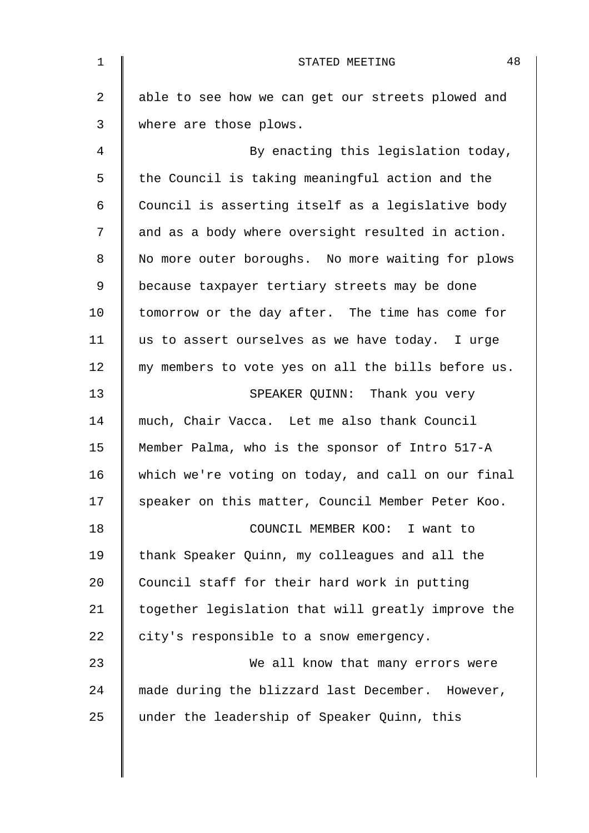| $\mathbf 1$ | 48<br>STATED MEETING                               |
|-------------|----------------------------------------------------|
| 2           | able to see how we can get our streets plowed and  |
| 3           | where are those plows.                             |
| 4           | By enacting this legislation today,                |
| 5           | the Council is taking meaningful action and the    |
| 6           | Council is asserting itself as a legislative body  |
| 7           | and as a body where oversight resulted in action.  |
| 8           | No more outer boroughs. No more waiting for plows  |
| $\mathsf 9$ | because taxpayer tertiary streets may be done      |
| 10          | tomorrow or the day after. The time has come for   |
| 11          | us to assert ourselves as we have today. I urge    |
| 12          | my members to vote yes on all the bills before us. |
| 13          | SPEAKER QUINN: Thank you very                      |
| 14          | much, Chair Vacca. Let me also thank Council       |
| 15          | Member Palma, who is the sponsor of Intro 517-A    |
| 16          | which we're voting on today, and call on our final |
| 17          | speaker on this matter, Council Member Peter Koo.  |
| 18          | COUNCIL MEMBER KOO: I want to                      |
| 19          | thank Speaker Quinn, my colleagues and all the     |
| 20          | Council staff for their hard work in putting       |
| 21          | together legislation that will greatly improve the |
| 22          | city's responsible to a snow emergency.            |
| 23          | We all know that many errors were                  |
| 24          | made during the blizzard last December. However,   |
| 25          | under the leadership of Speaker Quinn, this        |
|             |                                                    |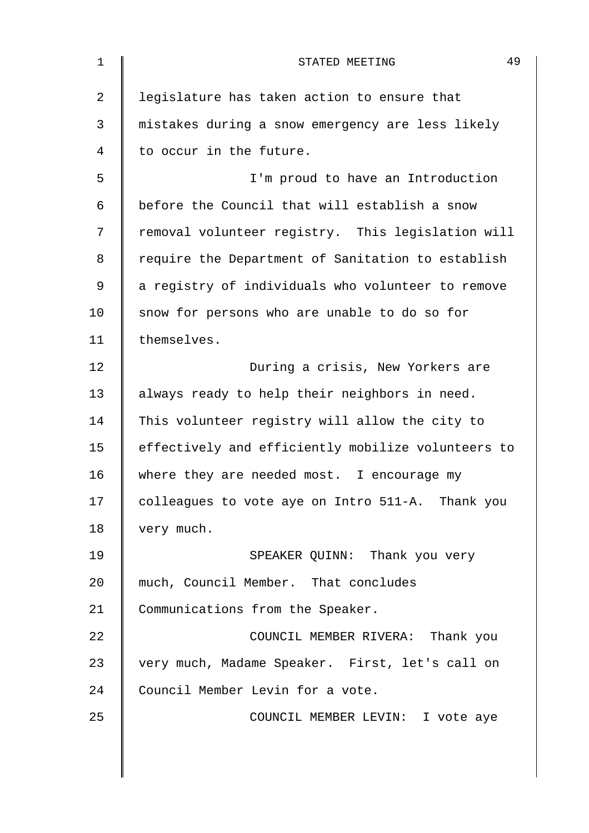| 1            | 49<br>STATED MEETING                               |
|--------------|----------------------------------------------------|
| 2            | legislature has taken action to ensure that        |
| $\mathsf{3}$ | mistakes during a snow emergency are less likely   |
| 4            | to occur in the future.                            |
| 5            | I'm proud to have an Introduction                  |
| 6            | before the Council that will establish a snow      |
| 7            | removal volunteer registry. This legislation will  |
| 8            | require the Department of Sanitation to establish  |
| 9            | a registry of individuals who volunteer to remove  |
| 10           | snow for persons who are unable to do so for       |
| 11           | themselves.                                        |
| 12           | During a crisis, New Yorkers are                   |
| 13           | always ready to help their neighbors in need.      |
| 14           | This volunteer registry will allow the city to     |
| 15           | effectively and efficiently mobilize volunteers to |
| 16           | where they are needed most. I encourage my         |
| 17           | colleagues to vote aye on Intro 511-A. Thank you   |
| 18           | very much.                                         |
| 19           | SPEAKER QUINN: Thank you very                      |
| 20           | much, Council Member. That concludes               |
| 21           | Communications from the Speaker.                   |
| 22           | COUNCIL MEMBER RIVERA: Thank you                   |
| 23           | very much, Madame Speaker. First, let's call on    |
| 24           | Council Member Levin for a vote.                   |
| 25           | COUNCIL MEMBER LEVIN: I vote aye                   |
|              |                                                    |
|              |                                                    |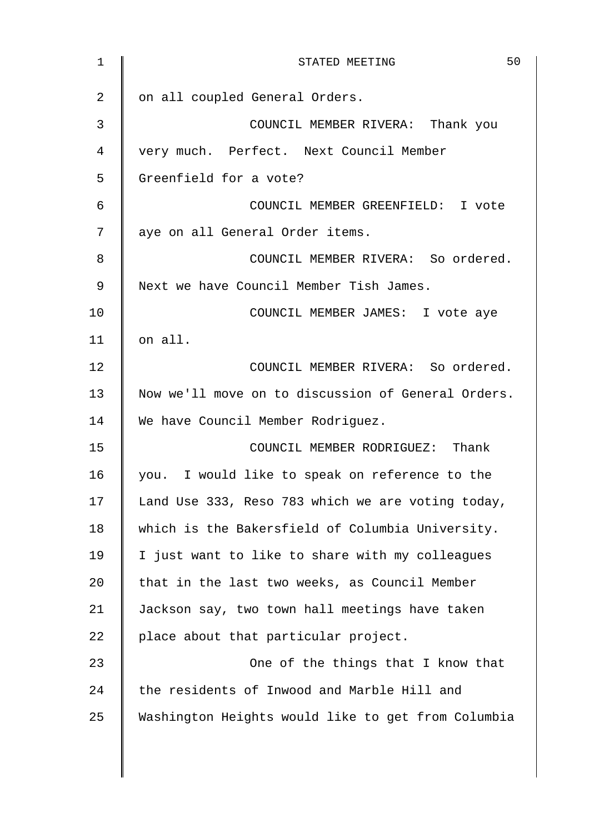| $\mathbf 1$ | 50<br>STATED MEETING                               |
|-------------|----------------------------------------------------|
| 2           | on all coupled General Orders.                     |
| 3           | COUNCIL MEMBER RIVERA: Thank you                   |
| 4           | very much. Perfect. Next Council Member            |
| 5           | Greenfield for a vote?                             |
| 6           | COUNCIL MEMBER GREENFIELD: I vote                  |
| 7           | aye on all General Order items.                    |
| 8           | COUNCIL MEMBER RIVERA: So ordered.                 |
| 9           | Next we have Council Member Tish James.            |
| 10          | COUNCIL MEMBER JAMES: I vote aye                   |
| 11          | on all.                                            |
| 12          | COUNCIL MEMBER RIVERA: So ordered.                 |
| 13          | Now we'll move on to discussion of General Orders. |
| 14          | We have Council Member Rodriguez.                  |
| 15          | COUNCIL MEMBER RODRIGUEZ: Thank                    |
| 16          | you. I would like to speak on reference to the     |
| 17          | Land Use 333, Reso 783 which we are voting today,  |
| 18          | which is the Bakersfield of Columbia University.   |
| 19          | I just want to like to share with my colleagues    |
| 20          | that in the last two weeks, as Council Member      |
| 21          | Jackson say, two town hall meetings have taken     |
| 22          | place about that particular project.               |
| 23          | One of the things that I know that                 |
| 24          | the residents of Inwood and Marble Hill and        |
| 25          | Washington Heights would like to get from Columbia |
|             |                                                    |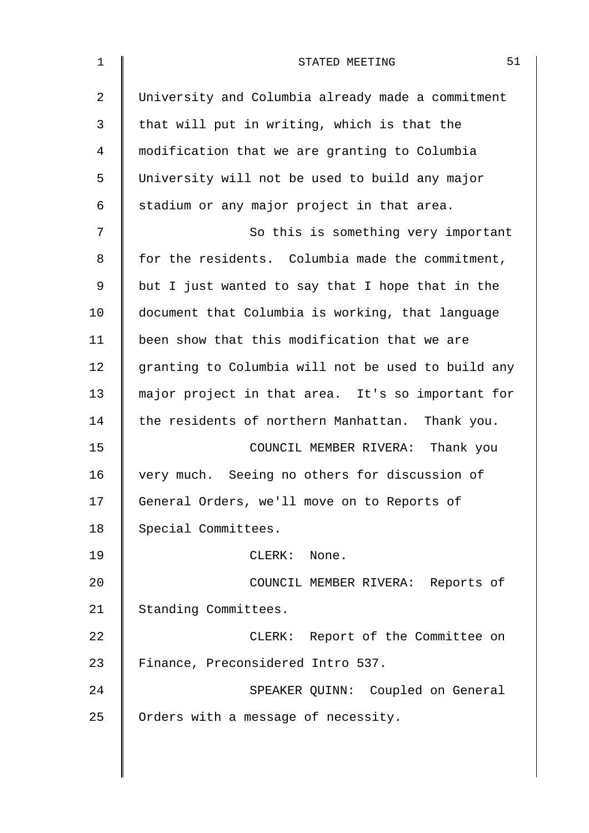| $\mathbf 1$    | 51<br>STATED MEETING                               |
|----------------|----------------------------------------------------|
| $\overline{2}$ | University and Columbia already made a commitment  |
| 3              | that will put in writing, which is that the        |
| 4              | modification that we are granting to Columbia      |
| 5              | University will not be used to build any major     |
| 6              | stadium or any major project in that area.         |
| 7              | So this is something very important                |
| 8              | for the residents. Columbia made the commitment,   |
| 9              | but I just wanted to say that I hope that in the   |
| 10             | document that Columbia is working, that language   |
| 11             | been show that this modification that we are       |
| 12             | granting to Columbia will not be used to build any |
| 13             | major project in that area. It's so important for  |
| 14             | the residents of northern Manhattan. Thank you.    |
| 15             | COUNCIL MEMBER RIVERA: Thank you                   |
| 16             | very much. Seeing no others for discussion of      |
| 17             | General Orders, we'll move on to Reports of        |
| 18             | Special Committees.                                |
| 19             | $CLERK$ :<br>None.                                 |
| 20             | COUNCIL MEMBER RIVERA: Reports of                  |
| 21             | Standing Committees.                               |
| 22             | CLERK: Report of the Committee on                  |
| 23             | Finance, Preconsidered Intro 537.                  |
| 24             | SPEAKER QUINN: Coupled on General                  |
| 25             | Orders with a message of necessity.                |
|                |                                                    |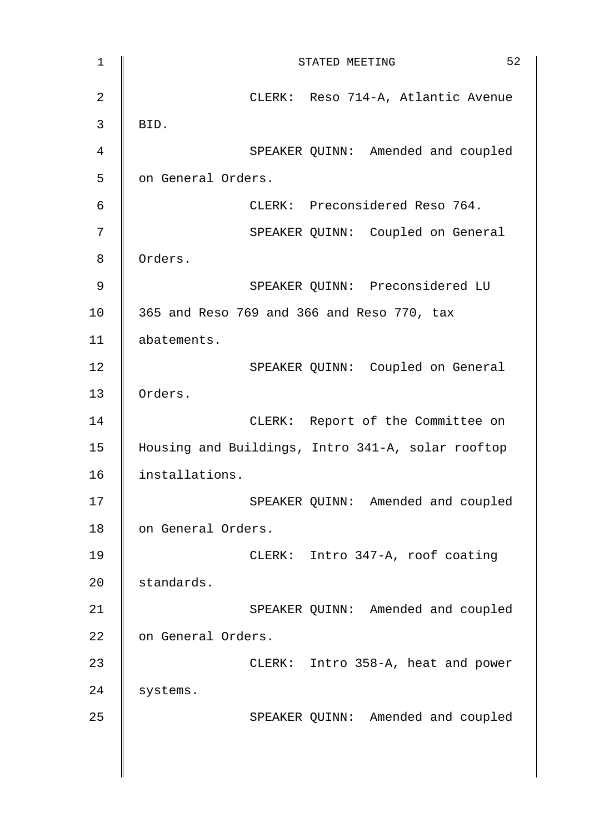| 1              | 52<br>STATED MEETING                              |
|----------------|---------------------------------------------------|
| 2              | CLERK: Reso 714-A, Atlantic Avenue                |
| 3              | BID.                                              |
| $\overline{4}$ | SPEAKER QUINN: Amended and coupled                |
| 5              | on General Orders.                                |
| $\epsilon$     | CLERK: Preconsidered Reso 764.                    |
| $\overline{7}$ | SPEAKER QUINN: Coupled on General                 |
| 8              | Orders.                                           |
| 9              | SPEAKER QUINN: Preconsidered LU                   |
| 10             | 365 and Reso 769 and 366 and Reso 770, tax        |
| 11             | abatements.                                       |
| 12             | SPEAKER QUINN: Coupled on General                 |
| 13             | Orders.                                           |
| 14             | CLERK: Report of the Committee on                 |
| 15             | Housing and Buildings, Intro 341-A, solar rooftop |
| 16             | installations.                                    |
| 17             | SPEAKER QUINN: Amended and coupled                |
| 18             | on General Orders.                                |
| 19             | CLERK: Intro 347-A, roof coating                  |
| 20             | standards.                                        |
| 21             | SPEAKER QUINN: Amended and coupled                |
| 22             | on General Orders.                                |
| 23             | CLERK: Intro 358-A, heat and power                |
| 24             | systems.                                          |
| 25             | SPEAKER QUINN: Amended and coupled                |
|                |                                                   |
|                |                                                   |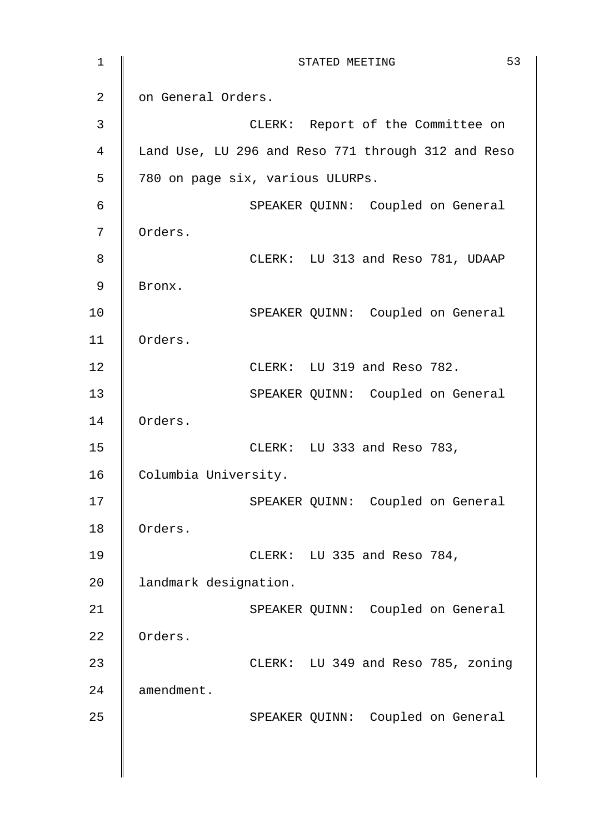1 || STATED MEETING 53 2 | on General Orders. 3 CLERK: Report of the Committee on 4 Land Use, LU 296 and Reso 771 through 312 and Reso 5 780 on page six, various ULURPs. 6 SPEAKER QUINN: Coupled on General 7 | Orders. 8 CLERK: LU 313 and Reso 781, UDAAP 9 Bronx. 10 | SPEAKER QUINN: Coupled on General 11 Orders. 12 **CLERK:** LU 319 and Reso 782. 13 || SPEAKER QUINN: Coupled on General 14 Orders. 15 CLERK: LU 333 and Reso 783, 16 Columbia University. 17 || SPEAKER QUINN: Coupled on General 18 | Orders. 19 CLERK: LU 335 and Reso 784, 20 | landmark designation. 21 | SPEAKER QUINN: Coupled on General 22 Orders. 23 **CLERK:** LU 349 and Reso 785, zoning 24 **amendment.** 25 | SPEAKER QUINN: Coupled on General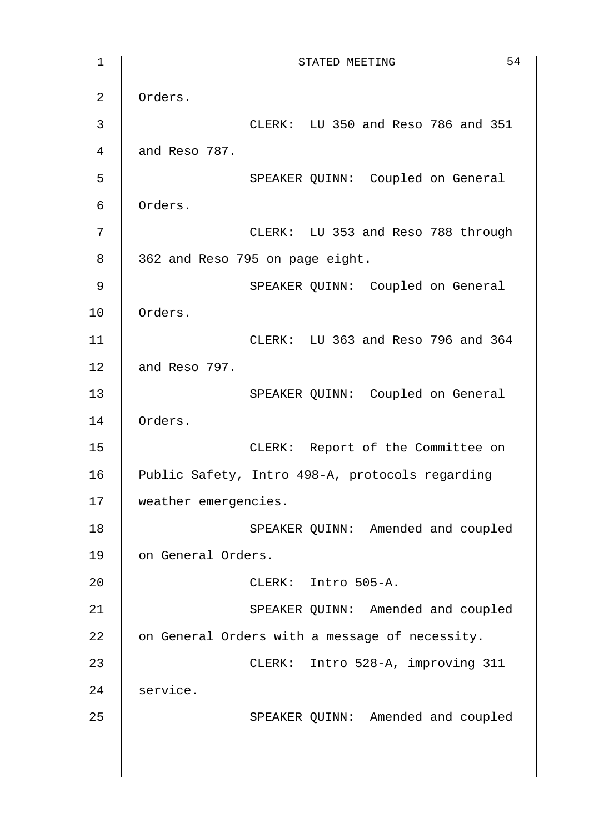1 **STATED MEETING** 54 2 | Orders. 3 CLERK: LU 350 and Reso 786 and 351 4 **and Reso 787.** 5 || SPEAKER OUINN: Coupled on General 6 Orders. 7 | CLERK: LU 353 and Reso 788 through 8 | 362 and Reso 795 on page eight. 9 | SPEAKER QUINN: Coupled on General 10 | Orders. 11 CLERK: LU 363 and Reso 796 and 364 12  $\parallel$  and Reso 797. 13 || SPEAKER QUINN: Coupled on General 14 Orders. 15 || CLERK: Report of the Committee on 16 | Public Safety, Intro 498-A, protocols regarding 17 | weather emergencies. 18 | SPEAKER QUINN: Amended and coupled 19 || on General Orders. 20 | CLERK: Intro 505-A. 21 | SPEAKER QUINN: Amended and coupled 22  $\parallel$  on General Orders with a message of necessity. 23 CLERK: Intro 528-A, improving 311 24 service. 25 | SPEAKER QUINN: Amended and coupled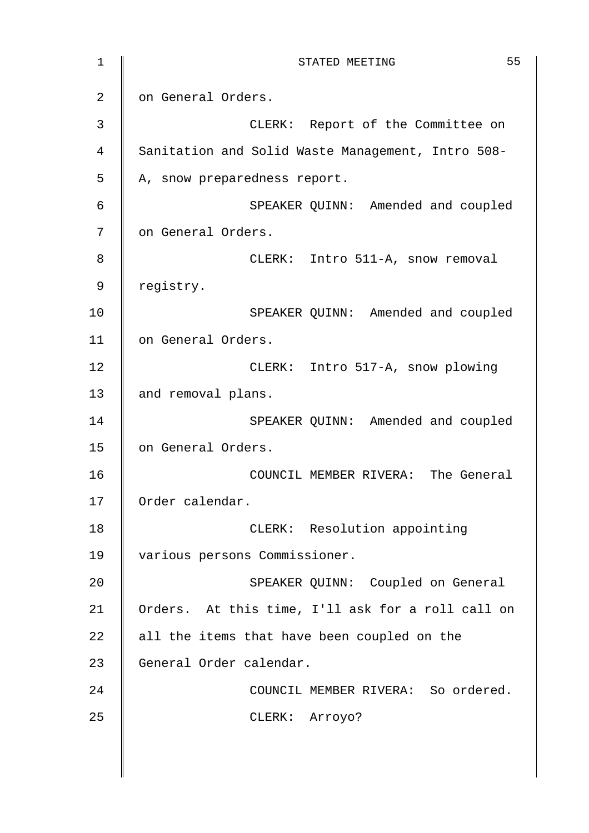| 1  | 55<br>STATED MEETING                              |
|----|---------------------------------------------------|
| 2  | on General Orders.                                |
| 3  | CLERK: Report of the Committee on                 |
| 4  | Sanitation and Solid Waste Management, Intro 508- |
| 5  | A, snow preparedness report.                      |
| 6  | SPEAKER QUINN: Amended and coupled                |
| 7  | on General Orders.                                |
| 8  | CLERK: Intro 511-A, snow removal                  |
| 9  | registry.                                         |
| 10 | SPEAKER QUINN: Amended and coupled                |
| 11 | on General Orders.                                |
| 12 | CLERK: Intro 517-A, snow plowing                  |
| 13 | and removal plans.                                |
| 14 | SPEAKER QUINN: Amended and coupled                |
| 15 | on General Orders.                                |
| 16 | COUNCIL MEMBER RIVERA: The General                |
| 17 | Order calendar.                                   |
| 18 | CLERK: Resolution appointing                      |
| 19 | various persons Commissioner.                     |
| 20 | SPEAKER QUINN: Coupled on General                 |
| 21 | Orders. At this time, I'll ask for a roll call on |
| 22 | all the items that have been coupled on the       |
| 23 | General Order calendar.                           |
| 24 | COUNCIL MEMBER RIVERA: So ordered.                |
| 25 | CLERK: Arroyo?                                    |
|    |                                                   |
|    |                                                   |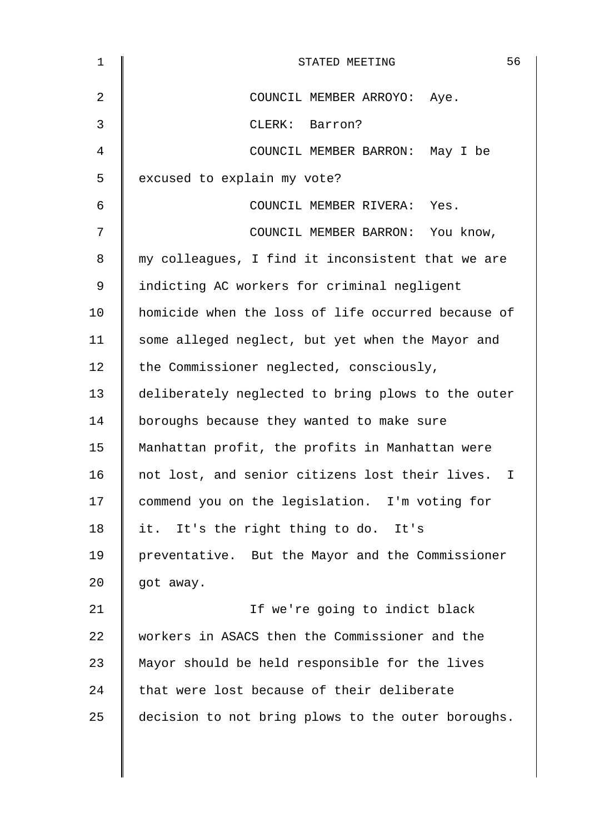| $\mathbf 1$    | 56<br>STATED MEETING                               |
|----------------|----------------------------------------------------|
| 2              | COUNCIL MEMBER ARROYO: Aye.                        |
| $\mathfrak{Z}$ | CLERK: Barron?                                     |
| 4              | COUNCIL MEMBER BARRON: May I be                    |
| 5              | excused to explain my vote?                        |
| 6              | COUNCIL MEMBER RIVERA: Yes.                        |
| 7              | COUNCIL MEMBER BARRON: You know,                   |
| 8              | my colleagues, I find it inconsistent that we are  |
| 9              | indicting AC workers for criminal negligent        |
| 10             | homicide when the loss of life occurred because of |
| 11             | some alleged neglect, but yet when the Mayor and   |
| 12             | the Commissioner neglected, consciously,           |
| 13             | deliberately neglected to bring plows to the outer |
| 14             | boroughs because they wanted to make sure          |
| 15             | Manhattan profit, the profits in Manhattan were    |
| 16             | not lost, and senior citizens lost their lives. I  |
| 17             | commend you on the legislation. I'm voting for     |
| 18             | it. It's the right thing to do. It's               |
| 19             | preventative. But the Mayor and the Commissioner   |
| 20             | got away.                                          |
| 21             | If we're going to indict black                     |
| 22             | workers in ASACS then the Commissioner and the     |
| 23             | Mayor should be held responsible for the lives     |
| 24             | that were lost because of their deliberate         |
| 25             | decision to not bring plows to the outer boroughs. |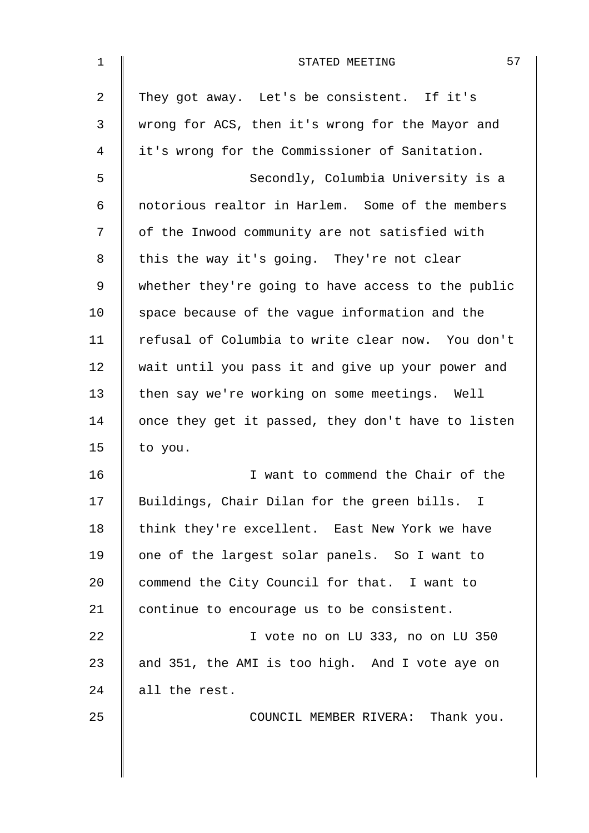| 1  | 57<br>STATED MEETING                               |
|----|----------------------------------------------------|
| 2  | They got away. Let's be consistent. If it's        |
| 3  | wrong for ACS, then it's wrong for the Mayor and   |
| 4  | it's wrong for the Commissioner of Sanitation.     |
| 5  | Secondly, Columbia University is a                 |
| 6  | notorious realtor in Harlem. Some of the members   |
| 7  | of the Inwood community are not satisfied with     |
| 8  | this the way it's going. They're not clear         |
| 9  | whether they're going to have access to the public |
| 10 | space because of the vague information and the     |
| 11 | refusal of Columbia to write clear now. You don't  |
| 12 | wait until you pass it and give up your power and  |
| 13 | then say we're working on some meetings. Well      |
| 14 | once they get it passed, they don't have to listen |
| 15 | to you.                                            |
| 16 | I want to commend the Chair of the                 |
| 17 | Buildings, Chair Dilan for the green bills. I      |
| 18 | think they're excellent. East New York we have     |
| 19 | one of the largest solar panels. So I want to      |
| 20 | commend the City Council for that. I want to       |
| 21 | continue to encourage us to be consistent.         |
| 22 | I vote no on LU 333, no on LU 350                  |
| 23 | and 351, the AMI is too high. And I vote aye on    |
| 24 | all the rest.                                      |
| 25 | COUNCIL MEMBER RIVERA: Thank you.                  |
|    |                                                    |
|    |                                                    |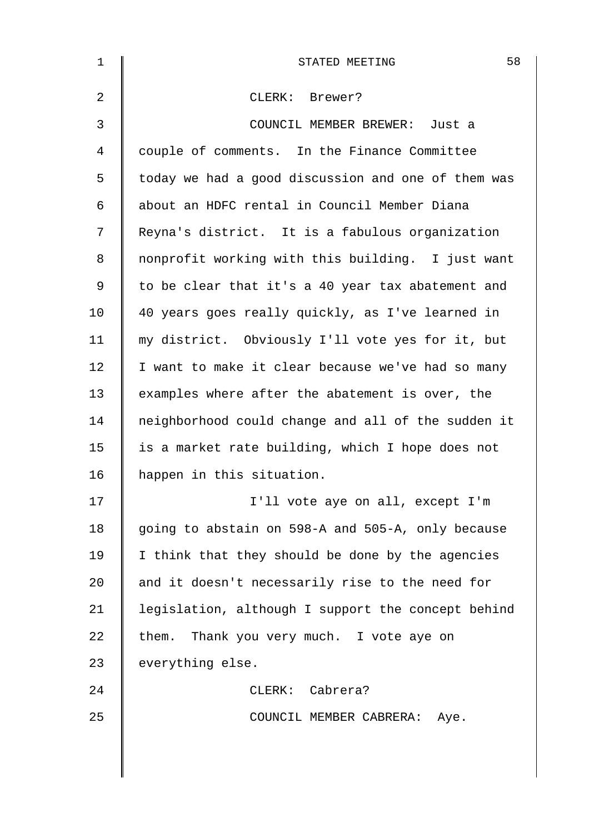| $\mathbf{1}$   | 58<br>STATED MEETING                               |
|----------------|----------------------------------------------------|
| 2              | CLERK: Brewer?                                     |
| $\mathfrak{Z}$ | COUNCIL MEMBER BREWER: Just a                      |
| 4              | couple of comments. In the Finance Committee       |
| 5              | today we had a good discussion and one of them was |
| 6              | about an HDFC rental in Council Member Diana       |
| 7              | Reyna's district. It is a fabulous organization    |
| 8              | nonprofit working with this building. I just want  |
| 9              | to be clear that it's a 40 year tax abatement and  |
| 10             | 40 years goes really quickly, as I've learned in   |
| 11             | my district. Obviously I'll vote yes for it, but   |
| 12             | I want to make it clear because we've had so many  |
| 13             | examples where after the abatement is over, the    |
| 14             | neighborhood could change and all of the sudden it |
| 15             | is a market rate building, which I hope does not   |
| 16             | happen in this situation.                          |
| 17             | I'll vote aye on all, except I'm                   |
| 18             | going to abstain on 598-A and 505-A, only because  |
| 19             | I think that they should be done by the agencies   |
| 20             | and it doesn't necessarily rise to the need for    |
| 21             | legislation, although I support the concept behind |
| 22             | them. Thank you very much. I vote aye on           |
| 23             | everything else.                                   |
| 24             | CLERK: Cabrera?                                    |
| 25             | COUNCIL MEMBER CABRERA: Aye.                       |
|                |                                                    |
|                |                                                    |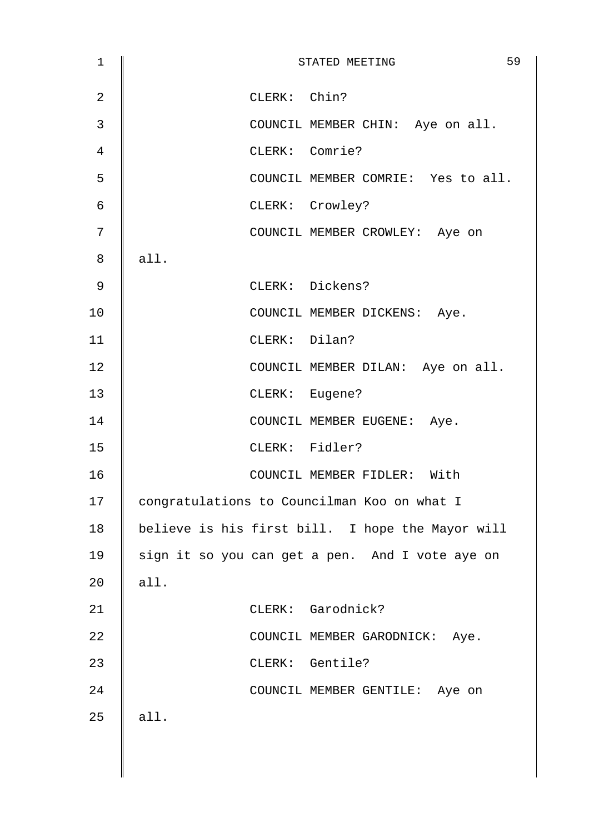| $\mathbf 1$    | 59<br>STATED MEETING                             |
|----------------|--------------------------------------------------|
| $\overline{a}$ | CLERK: Chin?                                     |
| 3              | COUNCIL MEMBER CHIN: Aye on all.                 |
| $\overline{4}$ | CLERK: Comrie?                                   |
| 5              | COUNCIL MEMBER COMRIE: Yes to all.               |
| $\epsilon$     | CLERK: Crowley?                                  |
| 7              | COUNCIL MEMBER CROWLEY: Aye on                   |
| 8              | all.                                             |
| $\mathsf 9$    | CLERK: Dickens?                                  |
| 10             | COUNCIL MEMBER DICKENS: Aye.                     |
| 11             | CLERK: Dilan?                                    |
| 12             | COUNCIL MEMBER DILAN: Aye on all.                |
| 13             | CLERK: Eugene?                                   |
| 14             | COUNCIL MEMBER EUGENE: Aye.                      |
| 15             | CLERK: Fidler?                                   |
| 16             | COUNCIL MEMBER FIDLER: With                      |
| 17             | congratulations to Councilman Koo on what I      |
| 18             | believe is his first bill. I hope the Mayor will |
| 19             | sign it so you can get a pen. And I vote aye on  |
| 20             | all.                                             |
| 21             | CLERK: Garodnick?                                |
| 22             | COUNCIL MEMBER GARODNICK: Aye.                   |
| 23             | CLERK: Gentile?                                  |
| 24             | COUNCIL MEMBER GENTILE: Aye on                   |
| 25             | all.                                             |
|                |                                                  |
|                |                                                  |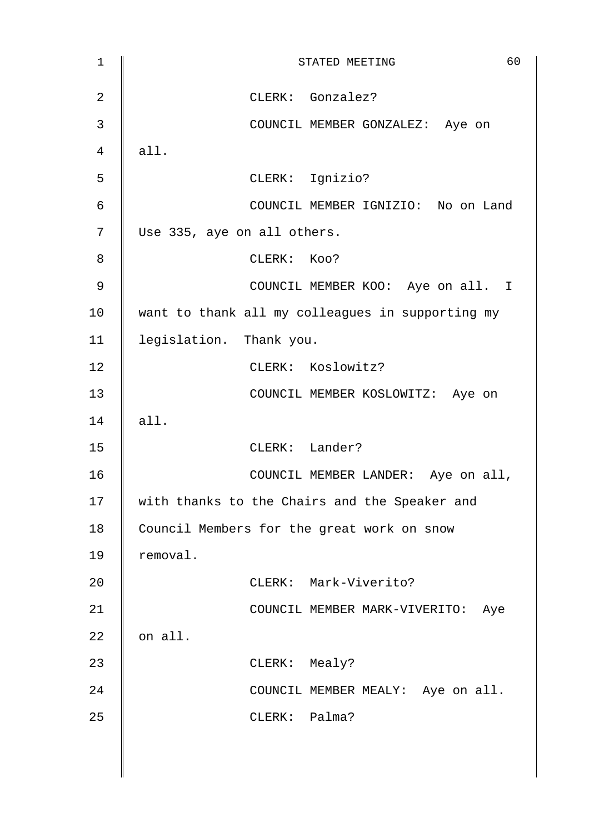| $\mathbf{1}$   | 60<br>STATED MEETING                             |
|----------------|--------------------------------------------------|
| $\overline{2}$ | CLERK: Gonzalez?                                 |
| 3              | COUNCIL MEMBER GONZALEZ: Aye on                  |
| $\overline{4}$ | all.                                             |
| 5              | CLERK: Ignizio?                                  |
| $\epsilon$     | COUNCIL MEMBER IGNIZIO: No on Land               |
| 7              | Use 335, aye on all others.                      |
| 8              | CLERK: KOO?                                      |
| 9              | COUNCIL MEMBER KOO: Aye on all. I                |
| 10             | want to thank all my colleagues in supporting my |
| 11             | legislation. Thank you.                          |
| 12             | CLERK: Koslowitz?                                |
| 13             | COUNCIL MEMBER KOSLOWITZ: Aye on                 |
| 14             | all.                                             |
| 15             | CLERK: Lander?                                   |
| 16             | COUNCIL MEMBER LANDER: Aye on all,               |
| 17             | with thanks to the Chairs and the Speaker and    |
| 18             | Council Members for the great work on snow       |
| 19             | removal.                                         |
| 20             | CLERK: Mark-Viverito?                            |
| 21             | COUNCIL MEMBER MARK-VIVERITO:<br>Aye             |
| 22             | on all.                                          |
| 23             | CLERK: Mealy?                                    |
| 24             | COUNCIL MEMBER MEALY: Aye on all.                |
| 25             | CLERK: Palma?                                    |
|                |                                                  |
|                |                                                  |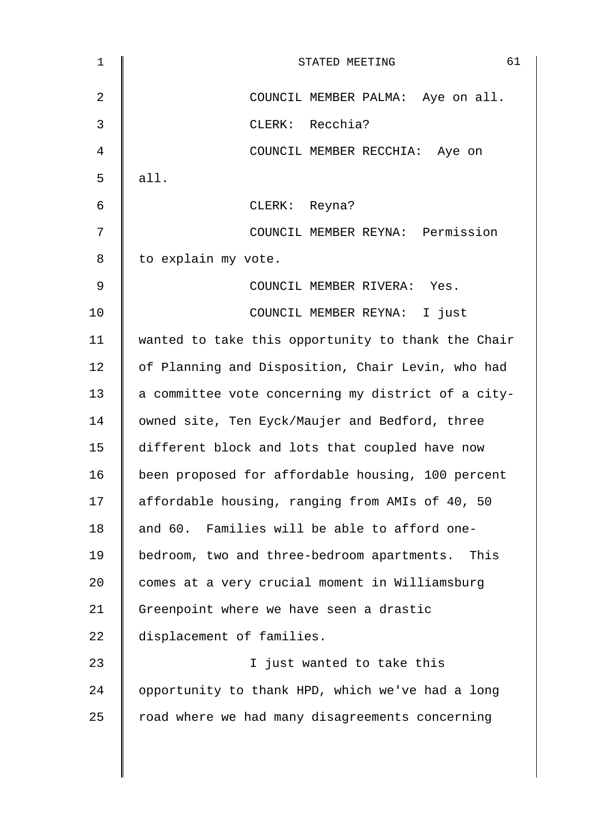| 1  | 61<br>STATED MEETING                               |
|----|----------------------------------------------------|
| 2  | COUNCIL MEMBER PALMA: Aye on all.                  |
| 3  | CLERK: Recchia?                                    |
| 4  | COUNCIL MEMBER RECCHIA: Aye on                     |
| 5  | all.                                               |
| 6  | CLERK: Reyna?                                      |
| 7  | COUNCIL MEMBER REYNA: Permission                   |
| 8  | to explain my vote.                                |
| 9  | COUNCIL MEMBER RIVERA: Yes.                        |
| 10 | COUNCIL MEMBER REYNA: I just                       |
| 11 | wanted to take this opportunity to thank the Chair |
| 12 | of Planning and Disposition, Chair Levin, who had  |
| 13 | a committee vote concerning my district of a city- |
| 14 | owned site, Ten Eyck/Maujer and Bedford, three     |
| 15 | different block and lots that coupled have now     |
| 16 | been proposed for affordable housing, 100 percent  |
| 17 | affordable housing, ranging from AMIs of 40, 50    |
| 18 | and 60. Families will be able to afford one-       |
| 19 | bedroom, two and three-bedroom apartments. This    |
| 20 | comes at a very crucial moment in Williamsburg     |
| 21 | Greenpoint where we have seen a drastic            |
| 22 | displacement of families.                          |
| 23 | I just wanted to take this                         |
| 24 | opportunity to thank HPD, which we've had a long   |
| 25 | road where we had many disagreements concerning    |
|    |                                                    |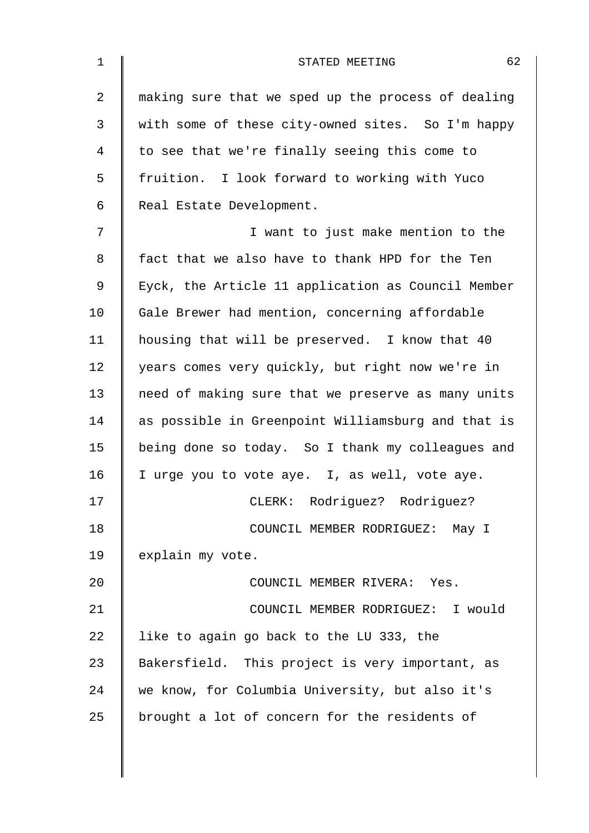| $\mathbf 1$ | 62<br>STATED MEETING                               |
|-------------|----------------------------------------------------|
| 2           | making sure that we sped up the process of dealing |
| 3           | with some of these city-owned sites. So I'm happy  |
| 4           | to see that we're finally seeing this come to      |
| 5           | fruition. I look forward to working with Yuco      |
| 6           | Real Estate Development.                           |
| 7           | I want to just make mention to the                 |
| 8           | fact that we also have to thank HPD for the Ten    |
| $\mathsf 9$ | Eyck, the Article 11 application as Council Member |
| 10          | Gale Brewer had mention, concerning affordable     |
| 11          | housing that will be preserved. I know that 40     |
| 12          | years comes very quickly, but right now we're in   |
| 13          | need of making sure that we preserve as many units |
| 14          | as possible in Greenpoint Williamsburg and that is |
| 15          | being done so today. So I thank my colleagues and  |
| 16          | I urge you to vote aye. I, as well, vote aye.      |
| 17          | CLERK: Rodriguez? Rodriguez?                       |
| 18          | COUNCIL MEMBER RODRIGUEZ: May I                    |
| 19          | explain my vote.                                   |
| 20          | COUNCIL MEMBER RIVERA: Yes.                        |
| 21          | COUNCIL MEMBER RODRIGUEZ: I would                  |
| 22          | like to again go back to the LU 333, the           |
| 23          | Bakersfield. This project is very important, as    |
| 24          | we know, for Columbia University, but also it's    |
| 25          | brought a lot of concern for the residents of      |
|             |                                                    |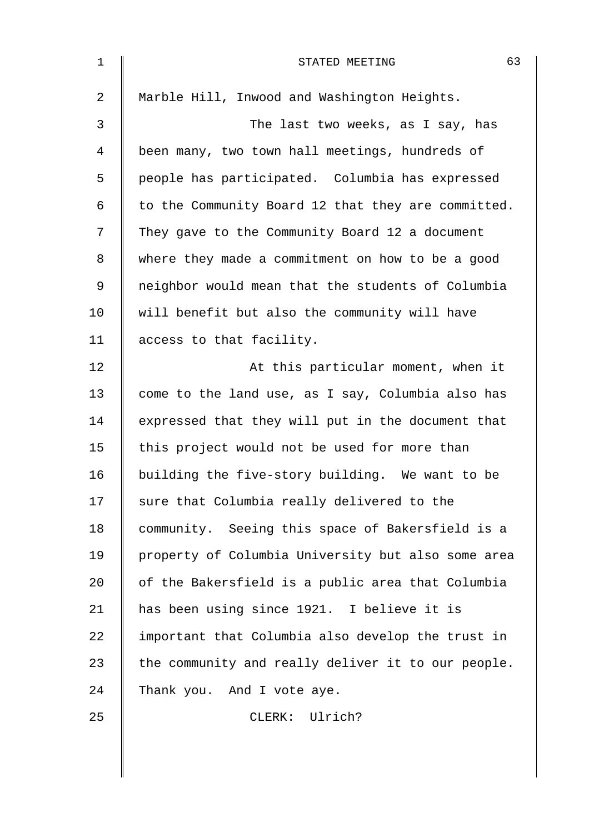| $\mathbf 1$    | 63<br>STATED MEETING                               |
|----------------|----------------------------------------------------|
| $\overline{2}$ | Marble Hill, Inwood and Washington Heights.        |
| 3              | The last two weeks, as I say, has                  |
| 4              | been many, two town hall meetings, hundreds of     |
| 5              | people has participated. Columbia has expressed    |
| 6              | to the Community Board 12 that they are committed. |
| 7              | They gave to the Community Board 12 a document     |
| 8              | where they made a commitment on how to be a good   |
| 9              | neighbor would mean that the students of Columbia  |
| 10             | will benefit but also the community will have      |
| 11             | access to that facility.                           |
| 12             | At this particular moment, when it                 |
| 13             | come to the land use, as I say, Columbia also has  |
| 14             | expressed that they will put in the document that  |
| 15             | this project would not be used for more than       |
| 16             | building the five-story building. We want to be    |
| 17             | sure that Columbia really delivered to the         |
| 18             | community. Seeing this space of Bakersfield is a   |
| 19             | property of Columbia University but also some area |
| 20             | of the Bakersfield is a public area that Columbia  |
| 21             | has been using since 1921. I believe it is         |
| 22             | important that Columbia also develop the trust in  |
| 23             | the community and really deliver it to our people. |
| 24             | Thank you. And I vote aye.                         |
| 25             | CLERK: Ulrich?                                     |
|                |                                                    |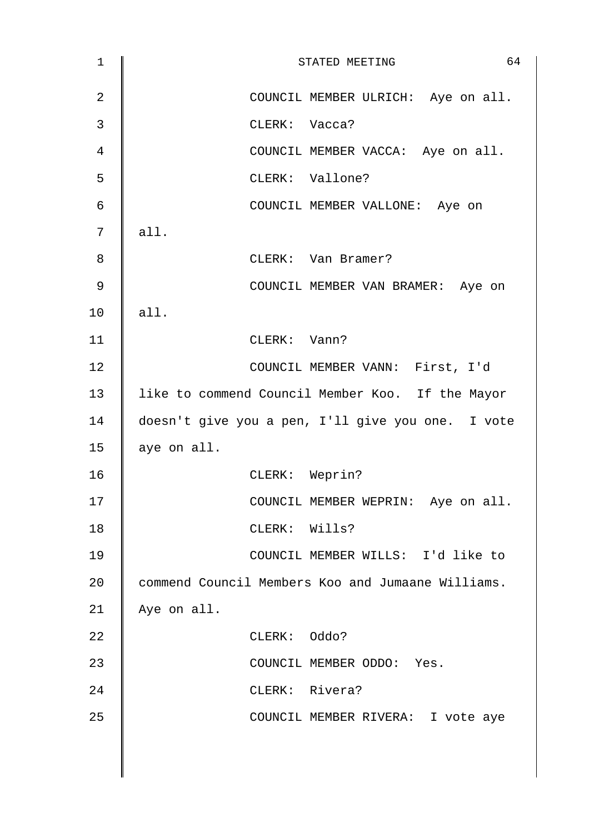| $\mathbf{1}$ | 64<br>STATED MEETING                              |
|--------------|---------------------------------------------------|
| 2            | COUNCIL MEMBER ULRICH: Aye on all.                |
| 3            | CLERK: Vacca?                                     |
| 4            | COUNCIL MEMBER VACCA: Aye on all.                 |
| 5            | CLERK: Vallone?                                   |
| 6            | COUNCIL MEMBER VALLONE: Aye on                    |
| 7            | all.                                              |
| 8            | CLERK: Van Bramer?                                |
| $\mathsf 9$  | COUNCIL MEMBER VAN BRAMER: Aye on                 |
| 10           | all.                                              |
| 11           | CLERK: Vann?                                      |
| 12           | COUNCIL MEMBER VANN: First, I'd                   |
| 13           | like to commend Council Member Koo. If the Mayor  |
| 14           | doesn't give you a pen, I'll give you one. I vote |
| 15           | aye on all.                                       |
| 16           | CLERK: Weprin?                                    |
| 17           | COUNCIL MEMBER WEPRIN: Aye on all.                |
| 18           | CLERK: Wills?                                     |
| 19           | COUNCIL MEMBER WILLS: I'd like to                 |
| 20           | commend Council Members Koo and Jumaane Williams. |
| 21           | Aye on all.                                       |
| 22           | CLERK: Oddo?                                      |
| 23           | COUNCIL MEMBER ODDO: Yes.                         |
| 24           | CLERK: Rivera?                                    |
| 25           | COUNCIL MEMBER RIVERA: I vote aye                 |
|              |                                                   |
|              |                                                   |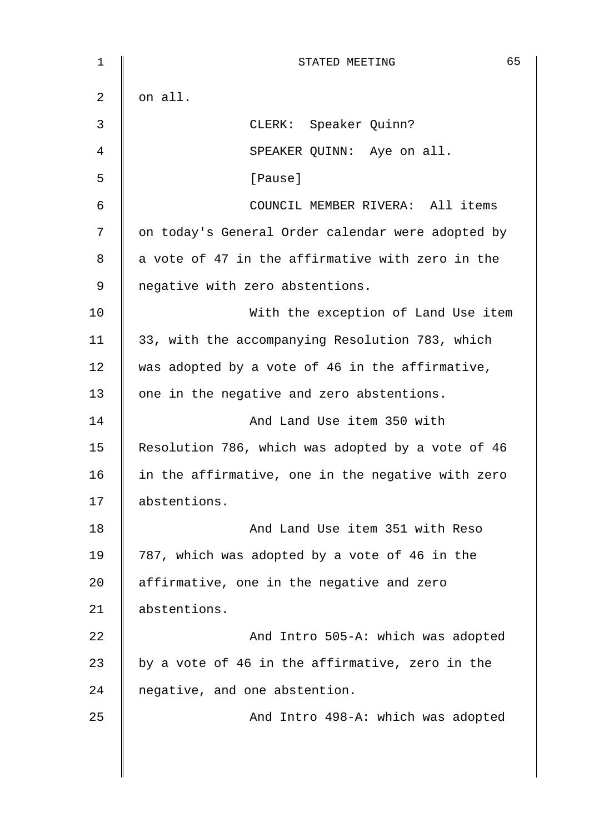| $\mathbf 1$ | 65<br>STATED MEETING                              |
|-------------|---------------------------------------------------|
| 2           | on all.                                           |
| 3           | CLERK: Speaker Quinn?                             |
| 4           | SPEAKER QUINN: Aye on all.                        |
| 5           | [Pause]                                           |
| 6           | COUNCIL MEMBER RIVERA: All items                  |
| 7           | on today's General Order calendar were adopted by |
| 8           | a vote of 47 in the affirmative with zero in the  |
| 9           | negative with zero abstentions.                   |
| 10          | With the exception of Land Use item               |
| 11          | 33, with the accompanying Resolution 783, which   |
| 12          | was adopted by a vote of 46 in the affirmative,   |
| 13          | one in the negative and zero abstentions.         |
| 14          | And Land Use item 350 with                        |
| 15          | Resolution 786, which was adopted by a vote of 46 |
| 16          | in the affirmative, one in the negative with zero |
| 17          | abstentions.                                      |
| 18          | And Land Use item 351 with Reso                   |
| 19          | 787, which was adopted by a vote of 46 in the     |
| 20          | affirmative, one in the negative and zero         |
| 21          | abstentions.                                      |
| 22          | And Intro 505-A: which was adopted                |
| 23          | by a vote of 46 in the affirmative, zero in the   |
| 24          | negative, and one abstention.                     |
| 25          | And Intro 498-A: which was adopted                |
|             |                                                   |
|             |                                                   |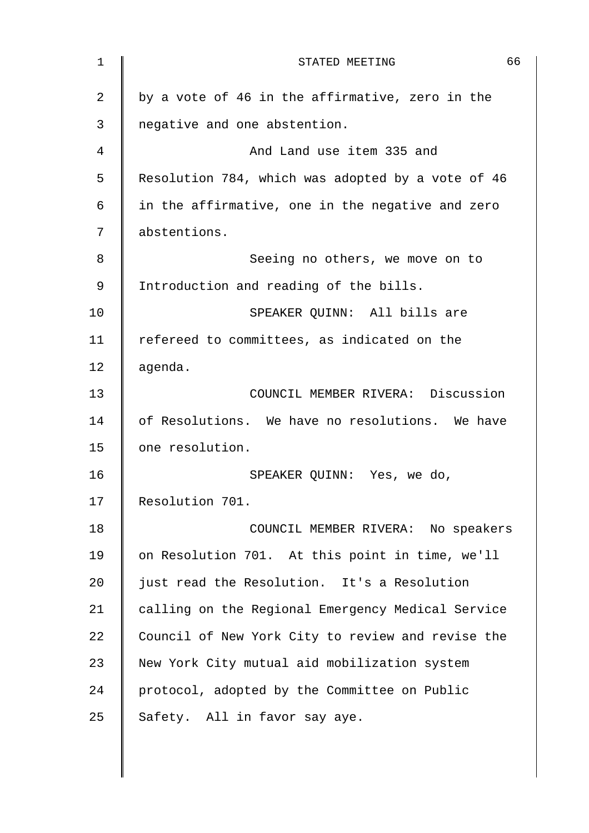| $\mathbf{1}$ | 66<br>STATED MEETING                              |
|--------------|---------------------------------------------------|
| 2            | by a vote of 46 in the affirmative, zero in the   |
| 3            | negative and one abstention.                      |
| 4            | And Land use item 335 and                         |
| 5            | Resolution 784, which was adopted by a vote of 46 |
| 6            | in the affirmative, one in the negative and zero  |
| 7            | abstentions.                                      |
| 8            | Seeing no others, we move on to                   |
| 9            | Introduction and reading of the bills.            |
| 10           | SPEAKER QUINN: All bills are                      |
| 11           | refereed to committees, as indicated on the       |
| 12           | agenda.                                           |
| 13           | COUNCIL MEMBER RIVERA: Discussion                 |
| 14           | of Resolutions. We have no resolutions. We have   |
| 15           | one resolution.                                   |
| 16           | SPEAKER QUINN: Yes, we do,                        |
| 17           | Resolution 701.                                   |
| 18           | COUNCIL MEMBER RIVERA: No speakers                |
| 19           | on Resolution 701. At this point in time, we'll   |
| 20           | just read the Resolution. It's a Resolution       |
| 21           | calling on the Regional Emergency Medical Service |
| 22           | Council of New York City to review and revise the |
| 23           | New York City mutual aid mobilization system      |
| 24           | protocol, adopted by the Committee on Public      |
| 25           | Safety. All in favor say aye.                     |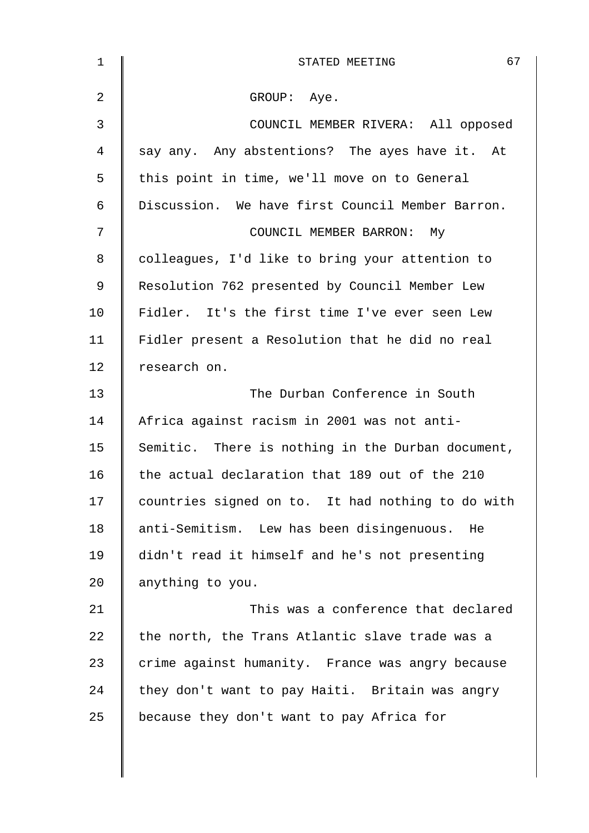| $\mathbf 1$    | 67<br>STATED MEETING                              |
|----------------|---------------------------------------------------|
| $\overline{2}$ | GROUP: Aye.                                       |
| $\mathfrak{Z}$ | COUNCIL MEMBER RIVERA: All opposed                |
| 4              | say any. Any abstentions? The ayes have it. At    |
| 5              | this point in time, we'll move on to General      |
| 6              | Discussion. We have first Council Member Barron.  |
| 7              | COUNCIL MEMBER BARRON: My                         |
| 8              | colleagues, I'd like to bring your attention to   |
| 9              | Resolution 762 presented by Council Member Lew    |
| 10             | Fidler. It's the first time I've ever seen Lew    |
| 11             | Fidler present a Resolution that he did no real   |
| 12             | research on.                                      |
| 13             | The Durban Conference in South                    |
| 14             | Africa against racism in 2001 was not anti-       |
| 15             | Semitic. There is nothing in the Durban document, |
| 16             | the actual declaration that 189 out of the 210    |
| 17             | countries signed on to. It had nothing to do with |
| 18             | anti-Semitism. Lew has been disingenuous. He      |
| 19             | didn't read it himself and he's not presenting    |
| 20             | anything to you.                                  |
| 21             | This was a conference that declared               |
| 22             | the north, the Trans Atlantic slave trade was a   |
| 23             | crime against humanity. France was angry because  |
| 24             | they don't want to pay Haiti. Britain was angry   |
| 25             | because they don't want to pay Africa for         |
|                |                                                   |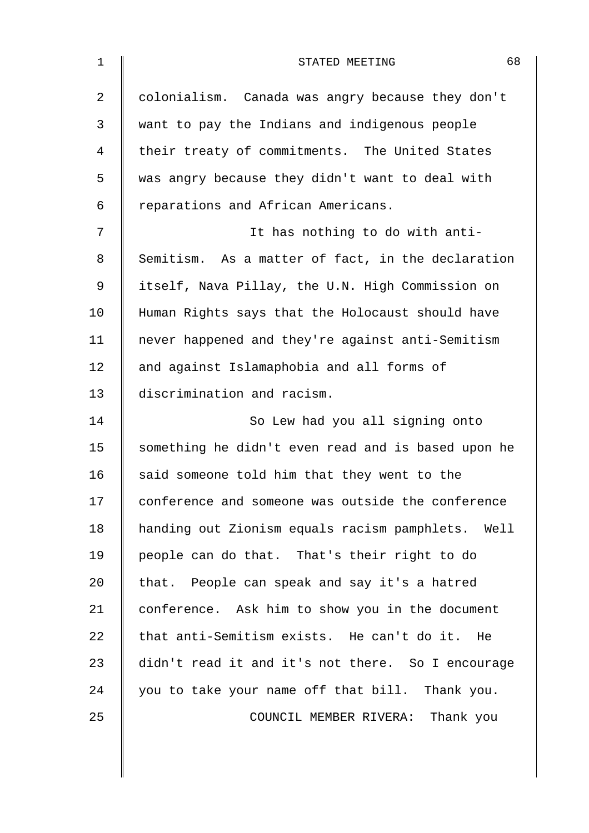| $\mathbf 1$    | 68<br>STATED MEETING                               |
|----------------|----------------------------------------------------|
| $\overline{2}$ | colonialism. Canada was angry because they don't   |
| 3              | want to pay the Indians and indigenous people      |
| 4              | their treaty of commitments. The United States     |
| 5              | was angry because they didn't want to deal with    |
| 6              | reparations and African Americans.                 |
| 7              | It has nothing to do with anti-                    |
| 8              | Semitism. As a matter of fact, in the declaration  |
| 9              | itself, Nava Pillay, the U.N. High Commission on   |
| 10             | Human Rights says that the Holocaust should have   |
| 11             | never happened and they're against anti-Semitism   |
| 12             | and against Islamaphobia and all forms of          |
| 13             | discrimination and racism.                         |
| 14             | So Lew had you all signing onto                    |
| 15             | something he didn't even read and is based upon he |
| 16             | said someone told him that they went to the        |
| 17             | conference and someone was outside the conference  |
| 18             | handing out Zionism equals racism pamphlets. Well  |
| 19             | people can do that. That's their right to do       |
| 20             | that. People can speak and say it's a hatred       |
| 21             | conference. Ask him to show you in the document    |
| 22             | that anti-Semitism exists. He can't do it. He      |
| 23             | didn't read it and it's not there. So I encourage  |
| 24             | you to take your name off that bill. Thank you.    |
| 25             | COUNCIL MEMBER RIVERA: Thank you                   |
|                |                                                    |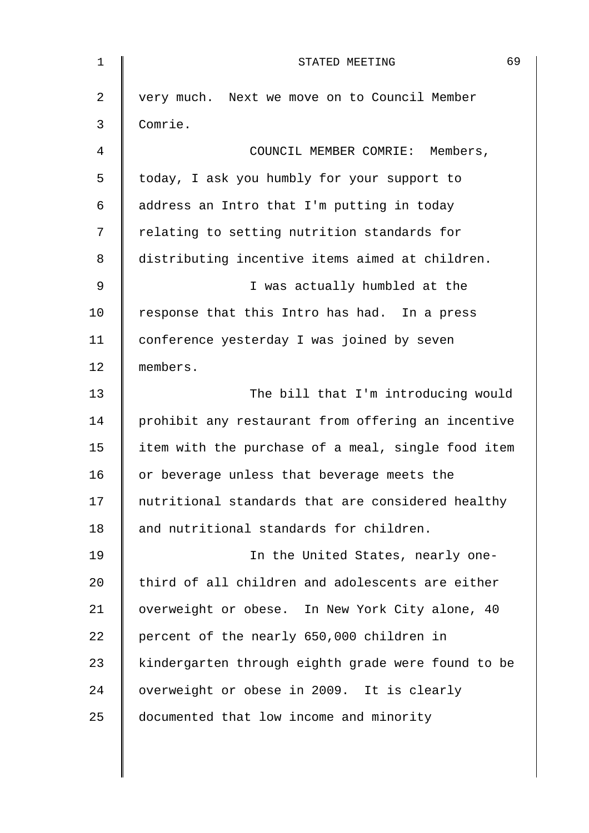| $\mathbf 1$    | 69<br>STATED MEETING                               |
|----------------|----------------------------------------------------|
| $\overline{2}$ | very much. Next we move on to Council Member       |
| 3              | Comrie.                                            |
| 4              | COUNCIL MEMBER COMRIE: Members,                    |
| 5              | today, I ask you humbly for your support to        |
| 6              | address an Intro that I'm putting in today         |
| 7              | relating to setting nutrition standards for        |
| 8              | distributing incentive items aimed at children.    |
| 9              | I was actually humbled at the                      |
| 10             | response that this Intro has had. In a press       |
| 11             | conference yesterday I was joined by seven         |
| 12             | members.                                           |
| 13             | The bill that I'm introducing would                |
| 14             | prohibit any restaurant from offering an incentive |
| 15             | item with the purchase of a meal, single food item |
| 16             | or beverage unless that beverage meets the         |
| 17             | nutritional standards that are considered healthy  |
| 18             | and nutritional standards for children.            |
| 19             | In the United States, nearly one-                  |
| 20             | third of all children and adolescents are either   |
| 21             | overweight or obese. In New York City alone, 40    |
| 22             | percent of the nearly 650,000 children in          |
| 23             | kindergarten through eighth grade were found to be |
| 24             | overweight or obese in 2009. It is clearly         |
| 25             | documented that low income and minority            |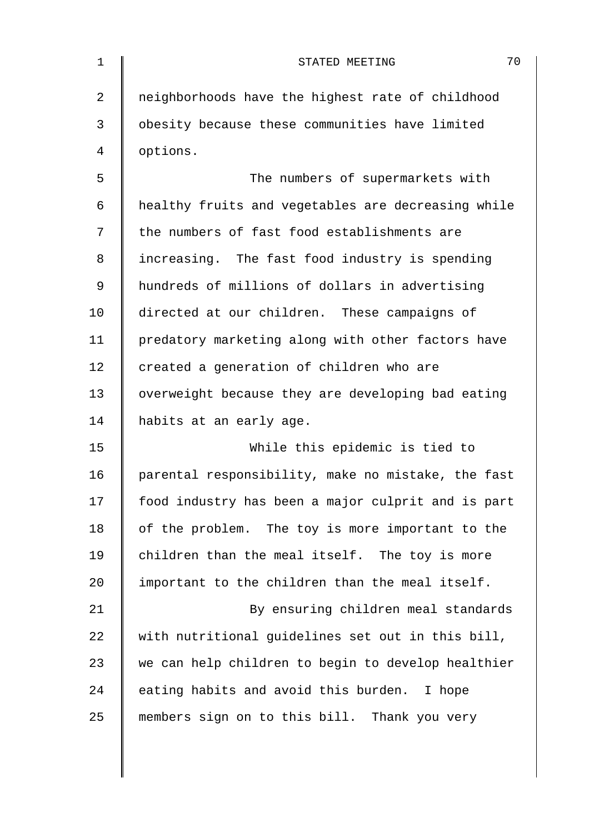| 1  | 70<br>STATED MEETING                               |
|----|----------------------------------------------------|
| 2  | neighborhoods have the highest rate of childhood   |
| 3  | obesity because these communities have limited     |
| 4  | options.                                           |
| 5  | The numbers of supermarkets with                   |
| 6  | healthy fruits and vegetables are decreasing while |
| 7  | the numbers of fast food establishments are        |
| 8  | increasing. The fast food industry is spending     |
| 9  | hundreds of millions of dollars in advertising     |
| 10 | directed at our children. These campaigns of       |
| 11 | predatory marketing along with other factors have  |
| 12 | created a generation of children who are           |
| 13 | overweight because they are developing bad eating  |
| 14 | habits at an early age.                            |
| 15 | While this epidemic is tied to                     |
| 16 | parental responsibility, make no mistake, the fast |
| 17 | food industry has been a major culprit and is part |
| 18 | of the problem. The toy is more important to the   |
| 19 | children than the meal itself. The toy is more     |
| 20 | important to the children than the meal itself.    |
| 21 | By ensuring children meal standards                |
| 22 | with nutritional guidelines set out in this bill,  |
| 23 | we can help children to begin to develop healthier |
| 24 | eating habits and avoid this burden. I hope        |
| 25 | members sign on to this bill. Thank you very       |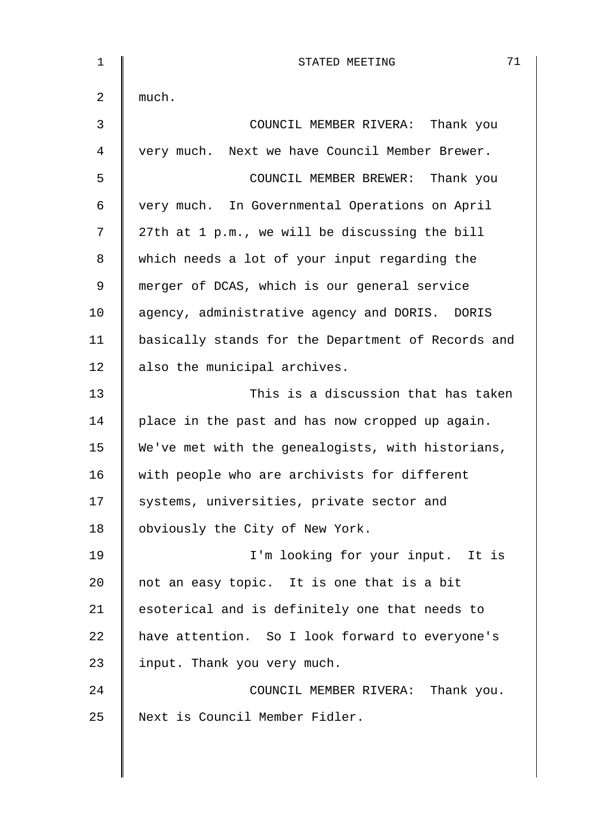| $\mathbf 1$ | 71<br>STATED MEETING                               |
|-------------|----------------------------------------------------|
| 2           | much.                                              |
| 3           | COUNCIL MEMBER RIVERA: Thank you                   |
| 4           | very much. Next we have Council Member Brewer.     |
| 5           | COUNCIL MEMBER BREWER: Thank you                   |
| 6           | very much. In Governmental Operations on April     |
| 7           | 27th at 1 p.m., we will be discussing the bill     |
| 8           | which needs a lot of your input regarding the      |
| 9           | merger of DCAS, which is our general service       |
| 10          | agency, administrative agency and DORIS. DORIS     |
| 11          | basically stands for the Department of Records and |
| 12          | also the municipal archives.                       |
| 13          | This is a discussion that has taken                |
| 14          | place in the past and has now cropped up again.    |
| 15          | We've met with the genealogists, with historians,  |
| 16          | with people who are archivists for different       |
| 17          | systems, universities, private sector and          |
| 18          | obviously the City of New York.                    |
| 19          | I'm looking for your input. It is                  |
| 20          | not an easy topic. It is one that is a bit         |
| 21          | esoterical and is definitely one that needs to     |
| 22          | have attention. So I look forward to everyone's    |
| 23          | input. Thank you very much.                        |
| 24          | COUNCIL MEMBER RIVERA: Thank you.                  |
| 25          | Next is Council Member Fidler.                     |
|             |                                                    |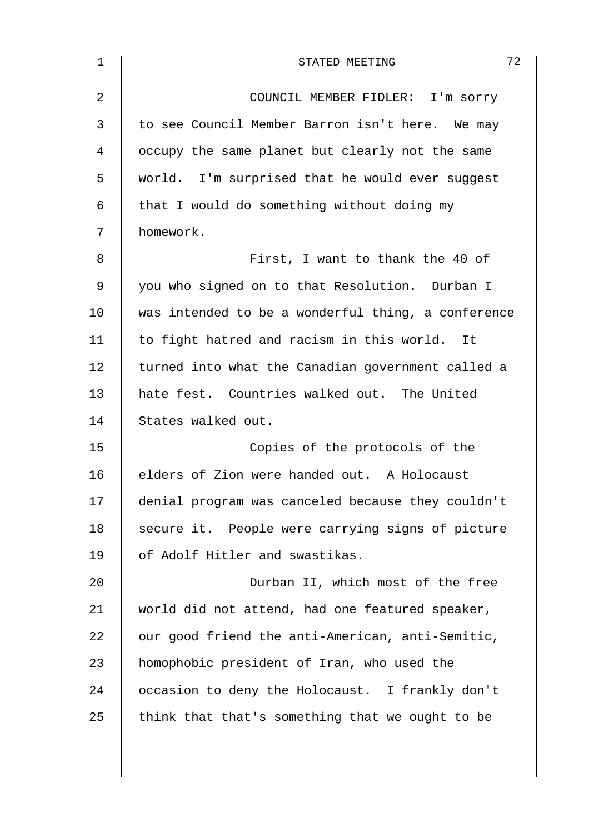| $\mathbf{1}$ | 72<br>STATED MEETING                               |
|--------------|----------------------------------------------------|
| 2            | COUNCIL MEMBER FIDLER: I'm sorry                   |
| 3            | to see Council Member Barron isn't here. We may    |
| 4            | occupy the same planet but clearly not the same    |
| 5            | world. I'm surprised that he would ever suggest    |
| 6            | that I would do something without doing my         |
| 7            | homework.                                          |
| 8            | First, I want to thank the 40 of                   |
| $\mathsf 9$  | you who signed on to that Resolution. Durban I     |
| 10           | was intended to be a wonderful thing, a conference |
| 11           | to fight hatred and racism in this world. It       |
| 12           | turned into what the Canadian government called a  |
| 13           | hate fest. Countries walked out. The United        |
| 14           | States walked out.                                 |
| 15           | Copies of the protocols of the                     |
| 16           | elders of Zion were handed out. A Holocaust        |
| 17           | denial program was canceled because they couldn't  |
| 18           | secure it. People were carrying signs of picture   |
| 19           | of Adolf Hitler and swastikas.                     |
| 20           | Durban II, which most of the free                  |
| 21           | world did not attend, had one featured speaker,    |
| 22           | our good friend the anti-American, anti-Semitic,   |
| 23           | homophobic president of Iran, who used the         |
| 24           | occasion to deny the Holocaust. I frankly don't    |
| 25           | think that that's something that we ought to be    |
|              |                                                    |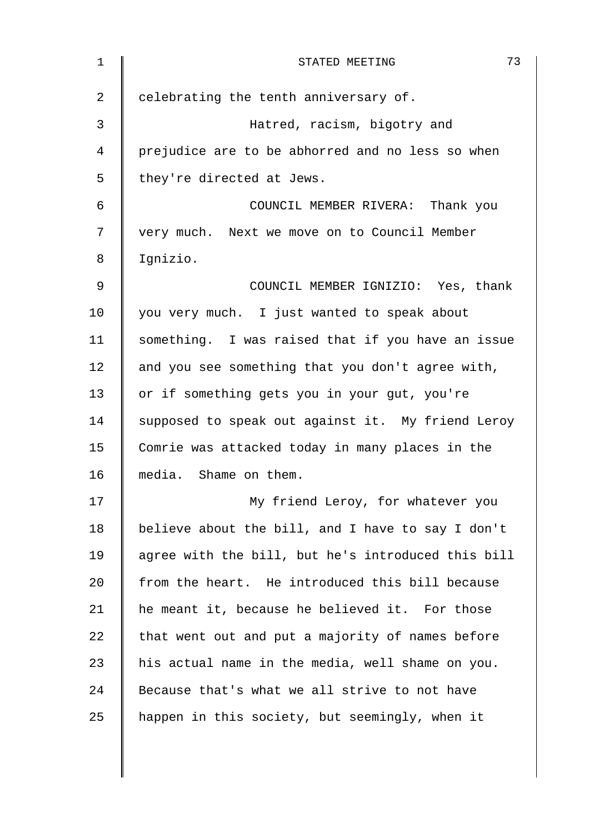| 1              | 73<br>STATED MEETING                               |
|----------------|----------------------------------------------------|
| $\overline{2}$ | celebrating the tenth anniversary of.              |
| 3              | Hatred, racism, bigotry and                        |
| 4              | prejudice are to be abhorred and no less so when   |
| 5              | they're directed at Jews.                          |
| 6              | COUNCIL MEMBER RIVERA: Thank you                   |
| 7              | very much. Next we move on to Council Member       |
| 8              | Ignizio.                                           |
| 9              | COUNCIL MEMBER IGNIZIO: Yes, thank                 |
| 10             | you very much. I just wanted to speak about        |
| 11             | something. I was raised that if you have an issue  |
| 12             | and you see something that you don't agree with,   |
| 13             | or if something gets you in your gut, you're       |
| 14             | supposed to speak out against it. My friend Leroy  |
| 15             | Comrie was attacked today in many places in the    |
| 16             | media. Shame on them.                              |
| 17             | My friend Leroy, for whatever you                  |
| 18             | believe about the bill, and I have to say I don't  |
| 19             | agree with the bill, but he's introduced this bill |
| 20             | from the heart. He introduced this bill because    |
| 21             | he meant it, because he believed it. For those     |
| 22             | that went out and put a majority of names before   |
| 23             | his actual name in the media, well shame on you.   |
| 24             | Because that's what we all strive to not have      |
| 25             | happen in this society, but seemingly, when it     |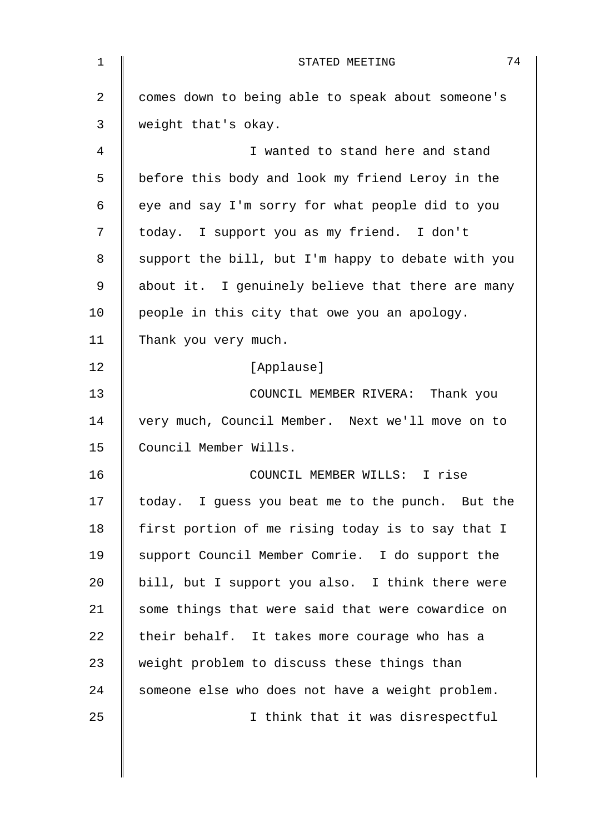| 1  | 74<br>STATED MEETING                               |
|----|----------------------------------------------------|
| 2  | comes down to being able to speak about someone's  |
| 3  | weight that's okay.                                |
| 4  | I wanted to stand here and stand                   |
| 5  | before this body and look my friend Leroy in the   |
| 6  | eye and say I'm sorry for what people did to you   |
| 7  | today. I support you as my friend. I don't         |
| 8  | support the bill, but I'm happy to debate with you |
| 9  | about it. I genuinely believe that there are many  |
| 10 | people in this city that owe you an apology.       |
| 11 | Thank you very much.                               |
| 12 | [Applause]                                         |
| 13 | COUNCIL MEMBER RIVERA: Thank you                   |
| 14 | very much, Council Member. Next we'll move on to   |
| 15 | Council Member Wills.                              |
| 16 | COUNCIL MEMBER WILLS: I rise                       |
| 17 | today. I guess you beat me to the punch. But the   |
| 18 | first portion of me rising today is to say that I  |
| 19 | support Council Member Comrie. I do support the    |
| 20 | bill, but I support you also. I think there were   |
| 21 | some things that were said that were cowardice on  |
| 22 | their behalf. It takes more courage who has a      |
| 23 | weight problem to discuss these things than        |
| 24 | someone else who does not have a weight problem.   |
| 25 | I think that it was disrespectful                  |
|    |                                                    |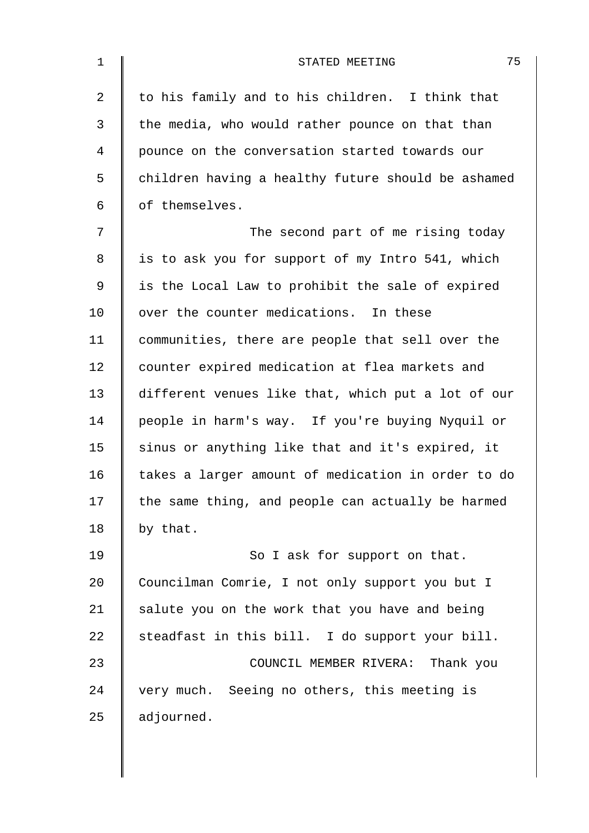| $\mathbf 1$ | 75<br>STATED MEETING                               |
|-------------|----------------------------------------------------|
| 2           | to his family and to his children. I think that    |
| 3           | the media, who would rather pounce on that than    |
| 4           | pounce on the conversation started towards our     |
| 5           | children having a healthy future should be ashamed |
| 6           | of themselves.                                     |
| 7           | The second part of me rising today                 |
| 8           | is to ask you for support of my Intro 541, which   |
| 9           | is the Local Law to prohibit the sale of expired   |
| 10          | over the counter medications. In these             |
| 11          | communities, there are people that sell over the   |
| 12          | counter expired medication at flea markets and     |
| 13          | different venues like that, which put a lot of our |
| 14          | people in harm's way. If you're buying Nyquil or   |
| 15          | sinus or anything like that and it's expired, it   |
| 16          | takes a larger amount of medication in order to do |
| 17          | the same thing, and people can actually be harmed  |
| 18          | by that.                                           |
| 19          | So I ask for support on that.                      |
| 20          | Councilman Comrie, I not only support you but I    |
| 21          | salute you on the work that you have and being     |
| 22          | steadfast in this bill. I do support your bill.    |
| 23          | COUNCIL MEMBER RIVERA: Thank you                   |
| 24          | very much. Seeing no others, this meeting is       |
| 25          | adjourned.                                         |
|             |                                                    |